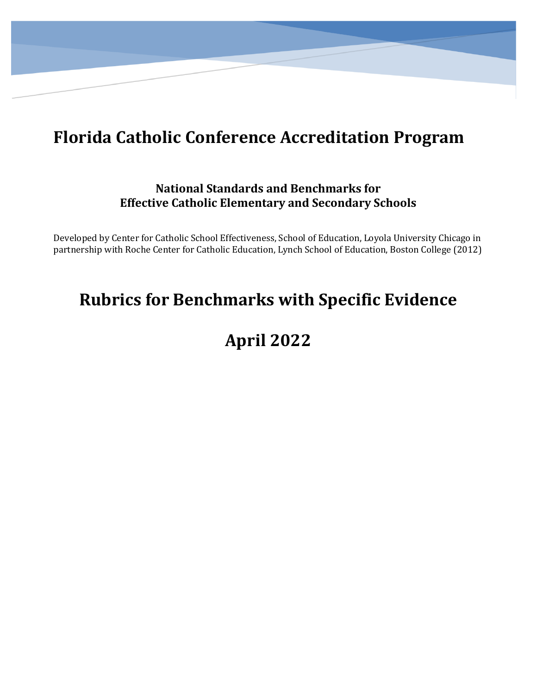# **Florida Catholic Conference Accreditation Program**

### **National Standards and Benchmarks for Effective Catholic Elementary and Secondary Schools**

Developed by Center for Catholic School Effectiveness, School of Education, Loyola University Chicago in partnership with Roche Center for Catholic Education, Lynch School of Education, Boston College (2012)

### **Rubrics for Benchmarks with Specific Evidence**

# **April 2022**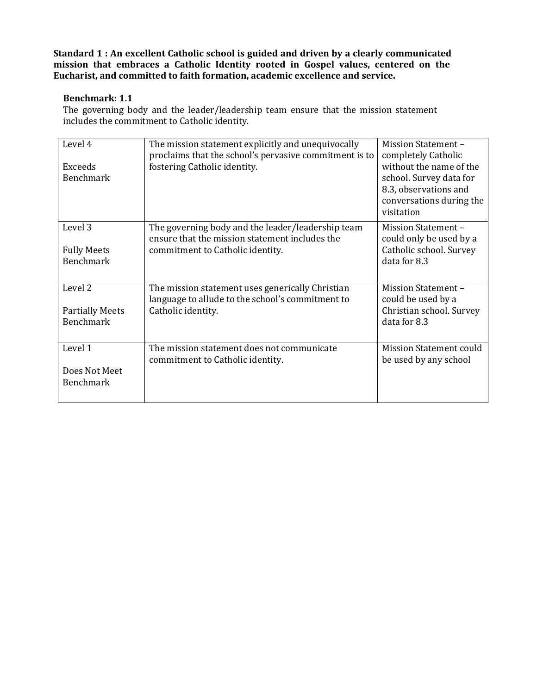#### **Benchmark: 1.1**

The governing body and the leader/leadership team ensure that the mission statement includes the commitment to Catholic identity.

| Level 4<br><b>Exceeds</b><br><b>Benchmark</b>                    | The mission statement explicitly and unequivocally<br>proclaims that the school's pervasive commitment is to<br>fostering Catholic identity. | <b>Mission Statement -</b><br>completely Catholic<br>without the name of the<br>school. Survey data for<br>8.3, observations and<br>conversations during the<br>visitation |
|------------------------------------------------------------------|----------------------------------------------------------------------------------------------------------------------------------------------|----------------------------------------------------------------------------------------------------------------------------------------------------------------------------|
| Level 3<br><b>Fully Meets</b><br><b>Benchmark</b>                | The governing body and the leader/leadership team<br>ensure that the mission statement includes the<br>commitment to Catholic identity.      | <b>Mission Statement -</b><br>could only be used by a<br>Catholic school. Survey<br>data for 8.3                                                                           |
| Level <sub>2</sub><br><b>Partially Meets</b><br><b>Benchmark</b> | The mission statement uses generically Christian<br>language to allude to the school's commitment to<br>Catholic identity.                   | <b>Mission Statement -</b><br>could be used by a<br>Christian school. Survey<br>data for 8.3                                                                               |
| Level 1<br>Does Not Meet<br><b>Benchmark</b>                     | The mission statement does not communicate<br>commitment to Catholic identity.                                                               | <b>Mission Statement could</b><br>be used by any school                                                                                                                    |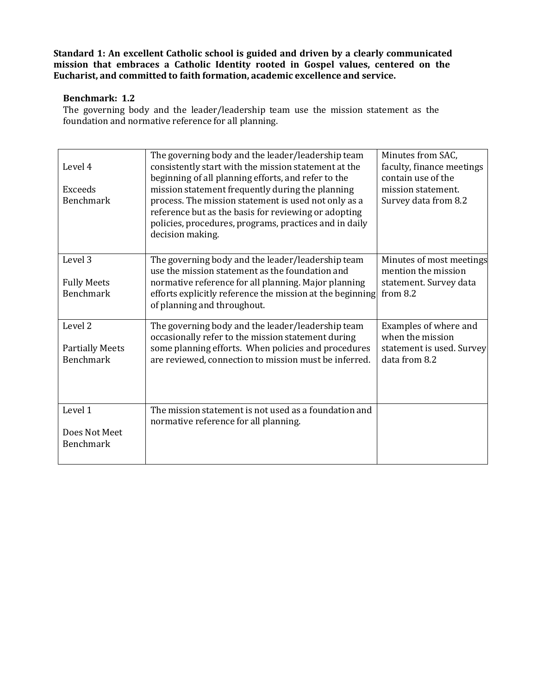#### **Benchmark: 1.2**

The governing body and the leader/leadership team use the mission statement as the foundation and normative reference for all planning.

| Level 4<br>Exceeds<br><b>Benchmark</b>                           | The governing body and the leader/leadership team<br>consistently start with the mission statement at the<br>beginning of all planning efforts, and refer to the<br>mission statement frequently during the planning<br>process. The mission statement is used not only as a<br>reference but as the basis for reviewing or adopting<br>policies, procedures, programs, practices and in daily<br>decision making. | Minutes from SAC,<br>faculty, finance meetings<br>contain use of the<br>mission statement.<br>Survey data from 8.2 |
|------------------------------------------------------------------|--------------------------------------------------------------------------------------------------------------------------------------------------------------------------------------------------------------------------------------------------------------------------------------------------------------------------------------------------------------------------------------------------------------------|--------------------------------------------------------------------------------------------------------------------|
| Level 3<br><b>Fully Meets</b><br><b>Benchmark</b>                | The governing body and the leader/leadership team<br>use the mission statement as the foundation and<br>normative reference for all planning. Major planning<br>efforts explicitly reference the mission at the beginning<br>of planning and throughout.                                                                                                                                                           | Minutes of most meetings<br>mention the mission<br>statement. Survey data<br>from 8.2                              |
| Level <sub>2</sub><br><b>Partially Meets</b><br><b>Benchmark</b> | The governing body and the leader/leadership team<br>occasionally refer to the mission statement during<br>some planning efforts. When policies and procedures<br>are reviewed, connection to mission must be inferred.                                                                                                                                                                                            | Examples of where and<br>when the mission<br>statement is used. Survey<br>data from 8.2                            |
| Level 1<br>Does Not Meet<br>Benchmark                            | The mission statement is not used as a foundation and<br>normative reference for all planning.                                                                                                                                                                                                                                                                                                                     |                                                                                                                    |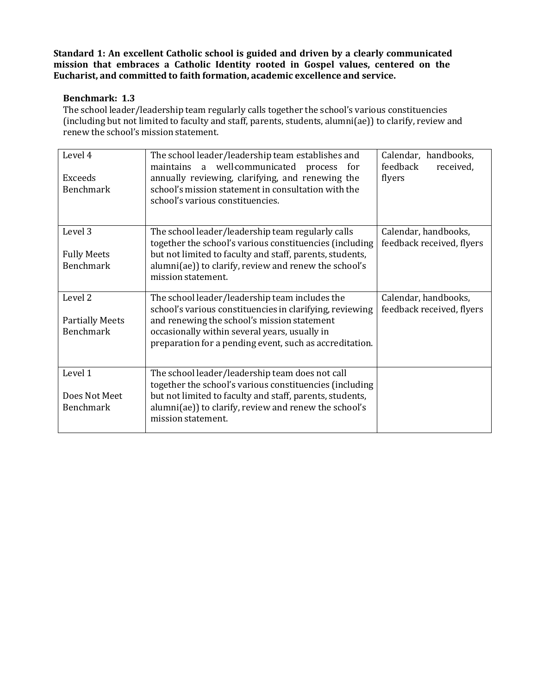#### **Benchmark: 1.3**

The school leader/leadership team regularly calls together the school's various constituencies (including but not limited to faculty and staff, parents, students, alumni(ae)) to clarify, review and renew the school's mission statement.

| Level 4<br><b>Exceeds</b><br><b>Benchmark</b>         | The school leader/leadership team establishes and<br>maintains a well-communicated process for<br>annually reviewing, clarifying, and renewing the<br>school's mission statement in consultation with the<br>school's various constituencies.                         | Calendar, handbooks,<br>feedback<br>received,<br>flyers |
|-------------------------------------------------------|-----------------------------------------------------------------------------------------------------------------------------------------------------------------------------------------------------------------------------------------------------------------------|---------------------------------------------------------|
| Level 3<br><b>Fully Meets</b><br><b>Benchmark</b>     | The school leader/leadership team regularly calls<br>together the school's various constituencies (including<br>but not limited to faculty and staff, parents, students,<br>alumni(ae)) to clarify, review and renew the school's<br>mission statement.               | Calendar, handbooks,<br>feedback received, flyers       |
| Level 2<br><b>Partially Meets</b><br><b>Benchmark</b> | The school leader/leadership team includes the<br>school's various constituencies in clarifying, reviewing<br>and renewing the school's mission statement<br>occasionally within several years, usually in<br>preparation for a pending event, such as accreditation. | Calendar, handbooks,<br>feedback received, flyers       |
| Level 1<br>Does Not Meet<br><b>Benchmark</b>          | The school leader/leadership team does not call<br>together the school's various constituencies (including<br>but not limited to faculty and staff, parents, students,<br>alumni(ae)) to clarify, review and renew the school's<br>mission statement.                 |                                                         |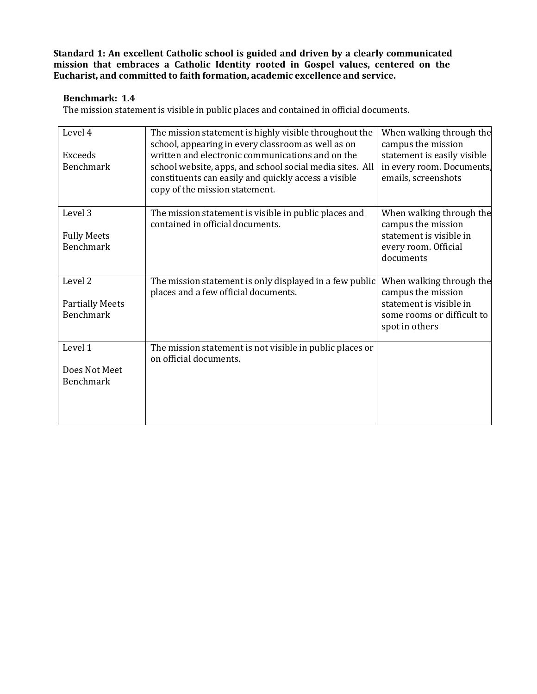#### **Benchmark: 1.4**

The mission statement is visible in public places and contained in official documents.

| Level 4<br><b>Exceeds</b><br><b>Benchmark</b>                    | The mission statement is highly visible throughout the<br>school, appearing in every classroom as well as on<br>written and electronic communications and on the<br>school website, apps, and school social media sites. All<br>constituents can easily and quickly access a visible<br>copy of the mission statement. | When walking through the<br>campus the mission<br>statement is easily visible<br>in every room. Documents,<br>emails, screenshots |
|------------------------------------------------------------------|------------------------------------------------------------------------------------------------------------------------------------------------------------------------------------------------------------------------------------------------------------------------------------------------------------------------|-----------------------------------------------------------------------------------------------------------------------------------|
| Level 3<br><b>Fully Meets</b><br><b>Benchmark</b>                | The mission statement is visible in public places and<br>contained in official documents.                                                                                                                                                                                                                              | When walking through the<br>campus the mission<br>statement is visible in<br>every room. Official<br>documents                    |
| Level <sub>2</sub><br><b>Partially Meets</b><br><b>Benchmark</b> | The mission statement is only displayed in a few public<br>places and a few official documents.                                                                                                                                                                                                                        | When walking through the<br>campus the mission<br>statement is visible in<br>some rooms or difficult to<br>spot in others         |
| Level 1<br>Does Not Meet<br><b>Benchmark</b>                     | The mission statement is not visible in public places or<br>on official documents.                                                                                                                                                                                                                                     |                                                                                                                                   |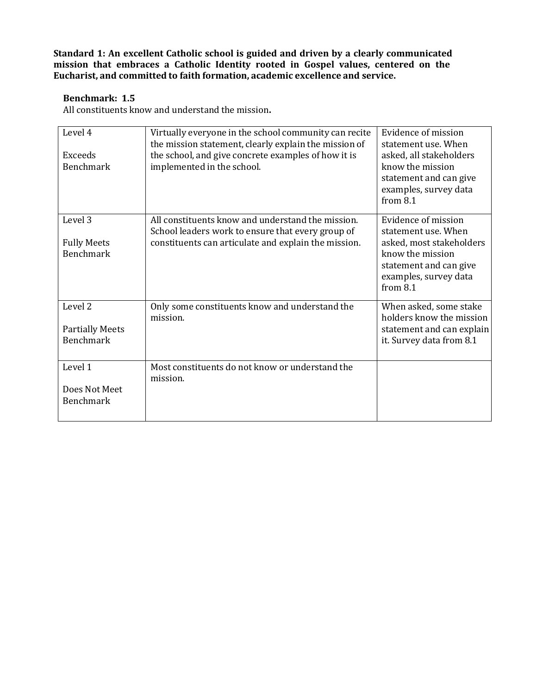#### **Benchmark: 1.5**

All constituents know and understand the mission**.**

| Level 4<br><b>Exceeds</b><br><b>Benchmark</b>         | Virtually everyone in the school community can recite<br>the mission statement, clearly explain the mission of<br>the school, and give concrete examples of how it is<br>implemented in the school. | Evidence of mission<br>statement use. When<br>asked, all stakeholders<br>know the mission<br>statement and can give<br>examples, survey data<br>from 8.1    |
|-------------------------------------------------------|-----------------------------------------------------------------------------------------------------------------------------------------------------------------------------------------------------|-------------------------------------------------------------------------------------------------------------------------------------------------------------|
| Level 3<br><b>Fully Meets</b><br><b>Benchmark</b>     | All constituents know and understand the mission.<br>School leaders work to ensure that every group of<br>constituents can articulate and explain the mission.                                      | Evidence of mission<br>statement use. When<br>asked, most stakeholders<br>know the mission<br>statement and can give<br>examples, survey data<br>from $8.1$ |
| Level 2<br><b>Partially Meets</b><br><b>Benchmark</b> | Only some constituents know and understand the<br>mission.                                                                                                                                          | When asked, some stake<br>holders know the mission<br>statement and can explain<br>it. Survey data from 8.1                                                 |
| Level 1<br>Does Not Meet<br><b>Benchmark</b>          | Most constituents do not know or understand the<br>mission.                                                                                                                                         |                                                                                                                                                             |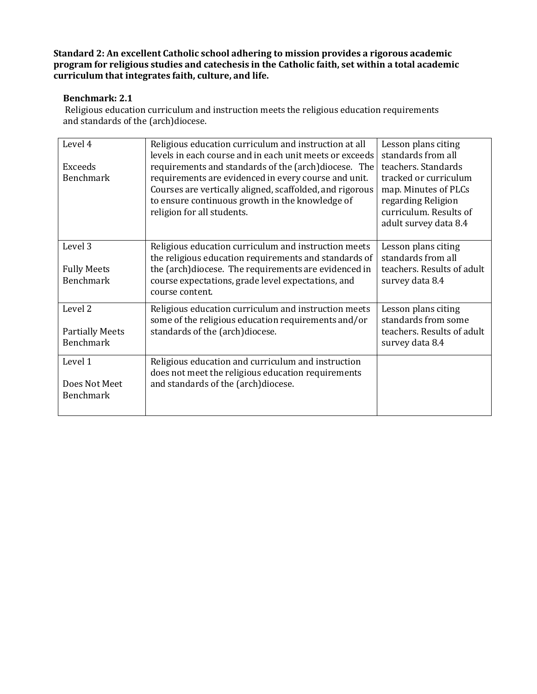#### **Benchmark: 2.1**

Religious education curriculum and instruction meets the religious education requirements and standards of the (arch)diocese.

| Level 4<br><b>Exceeds</b><br><b>Benchmark</b>         | Religious education curriculum and instruction at all<br>levels in each course and in each unit meets or exceeds<br>requirements and standards of the (arch)diocese. The<br>requirements are evidenced in every course and unit.<br>Courses are vertically aligned, scaffolded, and rigorous<br>to ensure continuous growth in the knowledge of<br>religion for all students. | Lesson plans citing<br>standards from all<br>teachers. Standards<br>tracked or curriculum<br>map. Minutes of PLCs<br>regarding Religion<br>curriculum. Results of<br>adult survey data 8.4 |
|-------------------------------------------------------|-------------------------------------------------------------------------------------------------------------------------------------------------------------------------------------------------------------------------------------------------------------------------------------------------------------------------------------------------------------------------------|--------------------------------------------------------------------------------------------------------------------------------------------------------------------------------------------|
| Level 3<br><b>Fully Meets</b><br><b>Benchmark</b>     | Religious education curriculum and instruction meets<br>the religious education requirements and standards of<br>the (arch)diocese. The requirements are evidenced in<br>course expectations, grade level expectations, and<br>course content.                                                                                                                                | Lesson plans citing<br>standards from all<br>teachers. Results of adult<br>survey data 8.4                                                                                                 |
| Level 2<br><b>Partially Meets</b><br><b>Benchmark</b> | Religious education curriculum and instruction meets<br>some of the religious education requirements and/or<br>standards of the (arch)diocese.                                                                                                                                                                                                                                | Lesson plans citing<br>standards from some<br>teachers. Results of adult<br>survey data 8.4                                                                                                |
| Level 1<br>Does Not Meet<br><b>Benchmark</b>          | Religious education and curriculum and instruction<br>does not meet the religious education requirements<br>and standards of the (arch)diocese.                                                                                                                                                                                                                               |                                                                                                                                                                                            |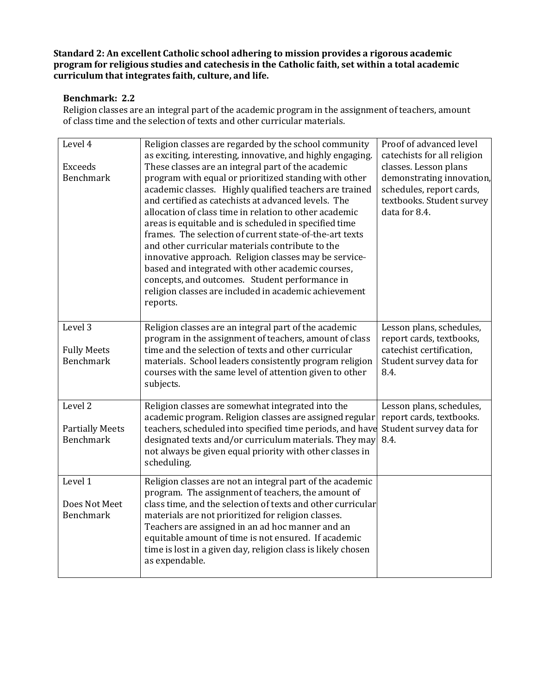#### **Benchmark: 2.2**

Religion classes are an integral part of the academic program in the assignment of teachers, amount of class time and the selection of texts and other curricular materials.

| Level 4<br><b>Exceeds</b><br><b>Benchmark</b>                    | Religion classes are regarded by the school community<br>as exciting, interesting, innovative, and highly engaging.<br>These classes are an integral part of the academic<br>program with equal or prioritized standing with other<br>academic classes. Highly qualified teachers are trained<br>and certified as catechists at advanced levels. The<br>allocation of class time in relation to other academic<br>areas is equitable and is scheduled in specified time<br>frames. The selection of current state-of-the-art texts<br>and other curricular materials contribute to the<br>innovative approach. Religion classes may be service-<br>based and integrated with other academic courses,<br>concepts, and outcomes. Student performance in<br>religion classes are included in academic achievement<br>reports. | Proof of advanced level<br>catechists for all religion<br>classes. Lesson plans<br>demonstrating innovation,<br>schedules, report cards,<br>textbooks. Student survey<br>data for 8.4. |
|------------------------------------------------------------------|-----------------------------------------------------------------------------------------------------------------------------------------------------------------------------------------------------------------------------------------------------------------------------------------------------------------------------------------------------------------------------------------------------------------------------------------------------------------------------------------------------------------------------------------------------------------------------------------------------------------------------------------------------------------------------------------------------------------------------------------------------------------------------------------------------------------------------|----------------------------------------------------------------------------------------------------------------------------------------------------------------------------------------|
| Level 3<br><b>Fully Meets</b><br><b>Benchmark</b>                | Religion classes are an integral part of the academic<br>program in the assignment of teachers, amount of class<br>time and the selection of texts and other curricular<br>materials. School leaders consistently program religion<br>courses with the same level of attention given to other<br>subjects.                                                                                                                                                                                                                                                                                                                                                                                                                                                                                                                  | Lesson plans, schedules,<br>report cards, textbooks,<br>catechist certification,<br>Student survey data for<br>8.4.                                                                    |
| Level <sub>2</sub><br><b>Partially Meets</b><br><b>Benchmark</b> | Religion classes are somewhat integrated into the<br>academic program. Religion classes are assigned regular<br>teachers, scheduled into specified time periods, and have<br>designated texts and/or curriculum materials. They may<br>not always be given equal priority with other classes in<br>scheduling.                                                                                                                                                                                                                                                                                                                                                                                                                                                                                                              | Lesson plans, schedules,<br>report cards, textbooks.<br>Student survey data for<br>8.4.                                                                                                |
| Level 1<br>Does Not Meet<br>Benchmark                            | Religion classes are not an integral part of the academic<br>program. The assignment of teachers, the amount of<br>class time, and the selection of texts and other curricular<br>materials are not prioritized for religion classes.<br>Teachers are assigned in an ad hoc manner and an<br>equitable amount of time is not ensured. If academic<br>time is lost in a given day, religion class is likely chosen<br>as expendable.                                                                                                                                                                                                                                                                                                                                                                                         |                                                                                                                                                                                        |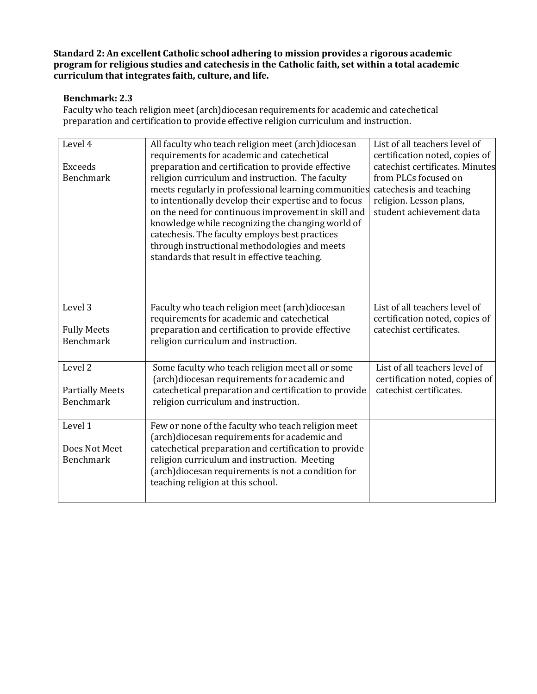#### **Benchmark: 2.3**

Faculty who teach religion meet (arch)diocesan requirements for academic and catechetical preparation and certification to provide effective religion curriculum and instruction.

| Level 4<br><b>Exceeds</b><br><b>Benchmark</b>                    | All faculty who teach religion meet (arch)diocesan<br>requirements for academic and catechetical<br>preparation and certification to provide effective<br>religion curriculum and instruction. The faculty<br>meets regularly in professional learning communities<br>to intentionally develop their expertise and to focus<br>on the need for continuous improvement in skill and<br>knowledge while recognizing the changing world of<br>catechesis. The faculty employs best practices<br>through instructional methodologies and meets<br>standards that result in effective teaching. | List of all teachers level of<br>certification noted, copies of<br>catechist certificates. Minutes<br>from PLCs focused on<br>catechesis and teaching<br>religion. Lesson plans,<br>student achievement data |
|------------------------------------------------------------------|--------------------------------------------------------------------------------------------------------------------------------------------------------------------------------------------------------------------------------------------------------------------------------------------------------------------------------------------------------------------------------------------------------------------------------------------------------------------------------------------------------------------------------------------------------------------------------------------|--------------------------------------------------------------------------------------------------------------------------------------------------------------------------------------------------------------|
| Level 3<br><b>Fully Meets</b><br><b>Benchmark</b>                | Faculty who teach religion meet (arch)diocesan<br>requirements for academic and catechetical<br>preparation and certification to provide effective<br>religion curriculum and instruction.                                                                                                                                                                                                                                                                                                                                                                                                 | List of all teachers level of<br>certification noted, copies of<br>catechist certificates.                                                                                                                   |
| Level <sub>2</sub><br><b>Partially Meets</b><br><b>Benchmark</b> | Some faculty who teach religion meet all or some<br>(arch)diocesan requirements for academic and<br>catechetical preparation and certification to provide<br>religion curriculum and instruction.                                                                                                                                                                                                                                                                                                                                                                                          | List of all teachers level of<br>certification noted, copies of<br>catechist certificates.                                                                                                                   |
| Level 1<br>Does Not Meet<br><b>Benchmark</b>                     | Few or none of the faculty who teach religion meet<br>(arch)diocesan requirements for academic and<br>catechetical preparation and certification to provide<br>religion curriculum and instruction. Meeting<br>(arch)diocesan requirements is not a condition for<br>teaching religion at this school.                                                                                                                                                                                                                                                                                     |                                                                                                                                                                                                              |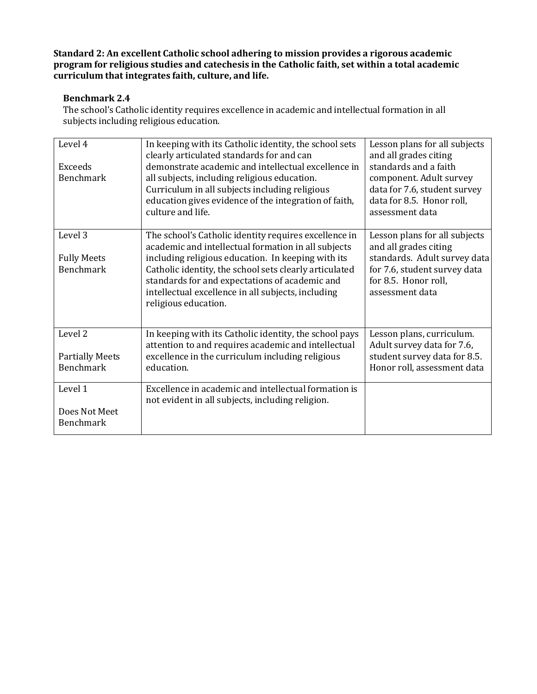#### **Benchmark 2.4**

The school's Catholic identity requires excellence in academic and intellectual formation in all subjects including religious education.

| Level 4                | In keeping with its Catholic identity, the school sets<br>clearly articulated standards for and can          | Lesson plans for all subjects<br>and all grades citing |
|------------------------|--------------------------------------------------------------------------------------------------------------|--------------------------------------------------------|
| Exceeds                | demonstrate academic and intellectual excellence in                                                          | standards and a faith                                  |
| <b>Benchmark</b>       | all subjects, including religious education.                                                                 | component. Adult survey                                |
|                        | Curriculum in all subjects including religious                                                               | data for 7.6, student survey                           |
|                        | education gives evidence of the integration of faith,                                                        | data for 8.5. Honor roll,                              |
|                        | culture and life.                                                                                            | assessment data                                        |
|                        |                                                                                                              |                                                        |
| Level 3                | The school's Catholic identity requires excellence in<br>academic and intellectual formation in all subjects | Lesson plans for all subjects<br>and all grades citing |
| <b>Fully Meets</b>     | including religious education. In keeping with its                                                           | standards. Adult survey data                           |
| Benchmark              | Catholic identity, the school sets clearly articulated                                                       | for 7.6, student survey data                           |
|                        | standards for and expectations of academic and                                                               | for 8.5. Honor roll,                                   |
|                        | intellectual excellence in all subjects, including                                                           | assessment data                                        |
|                        | religious education.                                                                                         |                                                        |
|                        |                                                                                                              |                                                        |
| Level <sub>2</sub>     | In keeping with its Catholic identity, the school pays                                                       | Lesson plans, curriculum.                              |
|                        | attention to and requires academic and intellectual                                                          | Adult survey data for 7.6,                             |
| <b>Partially Meets</b> | excellence in the curriculum including religious                                                             | student survey data for 8.5.                           |
| <b>Benchmark</b>       | education.                                                                                                   | Honor roll, assessment data                            |
| Level 1                | Excellence in academic and intellectual formation is                                                         |                                                        |
|                        | not evident in all subjects, including religion.                                                             |                                                        |
| Does Not Meet          |                                                                                                              |                                                        |
| <b>Benchmark</b>       |                                                                                                              |                                                        |
|                        |                                                                                                              |                                                        |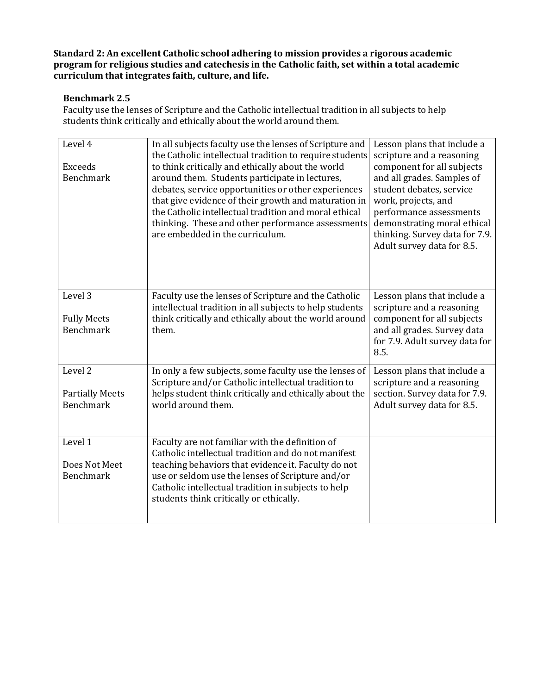#### **Benchmark 2.5**

Faculty use the lenses of Scripture and the Catholic intellectual tradition in all subjects to help students think critically and ethically about the world around them.

| Level 4<br>Exceeds<br><b>Benchmark</b>     | In all subjects faculty use the lenses of Scripture and<br>the Catholic intellectual tradition to require students<br>to think critically and ethically about the world<br>around them. Students participate in lectures,<br>debates, service opportunities or other experiences<br>that give evidence of their growth and maturation in<br>the Catholic intellectual tradition and moral ethical<br>thinking. These and other performance assessments<br>are embedded in the curriculum. | Lesson plans that include a<br>scripture and a reasoning<br>component for all subjects<br>and all grades. Samples of<br>student debates, service<br>work, projects, and<br>performance assessments<br>demonstrating moral ethical<br>thinking. Survey data for 7.9.<br>Adult survey data for 8.5. |
|--------------------------------------------|-------------------------------------------------------------------------------------------------------------------------------------------------------------------------------------------------------------------------------------------------------------------------------------------------------------------------------------------------------------------------------------------------------------------------------------------------------------------------------------------|---------------------------------------------------------------------------------------------------------------------------------------------------------------------------------------------------------------------------------------------------------------------------------------------------|
| Level 3                                    | Faculty use the lenses of Scripture and the Catholic                                                                                                                                                                                                                                                                                                                                                                                                                                      | Lesson plans that include a                                                                                                                                                                                                                                                                       |
|                                            | intellectual tradition in all subjects to help students                                                                                                                                                                                                                                                                                                                                                                                                                                   | scripture and a reasoning                                                                                                                                                                                                                                                                         |
| <b>Fully Meets</b>                         | think critically and ethically about the world around                                                                                                                                                                                                                                                                                                                                                                                                                                     | component for all subjects                                                                                                                                                                                                                                                                        |
| <b>Benchmark</b>                           | them.                                                                                                                                                                                                                                                                                                                                                                                                                                                                                     | and all grades. Survey data<br>for 7.9. Adult survey data for<br>8.5.                                                                                                                                                                                                                             |
| Level <sub>2</sub>                         | In only a few subjects, some faculty use the lenses of                                                                                                                                                                                                                                                                                                                                                                                                                                    | Lesson plans that include a                                                                                                                                                                                                                                                                       |
|                                            | Scripture and/or Catholic intellectual tradition to                                                                                                                                                                                                                                                                                                                                                                                                                                       | scripture and a reasoning                                                                                                                                                                                                                                                                         |
| <b>Partially Meets</b><br><b>Benchmark</b> | helps student think critically and ethically about the<br>world around them.                                                                                                                                                                                                                                                                                                                                                                                                              | section. Survey data for 7.9.<br>Adult survey data for 8.5.                                                                                                                                                                                                                                       |
|                                            |                                                                                                                                                                                                                                                                                                                                                                                                                                                                                           |                                                                                                                                                                                                                                                                                                   |
| Level 1                                    | Faculty are not familiar with the definition of                                                                                                                                                                                                                                                                                                                                                                                                                                           |                                                                                                                                                                                                                                                                                                   |
| Does Not Meet                              | Catholic intellectual tradition and do not manifest                                                                                                                                                                                                                                                                                                                                                                                                                                       |                                                                                                                                                                                                                                                                                                   |
| <b>Benchmark</b>                           | teaching behaviors that evidence it. Faculty do not<br>use or seldom use the lenses of Scripture and/or                                                                                                                                                                                                                                                                                                                                                                                   |                                                                                                                                                                                                                                                                                                   |
|                                            | Catholic intellectual tradition in subjects to help                                                                                                                                                                                                                                                                                                                                                                                                                                       |                                                                                                                                                                                                                                                                                                   |
|                                            | students think critically or ethically.                                                                                                                                                                                                                                                                                                                                                                                                                                                   |                                                                                                                                                                                                                                                                                                   |
|                                            |                                                                                                                                                                                                                                                                                                                                                                                                                                                                                           |                                                                                                                                                                                                                                                                                                   |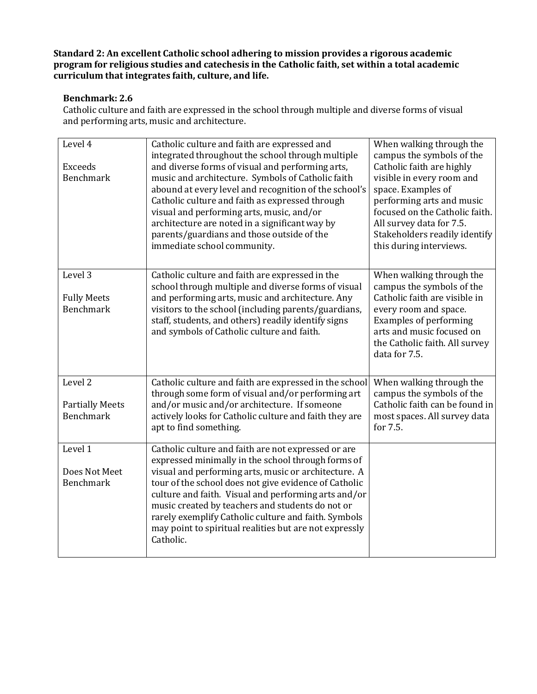#### **Benchmark: 2.6**

Catholic culture and faith are expressed in the school through multiple and diverse forms of visual and performing arts, music and architecture.

| Level 4                | Catholic culture and faith are expressed and<br>integrated throughout the school through multiple | When walking through the<br>campus the symbols of the |
|------------------------|---------------------------------------------------------------------------------------------------|-------------------------------------------------------|
| <b>Exceeds</b>         | and diverse forms of visual and performing arts,                                                  | Catholic faith are highly                             |
| <b>Benchmark</b>       | music and architecture. Symbols of Catholic faith                                                 | visible in every room and                             |
|                        | abound at every level and recognition of the school's                                             | space. Examples of                                    |
|                        | Catholic culture and faith as expressed through                                                   | performing arts and music                             |
|                        | visual and performing arts, music, and/or                                                         | focused on the Catholic faith.                        |
|                        | architecture are noted in a significant way by                                                    | All survey data for 7.5.                              |
|                        | parents/guardians and those outside of the                                                        | Stakeholders readily identify                         |
|                        | immediate school community.                                                                       | this during interviews.                               |
|                        |                                                                                                   |                                                       |
| Level 3                | Catholic culture and faith are expressed in the                                                   | When walking through the                              |
|                        | school through multiple and diverse forms of visual                                               | campus the symbols of the                             |
| <b>Fully Meets</b>     | and performing arts, music and architecture. Any                                                  | Catholic faith are visible in                         |
| <b>Benchmark</b>       | visitors to the school (including parents/guardians,                                              | every room and space.                                 |
|                        | staff, students, and others) readily identify signs                                               | <b>Examples of performing</b>                         |
|                        | and symbols of Catholic culture and faith.                                                        | arts and music focused on                             |
|                        |                                                                                                   | the Catholic faith. All survey                        |
|                        |                                                                                                   | data for 7.5.                                         |
|                        |                                                                                                   |                                                       |
| Level <sub>2</sub>     | Catholic culture and faith are expressed in the school                                            | When walking through the                              |
|                        | through some form of visual and/or performing art                                                 | campus the symbols of the                             |
| <b>Partially Meets</b> | and/or music and/or architecture. If someone                                                      | Catholic faith can be found in                        |
| <b>Benchmark</b>       | actively looks for Catholic culture and faith they are                                            | most spaces. All survey data                          |
|                        | apt to find something.                                                                            | for 7.5.                                              |
| Level 1                | Catholic culture and faith are not expressed or are                                               |                                                       |
|                        | expressed minimally in the school through forms of                                                |                                                       |
| Does Not Meet          | visual and performing arts, music or architecture. A                                              |                                                       |
| <b>Benchmark</b>       | tour of the school does not give evidence of Catholic                                             |                                                       |
|                        | culture and faith. Visual and performing arts and/or                                              |                                                       |
|                        | music created by teachers and students do not or                                                  |                                                       |
|                        | rarely exemplify Catholic culture and faith. Symbols                                              |                                                       |
|                        | may point to spiritual realities but are not expressly                                            |                                                       |
|                        | Catholic.                                                                                         |                                                       |
|                        |                                                                                                   |                                                       |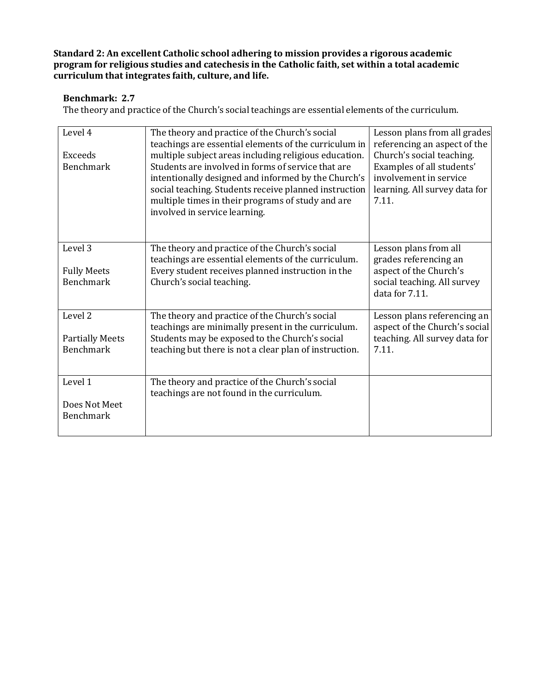#### **Benchmark: 2.7**

The theory and practice of the Church's social teachings are essential elements of the curriculum.

| Level 4<br>Exceeds<br><b>Benchmark</b>     | The theory and practice of the Church's social<br>teachings are essential elements of the curriculum in<br>multiple subject areas including religious education.<br>Students are involved in forms of service that are<br>intentionally designed and informed by the Church's<br>social teaching. Students receive planned instruction<br>multiple times in their programs of study and are<br>involved in service learning. | Lesson plans from all grades<br>referencing an aspect of the<br>Church's social teaching.<br>Examples of all students'<br>involvement in service<br>learning. All survey data for<br>7.11. |
|--------------------------------------------|------------------------------------------------------------------------------------------------------------------------------------------------------------------------------------------------------------------------------------------------------------------------------------------------------------------------------------------------------------------------------------------------------------------------------|--------------------------------------------------------------------------------------------------------------------------------------------------------------------------------------------|
|                                            |                                                                                                                                                                                                                                                                                                                                                                                                                              |                                                                                                                                                                                            |
| Level 3                                    | The theory and practice of the Church's social<br>teachings are essential elements of the curriculum.                                                                                                                                                                                                                                                                                                                        | Lesson plans from all<br>grades referencing an                                                                                                                                             |
| <b>Fully Meets</b><br><b>Benchmark</b>     | Every student receives planned instruction in the<br>Church's social teaching.                                                                                                                                                                                                                                                                                                                                               | aspect of the Church's<br>social teaching. All survey<br>data for 7.11.                                                                                                                    |
| Level <sub>2</sub>                         | The theory and practice of the Church's social<br>teachings are minimally present in the curriculum.                                                                                                                                                                                                                                                                                                                         | Lesson plans referencing an<br>aspect of the Church's social                                                                                                                               |
| <b>Partially Meets</b><br><b>Benchmark</b> | Students may be exposed to the Church's social<br>teaching but there is not a clear plan of instruction.                                                                                                                                                                                                                                                                                                                     | teaching. All survey data for<br>7.11.                                                                                                                                                     |
| Level 1                                    | The theory and practice of the Church's social<br>teachings are not found in the curriculum.                                                                                                                                                                                                                                                                                                                                 |                                                                                                                                                                                            |
| Does Not Meet<br><b>Benchmark</b>          |                                                                                                                                                                                                                                                                                                                                                                                                                              |                                                                                                                                                                                            |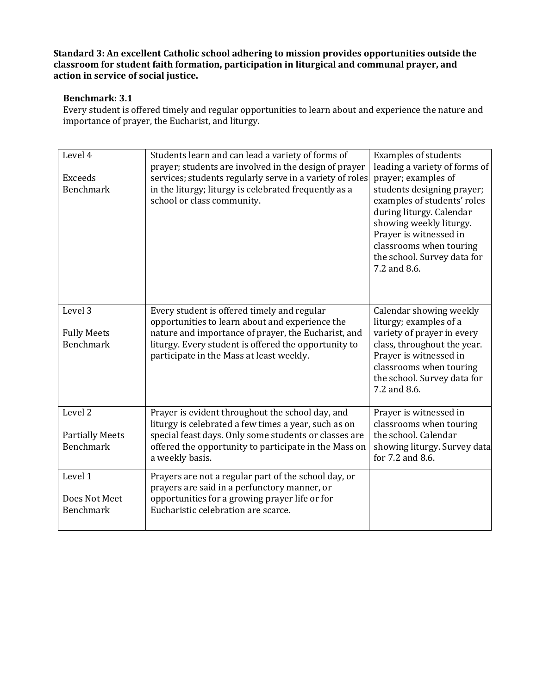#### **Benchmark: 3.1**

Every student is offered timely and regular opportunities to learn about and experience the nature and importance of prayer, the Eucharist, and liturgy.

| Level 4<br><b>Exceeds</b><br><b>Benchmark</b>                    | Students learn and can lead a variety of forms of<br>prayer; students are involved in the design of prayer<br>services; students regularly serve in a variety of roles<br>in the liturgy; liturgy is celebrated frequently as a<br>school or class community. | <b>Examples of students</b><br>leading a variety of forms of<br>prayer; examples of<br>students designing prayer;<br>examples of students' roles<br>during liturgy. Calendar<br>showing weekly liturgy.<br>Prayer is witnessed in<br>classrooms when touring<br>the school. Survey data for<br>7.2 and 8.6. |
|------------------------------------------------------------------|---------------------------------------------------------------------------------------------------------------------------------------------------------------------------------------------------------------------------------------------------------------|-------------------------------------------------------------------------------------------------------------------------------------------------------------------------------------------------------------------------------------------------------------------------------------------------------------|
| Level 3<br><b>Fully Meets</b><br><b>Benchmark</b>                | Every student is offered timely and regular<br>opportunities to learn about and experience the<br>nature and importance of prayer, the Eucharist, and<br>liturgy. Every student is offered the opportunity to<br>participate in the Mass at least weekly.     | Calendar showing weekly<br>liturgy; examples of a<br>variety of prayer in every<br>class, throughout the year.<br>Prayer is witnessed in<br>classrooms when touring<br>the school. Survey data for<br>7.2 and 8.6.                                                                                          |
| Level <sub>2</sub><br><b>Partially Meets</b><br><b>Benchmark</b> | Prayer is evident throughout the school day, and<br>liturgy is celebrated a few times a year, such as on<br>special feast days. Only some students or classes are<br>offered the opportunity to participate in the Mass on<br>a weekly basis.                 | Prayer is witnessed in<br>classrooms when touring<br>the school. Calendar<br>showing liturgy. Survey data<br>for 7.2 and 8.6.                                                                                                                                                                               |
| Level 1<br>Does Not Meet<br><b>Benchmark</b>                     | Prayers are not a regular part of the school day, or<br>prayers are said in a perfunctory manner, or<br>opportunities for a growing prayer life or for<br>Eucharistic celebration are scarce.                                                                 |                                                                                                                                                                                                                                                                                                             |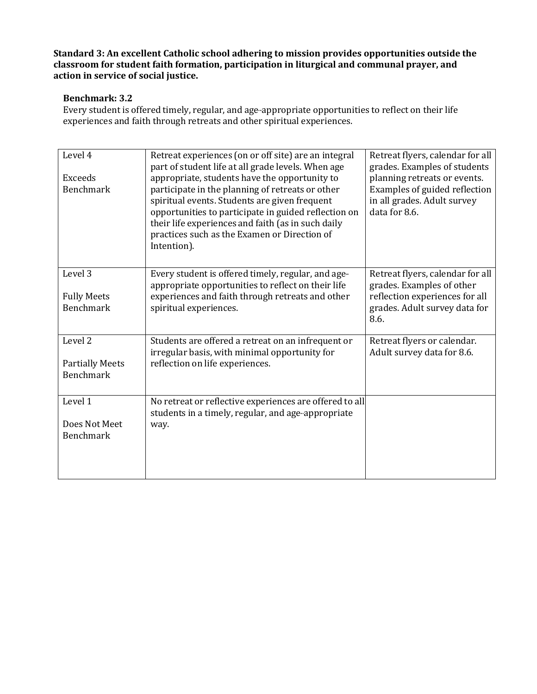#### **Benchmark: 3.2**

Every student is offered timely, regular, and age-appropriate opportunities to reflect on their life experiences and faith through retreats and other spiritual experiences.

| Level 4<br>Exceeds<br><b>Benchmark</b>     | Retreat experiences (on or off site) are an integral<br>part of student life at all grade levels. When age<br>appropriate, students have the opportunity to<br>participate in the planning of retreats or other<br>spiritual events. Students are given frequent<br>opportunities to participate in guided reflection on<br>their life experiences and faith (as in such daily<br>practices such as the Examen or Direction of<br>Intention). | Retreat flyers, calendar for all<br>grades. Examples of students<br>planning retreats or events.<br>Examples of guided reflection<br>in all grades. Adult survey<br>data for 8.6. |
|--------------------------------------------|-----------------------------------------------------------------------------------------------------------------------------------------------------------------------------------------------------------------------------------------------------------------------------------------------------------------------------------------------------------------------------------------------------------------------------------------------|-----------------------------------------------------------------------------------------------------------------------------------------------------------------------------------|
| Level 3<br><b>Fully Meets</b>              | Every student is offered timely, regular, and age-<br>appropriate opportunities to reflect on their life<br>experiences and faith through retreats and other                                                                                                                                                                                                                                                                                  | Retreat flyers, calendar for all<br>grades. Examples of other<br>reflection experiences for all                                                                                   |
| <b>Benchmark</b>                           | spiritual experiences.                                                                                                                                                                                                                                                                                                                                                                                                                        | grades. Adult survey data for<br>8.6.                                                                                                                                             |
| Level <sub>2</sub>                         | Students are offered a retreat on an infrequent or<br>irregular basis, with minimal opportunity for                                                                                                                                                                                                                                                                                                                                           | Retreat flyers or calendar.<br>Adult survey data for 8.6.                                                                                                                         |
| <b>Partially Meets</b><br><b>Benchmark</b> | reflection on life experiences.                                                                                                                                                                                                                                                                                                                                                                                                               |                                                                                                                                                                                   |
| Level 1                                    | No retreat or reflective experiences are offered to all<br>students in a timely, regular, and age-appropriate                                                                                                                                                                                                                                                                                                                                 |                                                                                                                                                                                   |
| Does Not Meet<br><b>Benchmark</b>          | way.                                                                                                                                                                                                                                                                                                                                                                                                                                          |                                                                                                                                                                                   |
|                                            |                                                                                                                                                                                                                                                                                                                                                                                                                                               |                                                                                                                                                                                   |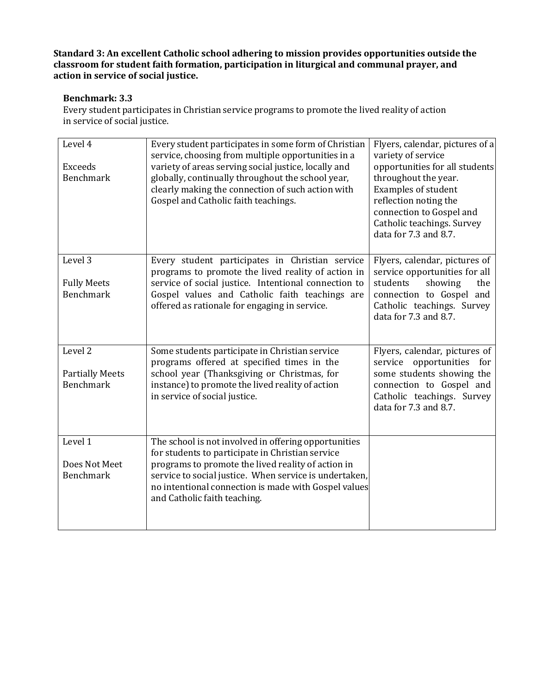#### **Benchmark: 3.3**

Every student participates in Christian service programs to promote the lived reality of action in service of social justice.

| Level 4<br><b>Exceeds</b><br><b>Benchmark</b>                    | Every student participates in some form of Christian<br>service, choosing from multiple opportunities in a<br>variety of areas serving social justice, locally and<br>globally, continually throughout the school year,<br>clearly making the connection of such action with<br>Gospel and Catholic faith teachings. | Flyers, calendar, pictures of a<br>variety of service<br>opportunities for all students<br>throughout the year.<br><b>Examples of student</b><br>reflection noting the<br>connection to Gospel and<br>Catholic teachings. Survey<br>data for 7.3 and 8.7. |
|------------------------------------------------------------------|----------------------------------------------------------------------------------------------------------------------------------------------------------------------------------------------------------------------------------------------------------------------------------------------------------------------|-----------------------------------------------------------------------------------------------------------------------------------------------------------------------------------------------------------------------------------------------------------|
| Level 3<br><b>Fully Meets</b><br><b>Benchmark</b>                | Every student participates in Christian service<br>programs to promote the lived reality of action in<br>service of social justice. Intentional connection to<br>Gospel values and Catholic faith teachings are<br>offered as rationale for engaging in service.                                                     | Flyers, calendar, pictures of<br>service opportunities for all<br>showing<br>students<br>the<br>connection to Gospel and<br>Catholic teachings. Survey<br>data for 7.3 and 8.7.                                                                           |
| Level <sub>2</sub><br><b>Partially Meets</b><br><b>Benchmark</b> | Some students participate in Christian service<br>programs offered at specified times in the<br>school year (Thanksgiving or Christmas, for<br>instance) to promote the lived reality of action<br>in service of social justice.                                                                                     | Flyers, calendar, pictures of<br>service opportunities for<br>some students showing the<br>connection to Gospel and<br>Catholic teachings. Survey<br>data for 7.3 and 8.7.                                                                                |
| Level 1<br>Does Not Meet<br><b>Benchmark</b>                     | The school is not involved in offering opportunities<br>for students to participate in Christian service<br>programs to promote the lived reality of action in<br>service to social justice. When service is undertaken,<br>no intentional connection is made with Gospel values<br>and Catholic faith teaching.     |                                                                                                                                                                                                                                                           |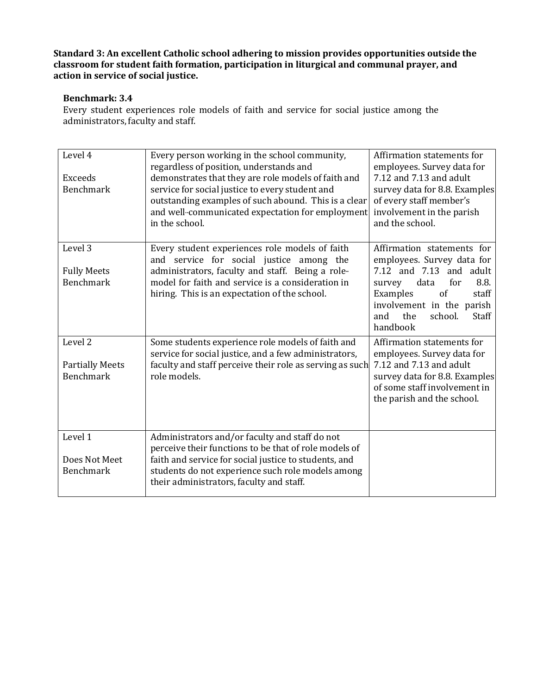#### **Benchmark: 3.4**

Every student experiences role models of faith and service for social justice among the administrators, faculty and staff.

| Level 4<br><b>Exceeds</b><br><b>Benchmark</b>                    | Every person working in the school community,<br>regardless of position, understands and<br>demonstrates that they are role models of faith and<br>service for social justice to every student and<br>outstanding examples of such abound. This is a clear<br>and well-communicated expectation for employment<br>in the school. | Affirmation statements for<br>employees. Survey data for<br>7.12 and 7.13 and adult<br>survey data for 8.8. Examples<br>of every staff member's<br>involvement in the parish<br>and the school.                            |
|------------------------------------------------------------------|----------------------------------------------------------------------------------------------------------------------------------------------------------------------------------------------------------------------------------------------------------------------------------------------------------------------------------|----------------------------------------------------------------------------------------------------------------------------------------------------------------------------------------------------------------------------|
| Level 3<br><b>Fully Meets</b><br><b>Benchmark</b>                | Every student experiences role models of faith<br>and service for social justice among the<br>administrators, faculty and staff. Being a role-<br>model for faith and service is a consideration in<br>hiring. This is an expectation of the school.                                                                             | Affirmation statements for<br>employees. Survey data for<br>7.12 and 7.13 and adult<br>8.8.<br>data<br>for<br>survey<br>of<br>Examples<br>staff<br>involvement in the parish<br>the<br>school.<br>and<br>Staff<br>handbook |
| Level <sub>2</sub><br><b>Partially Meets</b><br><b>Benchmark</b> | Some students experience role models of faith and<br>service for social justice, and a few administrators,<br>faculty and staff perceive their role as serving as such<br>role models.                                                                                                                                           | Affirmation statements for<br>employees. Survey data for<br>7.12 and 7.13 and adult<br>survey data for 8.8. Examples<br>of some staff involvement in<br>the parish and the school.                                         |
| Level 1<br>Does Not Meet<br><b>Benchmark</b>                     | Administrators and/or faculty and staff do not<br>perceive their functions to be that of role models of<br>faith and service for social justice to students, and<br>students do not experience such role models among<br>their administrators, faculty and staff.                                                                |                                                                                                                                                                                                                            |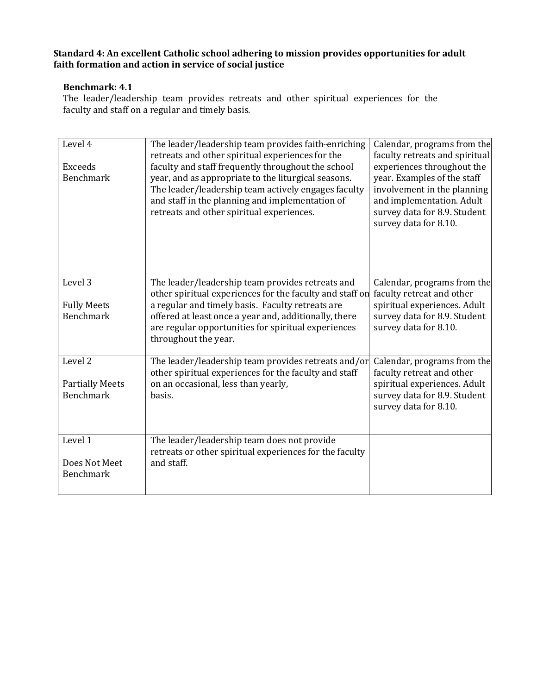#### **Benchmark: 4.1**

The leader/leadership team provides retreats and other spiritual experiences for the faculty and staff on a regular and timely basis.

| Level 4<br><b>Exceeds</b><br><b>Benchmark</b>             | The leader/leadership team provides faith-enriching<br>retreats and other spiritual experiences for the<br>faculty and staff frequently throughout the school<br>year, and as appropriate to the liturgical seasons.<br>The leader/leadership team actively engages faculty<br>and staff in the planning and implementation of<br>retreats and other spiritual experiences. | Calendar, programs from the<br>faculty retreats and spiritual<br>experiences throughout the<br>year. Examples of the staff<br>involvement in the planning<br>and implementation. Adult<br>survey data for 8.9. Student<br>survey data for 8.10. |
|-----------------------------------------------------------|-----------------------------------------------------------------------------------------------------------------------------------------------------------------------------------------------------------------------------------------------------------------------------------------------------------------------------------------------------------------------------|-------------------------------------------------------------------------------------------------------------------------------------------------------------------------------------------------------------------------------------------------|
| Level 3<br><b>Fully Meets</b><br><b>Benchmark</b>         | The leader/leadership team provides retreats and<br>other spiritual experiences for the faculty and staff on<br>a regular and timely basis. Faculty retreats are<br>offered at least once a year and, additionally, there<br>are regular opportunities for spiritual experiences<br>throughout the year.                                                                    | Calendar, programs from the<br>faculty retreat and other<br>spiritual experiences. Adult<br>survey data for 8.9. Student<br>survey data for 8.10.                                                                                               |
| Level <sub>2</sub><br><b>Partially Meets</b><br>Benchmark | The leader/leadership team provides retreats and/or<br>other spiritual experiences for the faculty and staff<br>on an occasional, less than yearly,<br>basis.                                                                                                                                                                                                               | Calendar, programs from the<br>faculty retreat and other<br>spiritual experiences. Adult<br>survey data for 8.9. Student<br>survey data for 8.10.                                                                                               |
| Level 1<br>Does Not Meet<br>Benchmark                     | The leader/leadership team does not provide<br>retreats or other spiritual experiences for the faculty<br>and staff.                                                                                                                                                                                                                                                        |                                                                                                                                                                                                                                                 |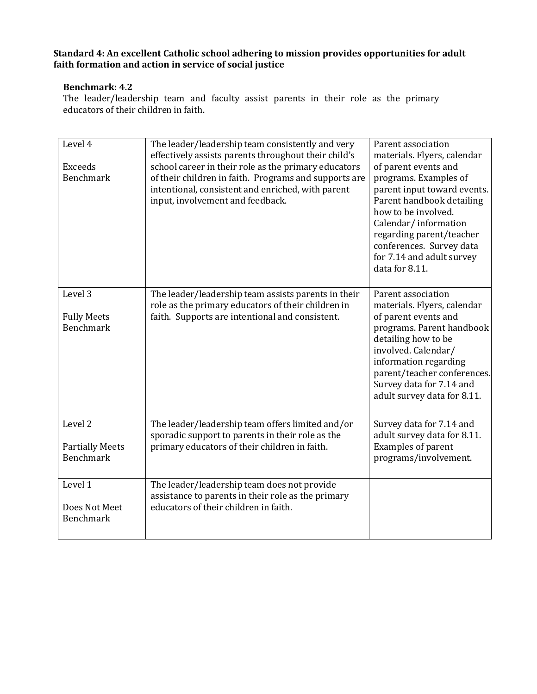#### **Benchmark: 4.2**

The leader/leadership team and faculty assist parents in their role as the primary educators of their children in faith.

| Level 4<br><b>Exceeds</b><br><b>Benchmark</b>         | The leader/leadership team consistently and very<br>effectively assists parents throughout their child's<br>school career in their role as the primary educators<br>of their children in faith. Programs and supports are<br>intentional, consistent and enriched, with parent<br>input, involvement and feedback. | Parent association<br>materials. Flyers, calendar<br>of parent events and<br>programs. Examples of<br>parent input toward events.<br>Parent handbook detailing<br>how to be involved.<br>Calendar/information<br>regarding parent/teacher<br>conferences. Survey data<br>for 7.14 and adult survey<br>data for 8.11. |
|-------------------------------------------------------|--------------------------------------------------------------------------------------------------------------------------------------------------------------------------------------------------------------------------------------------------------------------------------------------------------------------|----------------------------------------------------------------------------------------------------------------------------------------------------------------------------------------------------------------------------------------------------------------------------------------------------------------------|
| Level 3<br><b>Fully Meets</b><br><b>Benchmark</b>     | The leader/leadership team assists parents in their<br>role as the primary educators of their children in<br>faith. Supports are intentional and consistent.                                                                                                                                                       | Parent association<br>materials. Flyers, calendar<br>of parent events and<br>programs. Parent handbook<br>detailing how to be<br>involved. Calendar/<br>information regarding<br>parent/teacher conferences.<br>Survey data for 7.14 and<br>adult survey data for 8.11.                                              |
| Level 2<br><b>Partially Meets</b><br><b>Benchmark</b> | The leader/leadership team offers limited and/or<br>sporadic support to parents in their role as the<br>primary educators of their children in faith.                                                                                                                                                              | Survey data for 7.14 and<br>adult survey data for 8.11.<br>Examples of parent<br>programs/involvement.                                                                                                                                                                                                               |
| Level 1<br>Does Not Meet<br><b>Benchmark</b>          | The leader/leadership team does not provide<br>assistance to parents in their role as the primary<br>educators of their children in faith.                                                                                                                                                                         |                                                                                                                                                                                                                                                                                                                      |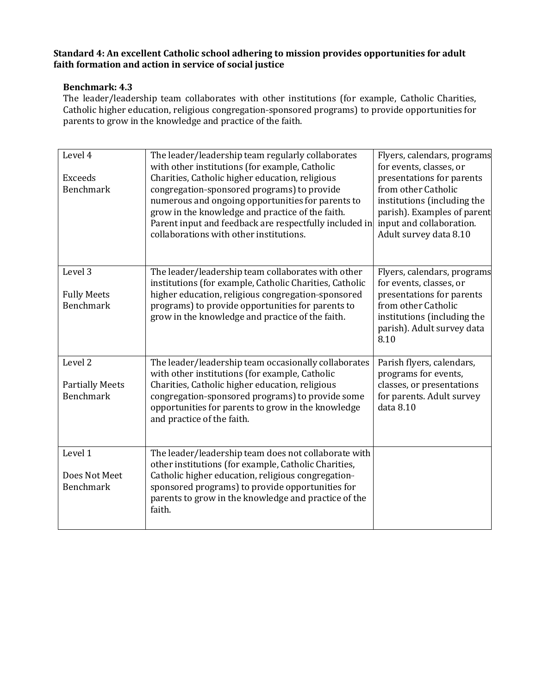#### **Benchmark: 4.3**

The leader/leadership team collaborates with other institutions (for example, Catholic Charities, Catholic higher education, religious congregation-sponsored programs) to provide opportunities for parents to grow in the knowledge and practice of the faith.

| Level 4<br><b>Exceeds</b><br><b>Benchmark</b>                    | The leader/leadership team regularly collaborates<br>with other institutions (for example, Catholic<br>Charities, Catholic higher education, religious<br>congregation-sponsored programs) to provide<br>numerous and ongoing opportunities for parents to<br>grow in the knowledge and practice of the faith.<br>Parent input and feedback are respectfully included in<br>collaborations with other institutions. | Flyers, calendars, programs<br>for events, classes, or<br>presentations for parents<br>from other Catholic<br>institutions (including the<br>parish). Examples of parent<br>input and collaboration.<br>Adult survey data 8.10 |
|------------------------------------------------------------------|---------------------------------------------------------------------------------------------------------------------------------------------------------------------------------------------------------------------------------------------------------------------------------------------------------------------------------------------------------------------------------------------------------------------|--------------------------------------------------------------------------------------------------------------------------------------------------------------------------------------------------------------------------------|
| Level <sub>3</sub><br><b>Fully Meets</b><br><b>Benchmark</b>     | The leader/leadership team collaborates with other<br>institutions (for example, Catholic Charities, Catholic<br>higher education, religious congregation-sponsored<br>programs) to provide opportunities for parents to<br>grow in the knowledge and practice of the faith.                                                                                                                                        | Flyers, calendars, programs<br>for events, classes, or<br>presentations for parents<br>from other Catholic<br>institutions (including the<br>parish). Adult survey data<br>8.10                                                |
| Level <sub>2</sub><br><b>Partially Meets</b><br><b>Benchmark</b> | The leader/leadership team occasionally collaborates<br>with other institutions (for example, Catholic<br>Charities, Catholic higher education, religious<br>congregation-sponsored programs) to provide some<br>opportunities for parents to grow in the knowledge<br>and practice of the faith.                                                                                                                   | Parish flyers, calendars,<br>programs for events,<br>classes, or presentations<br>for parents. Adult survey<br>data 8.10                                                                                                       |
| Level 1<br>Does Not Meet<br><b>Benchmark</b>                     | The leader/leadership team does not collaborate with<br>other institutions (for example, Catholic Charities,<br>Catholic higher education, religious congregation-<br>sponsored programs) to provide opportunities for<br>parents to grow in the knowledge and practice of the<br>faith.                                                                                                                            |                                                                                                                                                                                                                                |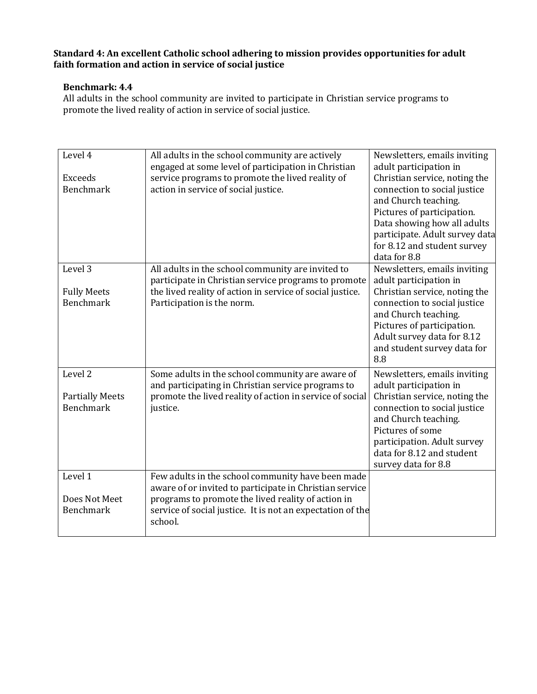#### **Benchmark: 4.4**

All adults in the school community are invited to participate in Christian service programs to promote the lived reality of action in service of social justice.

| Level 4<br><b>Exceeds</b><br><b>Benchmark</b>                    | All adults in the school community are actively<br>engaged at some level of participation in Christian<br>service programs to promote the lived reality of<br>action in service of social justice.                                          | Newsletters, emails inviting<br>adult participation in<br>Christian service, noting the<br>connection to social justice<br>and Church teaching.<br>Pictures of participation.<br>Data showing how all adults<br>participate. Adult survey data<br>for 8.12 and student survey<br>data for 8.8 |
|------------------------------------------------------------------|---------------------------------------------------------------------------------------------------------------------------------------------------------------------------------------------------------------------------------------------|-----------------------------------------------------------------------------------------------------------------------------------------------------------------------------------------------------------------------------------------------------------------------------------------------|
| Level 3<br><b>Fully Meets</b><br><b>Benchmark</b>                | All adults in the school community are invited to<br>participate in Christian service programs to promote<br>the lived reality of action in service of social justice.<br>Participation is the norm.                                        | Newsletters, emails inviting<br>adult participation in<br>Christian service, noting the<br>connection to social justice<br>and Church teaching.<br>Pictures of participation.<br>Adult survey data for 8.12<br>and student survey data for<br>8.8                                             |
| Level <sub>2</sub><br><b>Partially Meets</b><br><b>Benchmark</b> | Some adults in the school community are aware of<br>and participating in Christian service programs to<br>promote the lived reality of action in service of social<br>justice.                                                              | Newsletters, emails inviting<br>adult participation in<br>Christian service, noting the<br>connection to social justice<br>and Church teaching.<br>Pictures of some<br>participation. Adult survey<br>data for 8.12 and student<br>survey data for 8.8                                        |
| Level 1<br>Does Not Meet<br><b>Benchmark</b>                     | Few adults in the school community have been made<br>aware of or invited to participate in Christian service<br>programs to promote the lived reality of action in<br>service of social justice. It is not an expectation of the<br>school. |                                                                                                                                                                                                                                                                                               |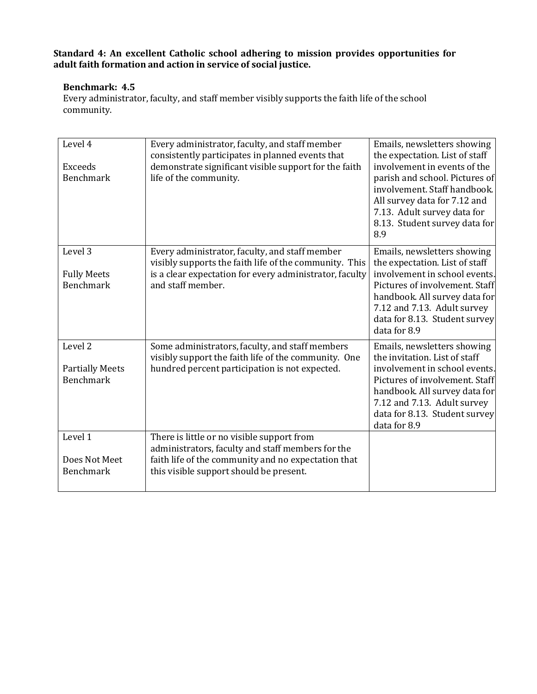#### **Benchmark: 4.5**

Every administrator, faculty, and staff member visibly supports the faith life of the school community.

| Level 4<br><b>Exceeds</b><br><b>Benchmark</b>                    | Every administrator, faculty, and staff member<br>consistently participates in planned events that<br>demonstrate significant visible support for the faith<br>life of the community.             | Emails, newsletters showing<br>the expectation. List of staff<br>involvement in events of the<br>parish and school. Pictures of<br>involvement. Staff handbook.<br>All survey data for 7.12 and<br>7.13. Adult survey data for<br>8.13. Student survey data for<br>8.9 |
|------------------------------------------------------------------|---------------------------------------------------------------------------------------------------------------------------------------------------------------------------------------------------|------------------------------------------------------------------------------------------------------------------------------------------------------------------------------------------------------------------------------------------------------------------------|
| Level 3<br><b>Fully Meets</b><br><b>Benchmark</b>                | Every administrator, faculty, and staff member<br>visibly supports the faith life of the community. This<br>is a clear expectation for every administrator, faculty<br>and staff member.          | Emails, newsletters showing<br>the expectation. List of staff<br>involvement in school events.<br>Pictures of involvement. Staff<br>handbook. All survey data for<br>7.12 and 7.13. Adult survey<br>data for 8.13. Student survey<br>data for 8.9                      |
| Level <sub>2</sub><br><b>Partially Meets</b><br><b>Benchmark</b> | Some administrators, faculty, and staff members<br>visibly support the faith life of the community. One<br>hundred percent participation is not expected.                                         | Emails, newsletters showing<br>the invitation. List of staff<br>involvement in school events.<br>Pictures of involvement. Staff<br>handbook. All survey data for<br>7.12 and 7.13. Adult survey<br>data for 8.13. Student survey<br>data for 8.9                       |
| Level 1<br>Does Not Meet<br><b>Benchmark</b>                     | There is little or no visible support from<br>administrators, faculty and staff members for the<br>faith life of the community and no expectation that<br>this visible support should be present. |                                                                                                                                                                                                                                                                        |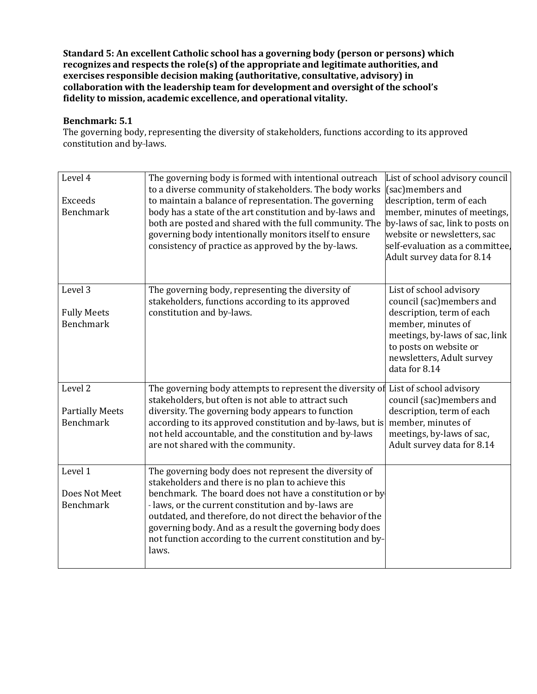**Standard 5: An excellent Catholic school has a governing body (person or persons) which recognizes and respects the role(s) of the appropriate and legitimate authorities, and exercises responsible decision making (authoritative, consultative, advisory) in collaboration with the leadership team for development and oversight of the school's fidelity to mission, academic excellence, and operational vitality.**

#### **Benchmark: 5.1**

The governing body, representing the diversity of stakeholders, functions according to its approved constitution and by-laws.

| Level 4                | The governing body is formed with intentional outreach     | List of school advisory council  |
|------------------------|------------------------------------------------------------|----------------------------------|
|                        | to a diverse community of stakeholders. The body works     | (sac)members and                 |
| Exceeds                | to maintain a balance of representation. The governing     | description, term of each        |
| <b>Benchmark</b>       | body has a state of the art constitution and by-laws and   | member, minutes of meetings,     |
|                        | both are posted and shared with the full community. The    | by-laws of sac, link to posts on |
|                        | governing body intentionally monitors itself to ensure     | website or newsletters, sac      |
|                        | consistency of practice as approved by the by-laws.        | self-evaluation as a committee.  |
|                        |                                                            | Adult survey data for 8.14       |
|                        |                                                            |                                  |
| Level 3                | The governing body, representing the diversity of          | List of school advisory          |
|                        | stakeholders, functions according to its approved          | council (sac)members and         |
| <b>Fully Meets</b>     | constitution and by-laws.                                  | description, term of each        |
| <b>Benchmark</b>       |                                                            | member, minutes of               |
|                        |                                                            | meetings, by-laws of sac, link   |
|                        |                                                            | to posts on website or           |
|                        |                                                            | newsletters, Adult survey        |
|                        |                                                            | data for 8.14                    |
|                        |                                                            |                                  |
| Level 2                | The governing body attempts to represent the diversity of  | List of school advisory          |
|                        | stakeholders, but often is not able to attract such        | council (sac)members and         |
| <b>Partially Meets</b> | diversity. The governing body appears to function          | description, term of each        |
| <b>Benchmark</b>       | according to its approved constitution and by-laws, but is | member, minutes of               |
|                        | not held accountable, and the constitution and by-laws     | meetings, by-laws of sac,        |
|                        | are not shared with the community.                         | Adult survey data for 8.14       |
|                        |                                                            |                                  |
| Level 1                | The governing body does not represent the diversity of     |                                  |
|                        | stakeholders and there is no plan to achieve this          |                                  |
| Does Not Meet          | benchmark. The board does not have a constitution or by    |                                  |
| <b>Benchmark</b>       | - laws, or the current constitution and by-laws are        |                                  |
|                        | outdated, and therefore, do not direct the behavior of the |                                  |
|                        | governing body. And as a result the governing body does    |                                  |
|                        | not function according to the current constitution and by- |                                  |
|                        | laws.                                                      |                                  |
|                        |                                                            |                                  |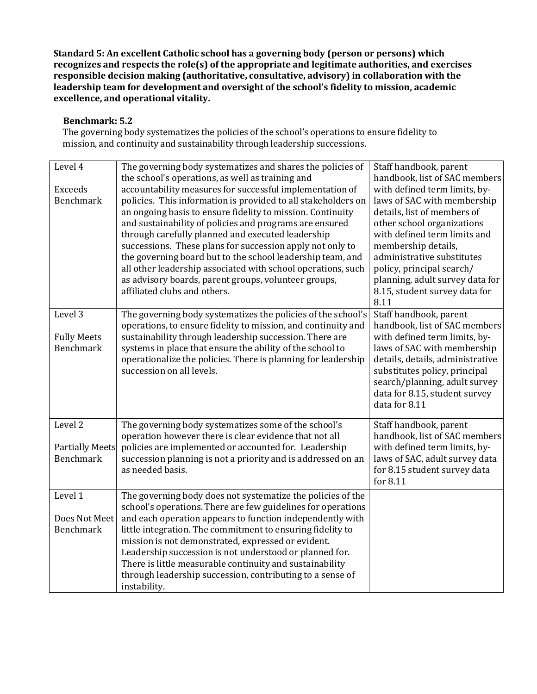**Standard 5: An excellent Catholic school has a governing body (person or persons) which recognizes and respects the role(s) of the appropriate and legitimate authorities, and exercises responsible decision making (authoritative, consultative, advisory) in collaboration with the leadership team for development and oversight of the school's fidelity to mission, academic excellence, and operational vitality.**

#### **Benchmark: 5.2**

The governing body systematizes the policies of the school's operations to ensure fidelity to mission, and continuity and sustainability through leadership successions.

| Level 4                | The governing body systematizes and shares the policies of<br>the school's operations, as well as training and | Staff handbook, parent<br>handbook, list of SAC members |
|------------------------|----------------------------------------------------------------------------------------------------------------|---------------------------------------------------------|
| Exceeds                | accountability measures for successful implementation of                                                       | with defined term limits, by-                           |
| <b>Benchmark</b>       | policies. This information is provided to all stakeholders on                                                  | laws of SAC with membership                             |
|                        | an ongoing basis to ensure fidelity to mission. Continuity                                                     | details, list of members of                             |
|                        | and sustainability of policies and programs are ensured                                                        | other school organizations                              |
|                        | through carefully planned and executed leadership                                                              | with defined term limits and                            |
|                        | successions. These plans for succession apply not only to                                                      | membership details,                                     |
|                        | the governing board but to the school leadership team, and                                                     | administrative substitutes                              |
|                        | all other leadership associated with school operations, such                                                   | policy, principal search/                               |
|                        | as advisory boards, parent groups, volunteer groups,                                                           | planning, adult survey data for                         |
|                        | affiliated clubs and others.                                                                                   | 8.15, student survey data for                           |
|                        |                                                                                                                | 8.11                                                    |
| Level 3                | The governing body systematizes the policies of the school's                                                   | Staff handbook, parent                                  |
|                        | operations, to ensure fidelity to mission, and continuity and                                                  | handbook, list of SAC members                           |
| <b>Fully Meets</b>     | sustainability through leadership succession. There are                                                        | with defined term limits, by-                           |
| <b>Benchmark</b>       | systems in place that ensure the ability of the school to                                                      | laws of SAC with membership                             |
|                        | operationalize the policies. There is planning for leadership                                                  | details, details, administrative                        |
|                        | succession on all levels.                                                                                      | substitutes policy, principal                           |
|                        |                                                                                                                | search/planning, adult survey                           |
|                        |                                                                                                                | data for 8.15, student survey                           |
|                        |                                                                                                                | data for 8.11                                           |
|                        |                                                                                                                |                                                         |
| Level <sub>2</sub>     | The governing body systematizes some of the school's                                                           | Staff handbook, parent                                  |
|                        | operation however there is clear evidence that not all                                                         | handbook, list of SAC members                           |
| <b>Partially Meets</b> | policies are implemented or accounted for. Leadership                                                          | with defined term limits, by-                           |
| <b>Benchmark</b>       | succession planning is not a priority and is addressed on an                                                   | laws of SAC, adult survey data                          |
|                        | as needed basis.                                                                                               | for 8.15 student survey data                            |
|                        |                                                                                                                | for 8.11                                                |
| Level 1                | The governing body does not systematize the policies of the                                                    |                                                         |
|                        | school's operations. There are few guidelines for operations                                                   |                                                         |
| Does Not Meet          | and each operation appears to function independently with                                                      |                                                         |
| <b>Benchmark</b>       | little integration. The commitment to ensuring fidelity to                                                     |                                                         |
|                        | mission is not demonstrated, expressed or evident.                                                             |                                                         |
|                        | Leadership succession is not understood or planned for.                                                        |                                                         |
|                        | There is little measurable continuity and sustainability                                                       |                                                         |
|                        | through leadership succession, contributing to a sense of                                                      |                                                         |
|                        | instability.                                                                                                   |                                                         |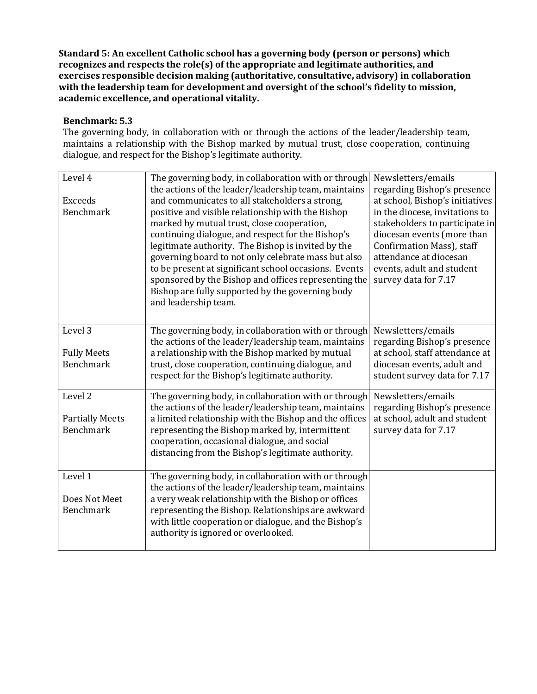**Standard 5: An excellent Catholic school has a governing body (person or persons) which recognizes and respects the role(s) of the appropriate and legitimate authorities, and exercises responsible decision making (authoritative, consultative, advisory) in collaboration with the leadership team for development and oversight of the school's fidelity to mission, academic excellence, and operational vitality.**

#### **Benchmark: 5.3**

The governing body, in collaboration with or through the actions of the leader/leadership team, maintains a relationship with the Bishop marked by mutual trust, close cooperation, continuing dialogue, and respect for the Bishop's legitimate authority.

| Level 4                | The governing body, in collaboration with or through<br>the actions of the leader/leadership team, maintains | Newsletters/emails<br>regarding Bishop's presence |
|------------------------|--------------------------------------------------------------------------------------------------------------|---------------------------------------------------|
| <b>Exceeds</b>         | and communicates to all stakeholders a strong,                                                               | at school, Bishop's initiatives                   |
| <b>Benchmark</b>       | positive and visible relationship with the Bishop                                                            | in the diocese, invitations to                    |
|                        | marked by mutual trust, close cooperation,                                                                   | stakeholders to participate in                    |
|                        | continuing dialogue, and respect for the Bishop's                                                            | diocesan events (more than                        |
|                        | legitimate authority. The Bishop is invited by the                                                           | Confirmation Mass), staff                         |
|                        | governing board to not only celebrate mass but also                                                          | attendance at diocesan                            |
|                        | to be present at significant school occasions. Events                                                        | events, adult and student                         |
|                        | sponsored by the Bishop and offices representing the                                                         | survey data for 7.17                              |
|                        | Bishop are fully supported by the governing body                                                             |                                                   |
|                        | and leadership team.                                                                                         |                                                   |
|                        |                                                                                                              |                                                   |
| Level 3                | The governing body, in collaboration with or through                                                         | Newsletters/emails                                |
|                        | the actions of the leader/leadership team, maintains                                                         | regarding Bishop's presence                       |
| <b>Fully Meets</b>     | a relationship with the Bishop marked by mutual                                                              | at school, staff attendance at                    |
| <b>Benchmark</b>       | trust, close cooperation, continuing dialogue, and                                                           | diocesan events, adult and                        |
|                        | respect for the Bishop's legitimate authority.                                                               | student survey data for 7.17                      |
| Level <sub>2</sub>     | The governing body, in collaboration with or through                                                         | Newsletters/emails                                |
|                        | the actions of the leader/leadership team, maintains                                                         | regarding Bishop's presence                       |
| <b>Partially Meets</b> | a limited relationship with the Bishop and the offices                                                       | at school, adult and student                      |
| <b>Benchmark</b>       | representing the Bishop marked by, intermittent                                                              | survey data for 7.17                              |
|                        | cooperation, occasional dialogue, and social                                                                 |                                                   |
|                        | distancing from the Bishop's legitimate authority.                                                           |                                                   |
|                        |                                                                                                              |                                                   |
| Level 1                | The governing body, in collaboration with or through                                                         |                                                   |
|                        | the actions of the leader/leadership team, maintains                                                         |                                                   |
| Does Not Meet          | a very weak relationship with the Bishop or offices                                                          |                                                   |
| <b>Benchmark</b>       | representing the Bishop. Relationships are awkward                                                           |                                                   |
|                        | with little cooperation or dialogue, and the Bishop's<br>authority is ignored or overlooked.                 |                                                   |
|                        |                                                                                                              |                                                   |
|                        |                                                                                                              |                                                   |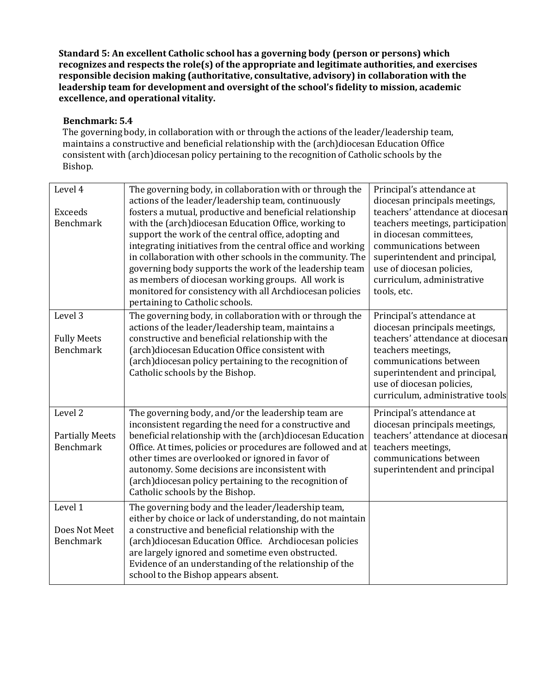**Standard 5: An excellent Catholic school has a governing body (person or persons) which recognizes and respects the role(s) of the appropriate and legitimate authorities, and exercises responsible decision making (authoritative, consultative, advisory) in collaboration with the leadership team for development and oversight of the school's fidelity to mission, academic excellence, and operational vitality.**

#### **Benchmark: 5.4**

The governing body, in collaboration with or through the actions of the leader/leadership team, maintains a constructive and beneficial relationship with the (arch)diocesan Education Office consistent with (arch)diocesan policy pertaining to the recognition of Catholic schools by the Bishop.

| Level 4                | The governing body, in collaboration with or through the<br>actions of the leader/leadership team, continuously | Principal's attendance at<br>diocesan principals meetings, |
|------------------------|-----------------------------------------------------------------------------------------------------------------|------------------------------------------------------------|
| <b>Exceeds</b>         | fosters a mutual, productive and beneficial relationship                                                        | teachers' attendance at diocesan                           |
| <b>Benchmark</b>       | with the (arch)diocesan Education Office, working to                                                            | teachers meetings, participation                           |
|                        | support the work of the central office, adopting and                                                            | in diocesan committees,                                    |
|                        | integrating initiatives from the central office and working                                                     | communications between                                     |
|                        | in collaboration with other schools in the community. The                                                       | superintendent and principal,                              |
|                        | governing body supports the work of the leadership team                                                         | use of diocesan policies,                                  |
|                        | as members of diocesan working groups. All work is                                                              | curriculum, administrative                                 |
|                        | monitored for consistency with all Archdiocesan policies                                                        | tools, etc.                                                |
|                        | pertaining to Catholic schools.                                                                                 |                                                            |
| Level 3                | The governing body, in collaboration with or through the                                                        | Principal's attendance at                                  |
|                        | actions of the leader/leadership team, maintains a                                                              | diocesan principals meetings,                              |
| <b>Fully Meets</b>     | constructive and beneficial relationship with the                                                               | teachers' attendance at diocesan                           |
| <b>Benchmark</b>       | (arch)diocesan Education Office consistent with                                                                 | teachers meetings,                                         |
|                        | (arch)diocesan policy pertaining to the recognition of                                                          | communications between                                     |
|                        | Catholic schools by the Bishop.                                                                                 | superintendent and principal,                              |
|                        |                                                                                                                 | use of diocesan policies,                                  |
|                        |                                                                                                                 | curriculum, administrative tools                           |
| Level 2                | The governing body, and/or the leadership team are                                                              | Principal's attendance at                                  |
|                        | inconsistent regarding the need for a constructive and                                                          | diocesan principals meetings,                              |
| <b>Partially Meets</b> | beneficial relationship with the (arch)diocesan Education                                                       | teachers' attendance at diocesan                           |
| <b>Benchmark</b>       | Office. At times, policies or procedures are followed and at                                                    | teachers meetings,                                         |
|                        | other times are overlooked or ignored in favor of                                                               | communications between                                     |
|                        | autonomy. Some decisions are inconsistent with                                                                  | superintendent and principal                               |
|                        | (arch)diocesan policy pertaining to the recognition of                                                          |                                                            |
|                        | Catholic schools by the Bishop.                                                                                 |                                                            |
| Level 1                | The governing body and the leader/leadership team,                                                              |                                                            |
|                        | either by choice or lack of understanding, do not maintain                                                      |                                                            |
| Does Not Meet          | a constructive and beneficial relationship with the                                                             |                                                            |
| <b>Benchmark</b>       | (arch)diocesan Education Office. Archdiocesan policies                                                          |                                                            |
|                        | are largely ignored and sometime even obstructed.                                                               |                                                            |
|                        | Evidence of an understanding of the relationship of the                                                         |                                                            |
|                        | school to the Bishop appears absent.                                                                            |                                                            |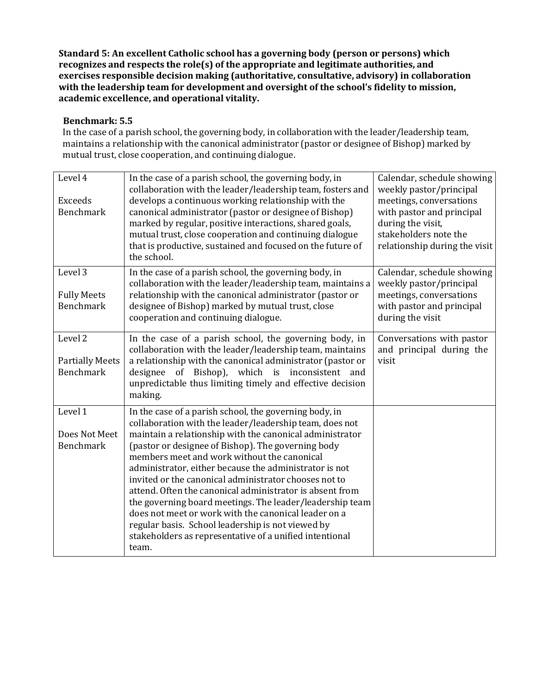**Standard 5: An excellent Catholic school has a governing body (person or persons) which recognizes and respects the role(s) of the appropriate and legitimate authorities, and exercises responsible decision making (authoritative, consultative, advisory) in collaboration with the leadership team for development and oversight of the school's fidelity to mission, academic excellence, and operational vitality.**

#### **Benchmark: 5.5**

In the case of a parish school, the governing body, in collaboration with the leader/leadership team, maintains a relationship with the canonical administrator (pastor or designee of Bishop) marked by mutual trust, close cooperation, and continuing dialogue.

| Level 4                            | In the case of a parish school, the governing body, in<br>collaboration with the leader/leadership team, fosters and   | Calendar, schedule showing<br>weekly pastor/principal  |
|------------------------------------|------------------------------------------------------------------------------------------------------------------------|--------------------------------------------------------|
| <b>Exceeds</b><br><b>Benchmark</b> | develops a continuous working relationship with the<br>canonical administrator (pastor or designee of Bishop)          | meetings, conversations<br>with pastor and principal   |
|                                    | marked by regular, positive interactions, shared goals,                                                                | during the visit,                                      |
|                                    | mutual trust, close cooperation and continuing dialogue<br>that is productive, sustained and focused on the future of  | stakeholders note the<br>relationship during the visit |
|                                    | the school.                                                                                                            |                                                        |
| Level 3                            | In the case of a parish school, the governing body, in<br>collaboration with the leader/leadership team, maintains a   | Calendar, schedule showing<br>weekly pastor/principal  |
| <b>Fully Meets</b>                 | relationship with the canonical administrator (pastor or                                                               | meetings, conversations                                |
| <b>Benchmark</b>                   | designee of Bishop) marked by mutual trust, close<br>cooperation and continuing dialogue.                              | with pastor and principal<br>during the visit          |
| Level 2                            | In the case of a parish school, the governing body, in                                                                 | Conversations with pastor                              |
| <b>Partially Meets</b>             | collaboration with the leader/leadership team, maintains<br>a relationship with the canonical administrator (pastor or | and principal during the<br>visit                      |
| <b>Benchmark</b>                   | designee of Bishop), which is inconsistent and                                                                         |                                                        |
|                                    | unpredictable thus limiting timely and effective decision<br>making.                                                   |                                                        |
| Level 1                            | In the case of a parish school, the governing body, in<br>collaboration with the leader/leadership team, does not      |                                                        |
| Does Not Meet                      | maintain a relationship with the canonical administrator                                                               |                                                        |
| <b>Benchmark</b>                   | (pastor or designee of Bishop). The governing body                                                                     |                                                        |
|                                    | members meet and work without the canonical<br>administrator, either because the administrator is not                  |                                                        |
|                                    | invited or the canonical administrator chooses not to                                                                  |                                                        |
|                                    | attend. Often the canonical administrator is absent from                                                               |                                                        |
|                                    | the governing board meetings. The leader/leadership team<br>does not meet or work with the canonical leader on a       |                                                        |
|                                    | regular basis. School leadership is not viewed by                                                                      |                                                        |
|                                    | stakeholders as representative of a unified intentional                                                                |                                                        |
|                                    | team.                                                                                                                  |                                                        |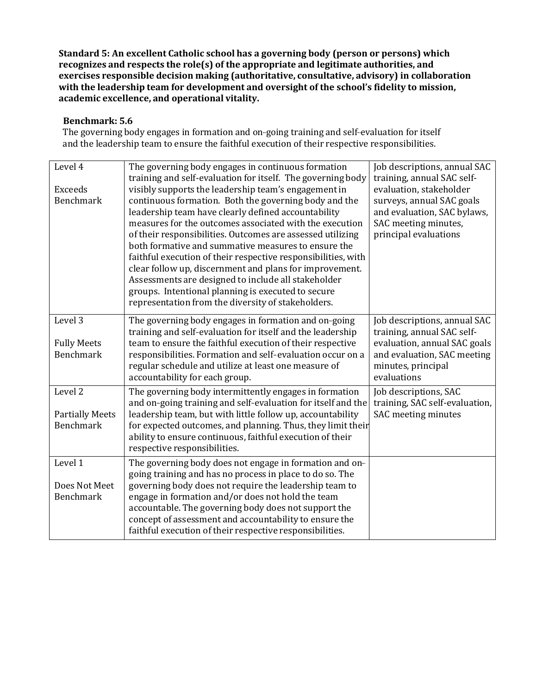**Standard 5: An excellent Catholic school has a governing body (person or persons) which recognizes and respects the role(s) of the appropriate and legitimate authorities, and exercises responsible decision making (authoritative, consultative, advisory) in collaboration with the leadership team for development and oversight of the school's fidelity to mission, academic excellence, and operational vitality.**

#### **Benchmark: 5.6**

The governing body engages in formation and on-going training and self-evaluation for itself and the leadership team to ensure the faithful execution of their respective responsibilities.

| Level 4<br><b>Exceeds</b><br><b>Benchmark</b>                    | The governing body engages in continuous formation<br>training and self-evaluation for itself. The governing body<br>visibly supports the leadership team's engagement in<br>continuous formation. Both the governing body and the<br>leadership team have clearly defined accountability<br>measures for the outcomes associated with the execution<br>of their responsibilities. Outcomes are assessed utilizing<br>both formative and summative measures to ensure the<br>faithful execution of their respective responsibilities, with<br>clear follow up, discernment and plans for improvement.<br>Assessments are designed to include all stakeholder<br>groups. Intentional planning is executed to secure<br>representation from the diversity of stakeholders. | Job descriptions, annual SAC<br>training, annual SAC self-<br>evaluation, stakeholder<br>surveys, annual SAC goals<br>and evaluation, SAC bylaws,<br>SAC meeting minutes,<br>principal evaluations |
|------------------------------------------------------------------|--------------------------------------------------------------------------------------------------------------------------------------------------------------------------------------------------------------------------------------------------------------------------------------------------------------------------------------------------------------------------------------------------------------------------------------------------------------------------------------------------------------------------------------------------------------------------------------------------------------------------------------------------------------------------------------------------------------------------------------------------------------------------|----------------------------------------------------------------------------------------------------------------------------------------------------------------------------------------------------|
| Level 3<br><b>Fully Meets</b><br><b>Benchmark</b>                | The governing body engages in formation and on-going<br>training and self-evaluation for itself and the leadership<br>team to ensure the faithful execution of their respective<br>responsibilities. Formation and self-evaluation occur on a<br>regular schedule and utilize at least one measure of<br>accountability for each group.                                                                                                                                                                                                                                                                                                                                                                                                                                  | Job descriptions, annual SAC<br>training, annual SAC self-<br>evaluation, annual SAC goals<br>and evaluation, SAC meeting<br>minutes, principal<br>evaluations                                     |
| Level <sub>2</sub><br><b>Partially Meets</b><br><b>Benchmark</b> | The governing body intermittently engages in formation<br>and on-going training and self-evaluation for itself and the<br>leadership team, but with little follow up, accountability<br>for expected outcomes, and planning. Thus, they limit their<br>ability to ensure continuous, faithful execution of their<br>respective responsibilities.                                                                                                                                                                                                                                                                                                                                                                                                                         | Job descriptions, SAC<br>training, SAC self-evaluation,<br>SAC meeting minutes                                                                                                                     |
| Level 1<br>Does Not Meet<br><b>Benchmark</b>                     | The governing body does not engage in formation and on-<br>going training and has no process in place to do so. The<br>governing body does not require the leadership team to<br>engage in formation and/or does not hold the team<br>accountable. The governing body does not support the<br>concept of assessment and accountability to ensure the<br>faithful execution of their respective responsibilities.                                                                                                                                                                                                                                                                                                                                                         |                                                                                                                                                                                                    |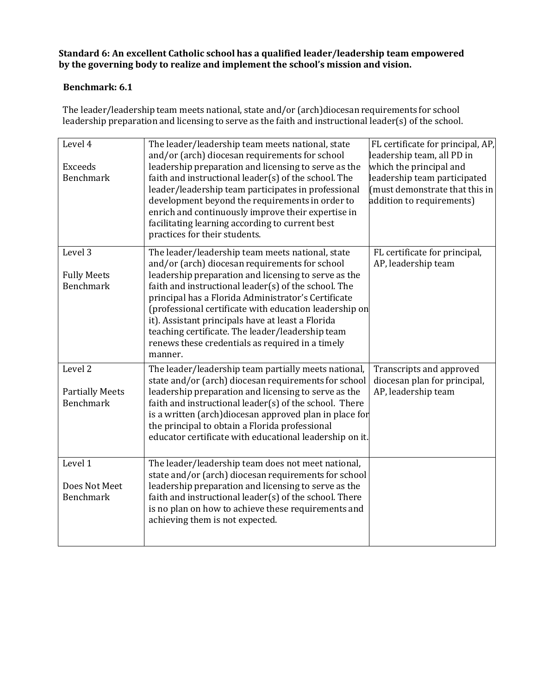#### **Benchmark: 6.1**

The leader/leadership team meets national, state and/or (arch)diocesan requirements for school leadership preparation and licensing to serve as the faith and instructional leader(s) of the school.

| Level 4<br><b>Exceeds</b><br><b>Benchmark</b>         | The leader/leadership team meets national, state<br>and/or (arch) diocesan requirements for school<br>leadership preparation and licensing to serve as the<br>faith and instructional leader(s) of the school. The<br>leader/leadership team participates in professional<br>development beyond the requirements in order to<br>enrich and continuously improve their expertise in<br>facilitating learning according to current best<br>practices for their students.                                      | FL certificate for principal, AP,<br>leadership team, all PD in<br>which the principal and<br>leadership team participated<br>(must demonstrate that this in<br>addition to requirements) |
|-------------------------------------------------------|-------------------------------------------------------------------------------------------------------------------------------------------------------------------------------------------------------------------------------------------------------------------------------------------------------------------------------------------------------------------------------------------------------------------------------------------------------------------------------------------------------------|-------------------------------------------------------------------------------------------------------------------------------------------------------------------------------------------|
| Level 3<br><b>Fully Meets</b><br><b>Benchmark</b>     | The leader/leadership team meets national, state<br>and/or (arch) diocesan requirements for school<br>leadership preparation and licensing to serve as the<br>faith and instructional leader(s) of the school. The<br>principal has a Florida Administrator's Certificate<br>(professional certificate with education leadership on<br>it). Assistant principals have at least a Florida<br>teaching certificate. The leader/leadership team<br>renews these credentials as required in a timely<br>manner. | FL certificate for principal,<br>AP, leadership team                                                                                                                                      |
| Level 2<br><b>Partially Meets</b><br><b>Benchmark</b> | The leader/leadership team partially meets national,<br>state and/or (arch) diocesan requirements for school<br>leadership preparation and licensing to serve as the<br>faith and instructional leader(s) of the school. There<br>is a written (arch)diocesan approved plan in place for<br>the principal to obtain a Florida professional<br>educator certificate with educational leadership on it.                                                                                                       | Transcripts and approved<br>diocesan plan for principal,<br>AP, leadership team                                                                                                           |
| Level 1<br>Does Not Meet<br><b>Benchmark</b>          | The leader/leadership team does not meet national,<br>state and/or (arch) diocesan requirements for school<br>leadership preparation and licensing to serve as the<br>faith and instructional leader(s) of the school. There<br>is no plan on how to achieve these requirements and<br>achieving them is not expected.                                                                                                                                                                                      |                                                                                                                                                                                           |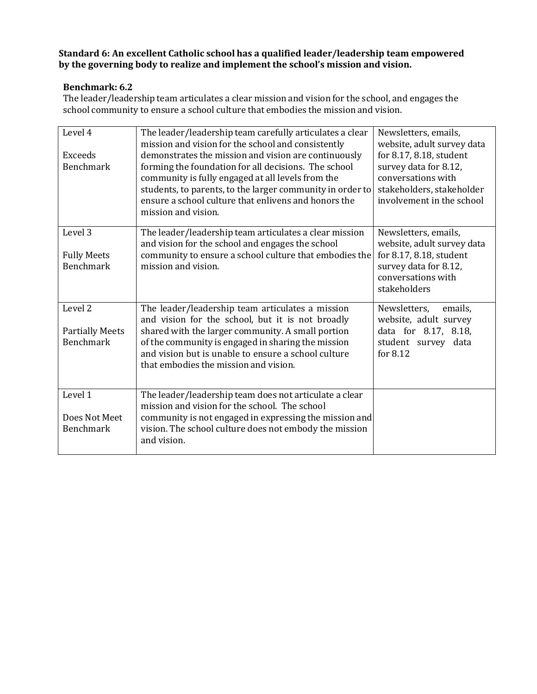#### **Benchmark: 6.2**

The leader/leadership team articulates a clear mission and vision for the school, and engages the school community to ensure a school culture that embodies the mission and vision.

| Level 4<br>Exceeds<br><b>Benchmark</b>                           | The leader/leadership team carefully articulates a clear<br>mission and vision for the school and consistently<br>demonstrates the mission and vision are continuously<br>forming the foundation for all decisions. The school<br>community is fully engaged at all levels from the<br>students, to parents, to the larger community in order to<br>ensure a school culture that enlivens and honors the<br>mission and vision. | Newsletters, emails,<br>website, adult survey data<br>for 8.17, 8.18, student<br>survey data for 8.12,<br>conversations with<br>stakeholders, stakeholder<br>involvement in the school |
|------------------------------------------------------------------|---------------------------------------------------------------------------------------------------------------------------------------------------------------------------------------------------------------------------------------------------------------------------------------------------------------------------------------------------------------------------------------------------------------------------------|----------------------------------------------------------------------------------------------------------------------------------------------------------------------------------------|
| Level <sub>3</sub><br><b>Fully Meets</b><br><b>Benchmark</b>     | The leader/leadership team articulates a clear mission<br>and vision for the school and engages the school<br>community to ensure a school culture that embodies the<br>mission and vision.                                                                                                                                                                                                                                     | Newsletters, emails,<br>website, adult survey data<br>for 8.17, 8.18, student<br>survey data for 8.12,<br>conversations with<br>stakeholders                                           |
| Level <sub>2</sub><br><b>Partially Meets</b><br><b>Benchmark</b> | The leader/leadership team articulates a mission<br>and vision for the school, but it is not broadly<br>shared with the larger community. A small portion<br>of the community is engaged in sharing the mission<br>and vision but is unable to ensure a school culture<br>that embodies the mission and vision.                                                                                                                 | Newsletters,<br>emails.<br>website, adult survey<br>data for 8.17, 8.18,<br>student survey data<br>for 8.12                                                                            |
| Level 1<br>Does Not Meet<br><b>Benchmark</b>                     | The leader/leadership team does not articulate a clear<br>mission and vision for the school. The school<br>community is not engaged in expressing the mission and<br>vision. The school culture does not embody the mission<br>and vision.                                                                                                                                                                                      |                                                                                                                                                                                        |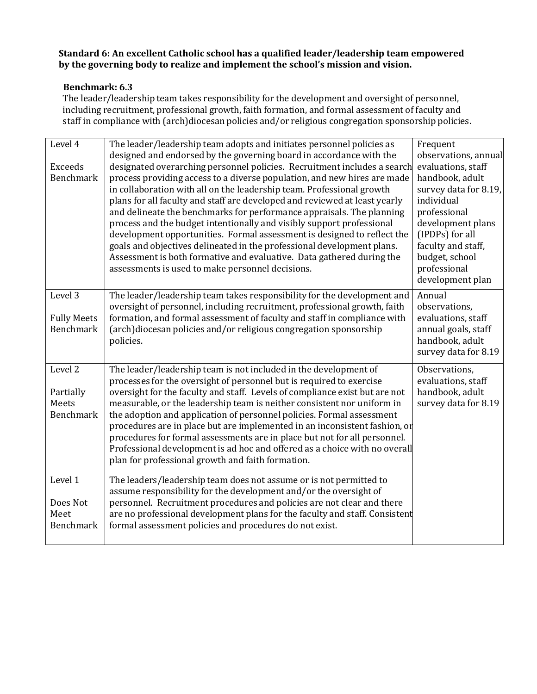#### **Benchmark: 6.3**

The leader/leadership team takes responsibility for the development and oversight of personnel, including recruitment, professional growth, faith formation, and formal assessment of faculty and staff in compliance with (arch)diocesan policies and/or religious congregation sponsorship policies.

| Level 4                   | The leader/leadership team adopts and initiates personnel policies as                                                                                 | Frequent                                   |
|---------------------------|-------------------------------------------------------------------------------------------------------------------------------------------------------|--------------------------------------------|
| Exceeds                   | designed and endorsed by the governing board in accordance with the<br>designated overarching personnel policies. Recruitment includes a search       | observations, annual<br>evaluations, staff |
| Benchmark                 | process providing access to a diverse population, and new hires are made                                                                              | handbook, adult                            |
|                           | in collaboration with all on the leadership team. Professional growth                                                                                 | survey data for 8.19,                      |
|                           | plans for all faculty and staff are developed and reviewed at least yearly                                                                            | individual                                 |
|                           | and delineate the benchmarks for performance appraisals. The planning<br>process and the budget intentionally and visibly support professional        | professional<br>development plans          |
|                           | development opportunities. Formal assessment is designed to reflect the                                                                               | (IPDPs) for all                            |
|                           | goals and objectives delineated in the professional development plans.                                                                                | faculty and staff,                         |
|                           | Assessment is both formative and evaluative. Data gathered during the                                                                                 | budget, school                             |
|                           | assessments is used to make personnel decisions.                                                                                                      | professional                               |
|                           |                                                                                                                                                       | development plan                           |
| Level 3                   | The leader/leadership team takes responsibility for the development and                                                                               | Annual                                     |
| <b>Fully Meets</b>        | oversight of personnel, including recruitment, professional growth, faith<br>formation, and formal assessment of faculty and staff in compliance with | observations,<br>evaluations, staff        |
| <b>Benchmark</b>          | (arch)diocesan policies and/or religious congregation sponsorship                                                                                     | annual goals, staff                        |
|                           | policies.                                                                                                                                             | handbook, adult                            |
|                           |                                                                                                                                                       | survey data for 8.19                       |
| Level 2                   | The leader/leadership team is not included in the development of                                                                                      | Observations,                              |
|                           | processes for the oversight of personnel but is required to exercise                                                                                  | evaluations, staff                         |
| Partially                 | oversight for the faculty and staff. Levels of compliance exist but are not                                                                           | handbook, adult                            |
| Meets<br><b>Benchmark</b> | measurable, or the leadership team is neither consistent nor uniform in<br>the adoption and application of personnel policies. Formal assessment      | survey data for 8.19                       |
|                           | procedures are in place but are implemented in an inconsistent fashion, or                                                                            |                                            |
|                           | procedures for formal assessments are in place but not for all personnel.                                                                             |                                            |
|                           | Professional development is ad hoc and offered as a choice with no overall                                                                            |                                            |
|                           | plan for professional growth and faith formation.                                                                                                     |                                            |
| Level 1                   | The leaders/leadership team does not assume or is not permitted to                                                                                    |                                            |
|                           | assume responsibility for the development and/or the oversight of                                                                                     |                                            |
| Does Not                  | personnel. Recruitment procedures and policies are not clear and there                                                                                |                                            |
| Meet<br>Benchmark         | are no professional development plans for the faculty and staff. Consistent<br>formal assessment policies and procedures do not exist.                |                                            |
|                           |                                                                                                                                                       |                                            |
|                           |                                                                                                                                                       |                                            |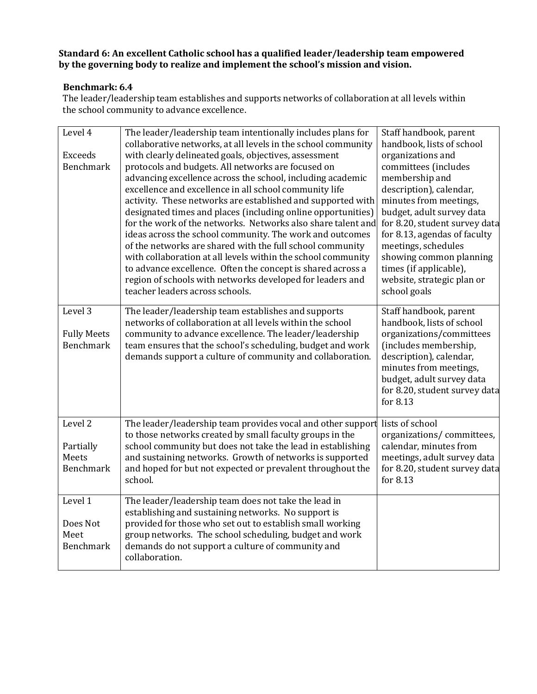#### **Benchmark: 6.4**

The leader/leadership team establishes and supports networks of collaboration at all levels within the school community to advance excellence.

| Level 4<br><b>Exceeds</b><br><b>Benchmark</b>     | The leader/leadership team intentionally includes plans for<br>collaborative networks, at all levels in the school community<br>with clearly delineated goals, objectives, assessment<br>protocols and budgets. All networks are focused on<br>advancing excellence across the school, including academic<br>excellence and excellence in all school community life<br>activity. These networks are established and supported with<br>designated times and places (including online opportunities)<br>for the work of the networks. Networks also share talent and<br>ideas across the school community. The work and outcomes<br>of the networks are shared with the full school community<br>with collaboration at all levels within the school community<br>to advance excellence. Often the concept is shared across a | Staff handbook, parent<br>handbook, lists of school<br>organizations and<br>committees (includes<br>membership and<br>description), calendar,<br>minutes from meetings,<br>budget, adult survey data<br>for 8.20, student survey data<br>for 8.13, agendas of faculty<br>meetings, schedules<br>showing common planning<br>times (if applicable), |
|---------------------------------------------------|----------------------------------------------------------------------------------------------------------------------------------------------------------------------------------------------------------------------------------------------------------------------------------------------------------------------------------------------------------------------------------------------------------------------------------------------------------------------------------------------------------------------------------------------------------------------------------------------------------------------------------------------------------------------------------------------------------------------------------------------------------------------------------------------------------------------------|---------------------------------------------------------------------------------------------------------------------------------------------------------------------------------------------------------------------------------------------------------------------------------------------------------------------------------------------------|
|                                                   | region of schools with networks developed for leaders and<br>teacher leaders across schools.                                                                                                                                                                                                                                                                                                                                                                                                                                                                                                                                                                                                                                                                                                                               | website, strategic plan or<br>school goals                                                                                                                                                                                                                                                                                                        |
| Level 3<br><b>Fully Meets</b><br><b>Benchmark</b> | The leader/leadership team establishes and supports<br>networks of collaboration at all levels within the school<br>community to advance excellence. The leader/leadership<br>team ensures that the school's scheduling, budget and work<br>demands support a culture of community and collaboration.                                                                                                                                                                                                                                                                                                                                                                                                                                                                                                                      | Staff handbook, parent<br>handbook, lists of school<br>organizations/committees<br>(includes membership,<br>description), calendar,<br>minutes from meetings,<br>budget, adult survey data<br>for 8.20, student survey data<br>for 8.13                                                                                                           |
| Level 2<br>Partially<br>Meets<br><b>Benchmark</b> | The leader/leadership team provides vocal and other support<br>to those networks created by small faculty groups in the<br>school community but does not take the lead in establishing<br>and sustaining networks. Growth of networks is supported<br>and hoped for but not expected or prevalent throughout the<br>school.                                                                                                                                                                                                                                                                                                                                                                                                                                                                                                | lists of school<br>organizations/committees,<br>calendar, minutes from<br>meetings, adult survey data<br>for 8.20, student survey data<br>for 8.13                                                                                                                                                                                                |
| Level 1<br>Does Not<br>Meet<br><b>Benchmark</b>   | The leader/leadership team does not take the lead in<br>establishing and sustaining networks. No support is<br>provided for those who set out to establish small working<br>group networks. The school scheduling, budget and work<br>demands do not support a culture of community and<br>collaboration.                                                                                                                                                                                                                                                                                                                                                                                                                                                                                                                  |                                                                                                                                                                                                                                                                                                                                                   |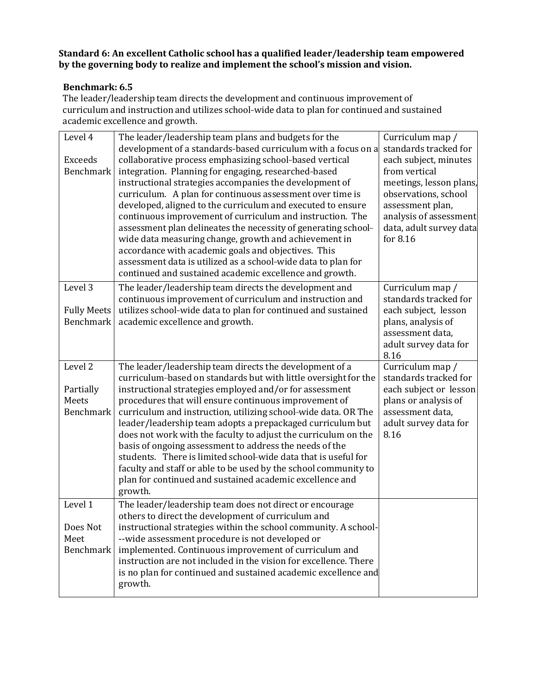#### **Benchmark: 6.5**

The leader/leadership team directs the development and continuous improvement of curriculum and instruction and utilizes school-wide data to plan for continued and sustained academic excellence and growth.

| Level 4<br><b>Exceeds</b><br><b>Benchmark</b>     | The leader/leadership team plans and budgets for the<br>development of a standards-based curriculum with a focus on a<br>collaborative process emphasizing school-based vertical<br>integration. Planning for engaging, researched-based<br>instructional strategies accompanies the development of<br>curriculum. A plan for continuous assessment over time is<br>developed, aligned to the curriculum and executed to ensure<br>continuous improvement of curriculum and instruction. The<br>assessment plan delineates the necessity of generating school-<br>wide data measuring change, growth and achievement in<br>accordance with academic goals and objectives. This<br>assessment data is utilized as a school-wide data to plan for<br>continued and sustained academic excellence and growth. | Curriculum map /<br>standards tracked for<br>each subject, minutes<br>from vertical<br>meetings, lesson plans,<br>observations, school<br>assessment plan,<br>analysis of assessment<br>data, adult survey data<br>for 8.16 |
|---------------------------------------------------|------------------------------------------------------------------------------------------------------------------------------------------------------------------------------------------------------------------------------------------------------------------------------------------------------------------------------------------------------------------------------------------------------------------------------------------------------------------------------------------------------------------------------------------------------------------------------------------------------------------------------------------------------------------------------------------------------------------------------------------------------------------------------------------------------------|-----------------------------------------------------------------------------------------------------------------------------------------------------------------------------------------------------------------------------|
| Level 3<br><b>Fully Meets</b><br><b>Benchmark</b> | The leader/leadership team directs the development and<br>continuous improvement of curriculum and instruction and<br>utilizes school-wide data to plan for continued and sustained<br>academic excellence and growth.                                                                                                                                                                                                                                                                                                                                                                                                                                                                                                                                                                                     | Curriculum map /<br>standards tracked for<br>each subject, lesson<br>plans, analysis of<br>assessment data,<br>adult survey data for<br>8.16                                                                                |
| Level 2<br>Partially<br>Meets<br>Benchmark        | The leader/leadership team directs the development of a<br>curriculum-based on standards but with little oversight for the<br>instructional strategies employed and/or for assessment<br>procedures that will ensure continuous improvement of<br>curriculum and instruction, utilizing school-wide data. OR The<br>leader/leadership team adopts a prepackaged curriculum but<br>does not work with the faculty to adjust the curriculum on the<br>basis of ongoing assessment to address the needs of the<br>students. There is limited school-wide data that is useful for<br>faculty and staff or able to be used by the school community to<br>plan for continued and sustained academic excellence and<br>growth.                                                                                    | Curriculum map /<br>standards tracked for<br>each subject or lesson<br>plans or analysis of<br>assessment data,<br>adult survey data for<br>8.16                                                                            |
| Level 1<br>Does Not<br>Meet<br><b>Benchmark</b>   | The leader/leadership team does not direct or encourage<br>others to direct the development of curriculum and<br>instructional strategies within the school community. A school-<br>--wide assessment procedure is not developed or<br>implemented. Continuous improvement of curriculum and<br>instruction are not included in the vision for excellence. There<br>is no plan for continued and sustained academic excellence and<br>growth.                                                                                                                                                                                                                                                                                                                                                              |                                                                                                                                                                                                                             |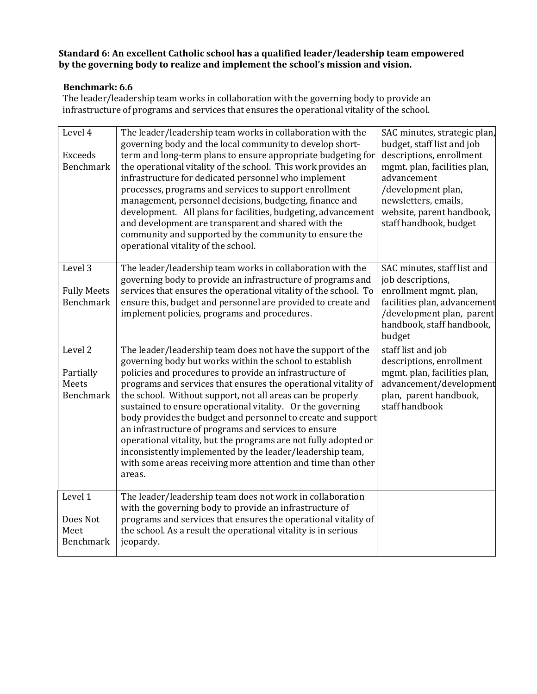#### **Benchmark: 6.6**

The leader/leadership team works in collaboration with the governing body to provide an infrastructure of programs and services that ensures the operational vitality of the school.

| Level 4<br><b>Exceeds</b><br>Benchmark                       | The leader/leadership team works in collaboration with the<br>governing body and the local community to develop short-<br>term and long-term plans to ensure appropriate budgeting for<br>the operational vitality of the school. This work provides an<br>infrastructure for dedicated personnel who implement<br>processes, programs and services to support enrollment<br>management, personnel decisions, budgeting, finance and<br>development. All plans for facilities, budgeting, advancement<br>and development are transparent and shared with the<br>community and supported by the community to ensure the<br>operational vitality of the school.                                                     | SAC minutes, strategic plan,<br>budget, staff list and job<br>descriptions, enrollment<br>mgmt. plan, facilities plan,<br>advancement<br>/development plan,<br>newsletters, emails,<br>website, parent handbook,<br>staff handbook, budget |
|--------------------------------------------------------------|-------------------------------------------------------------------------------------------------------------------------------------------------------------------------------------------------------------------------------------------------------------------------------------------------------------------------------------------------------------------------------------------------------------------------------------------------------------------------------------------------------------------------------------------------------------------------------------------------------------------------------------------------------------------------------------------------------------------|--------------------------------------------------------------------------------------------------------------------------------------------------------------------------------------------------------------------------------------------|
| Level 3<br><b>Fully Meets</b><br><b>Benchmark</b>            | The leader/leadership team works in collaboration with the<br>governing body to provide an infrastructure of programs and<br>services that ensures the operational vitality of the school. To<br>ensure this, budget and personnel are provided to create and<br>implement policies, programs and procedures.                                                                                                                                                                                                                                                                                                                                                                                                     | SAC minutes, staff list and<br>job descriptions,<br>enrollment mgmt. plan,<br>facilities plan, advancement<br>/development plan, parent<br>handbook, staff handbook,<br>budget                                                             |
| Level <sub>2</sub><br>Partially<br>Meets<br><b>Benchmark</b> | The leader/leadership team does not have the support of the<br>governing body but works within the school to establish<br>policies and procedures to provide an infrastructure of<br>programs and services that ensures the operational vitality of<br>the school. Without support, not all areas can be properly<br>sustained to ensure operational vitality. Or the governing<br>body provides the budget and personnel to create and support<br>an infrastructure of programs and services to ensure<br>operational vitality, but the programs are not fully adopted or<br>inconsistently implemented by the leader/leadership team,<br>with some areas receiving more attention and time than other<br>areas. | staff list and job<br>descriptions, enrollment<br>mgmt. plan, facilities plan,<br>advancement/development<br>plan, parent handbook,<br>staff handbook                                                                                      |
| Level 1<br>Does Not<br>Meet<br><b>Benchmark</b>              | The leader/leadership team does not work in collaboration<br>with the governing body to provide an infrastructure of<br>programs and services that ensures the operational vitality of<br>the school. As a result the operational vitality is in serious<br>jeopardy.                                                                                                                                                                                                                                                                                                                                                                                                                                             |                                                                                                                                                                                                                                            |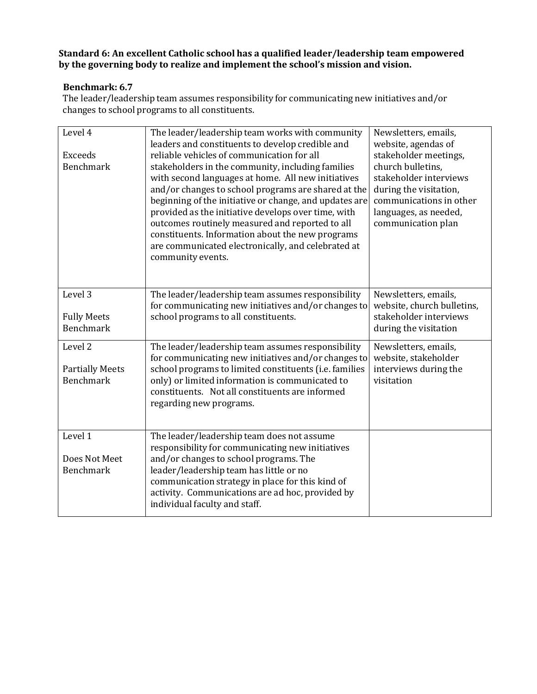#### **Benchmark: 6.7**

The leader/leadership team assumes responsibility for communicating new initiatives and/or changes to school programs to all constituents.

| Level 4<br><b>Exceeds</b><br><b>Benchmark</b>                    | The leader/leadership team works with community<br>leaders and constituents to develop credible and<br>reliable vehicles of communication for all<br>stakeholders in the community, including families<br>with second languages at home. All new initiatives<br>and/or changes to school programs are shared at the<br>beginning of the initiative or change, and updates are<br>provided as the initiative develops over time, with<br>outcomes routinely measured and reported to all<br>constituents. Information about the new programs<br>are communicated electronically, and celebrated at<br>community events. | Newsletters, emails,<br>website, agendas of<br>stakeholder meetings,<br>church bulletins,<br>stakeholder interviews<br>during the visitation,<br>communications in other<br>languages, as needed,<br>communication plan |
|------------------------------------------------------------------|------------------------------------------------------------------------------------------------------------------------------------------------------------------------------------------------------------------------------------------------------------------------------------------------------------------------------------------------------------------------------------------------------------------------------------------------------------------------------------------------------------------------------------------------------------------------------------------------------------------------|-------------------------------------------------------------------------------------------------------------------------------------------------------------------------------------------------------------------------|
| Level 3<br><b>Fully Meets</b><br><b>Benchmark</b>                | The leader/leadership team assumes responsibility<br>for communicating new initiatives and/or changes to<br>school programs to all constituents.                                                                                                                                                                                                                                                                                                                                                                                                                                                                       | Newsletters, emails,<br>website, church bulletins,<br>stakeholder interviews<br>during the visitation                                                                                                                   |
| Level <sub>2</sub><br><b>Partially Meets</b><br><b>Benchmark</b> | The leader/leadership team assumes responsibility<br>for communicating new initiatives and/or changes to<br>school programs to limited constituents (i.e. families<br>only) or limited information is communicated to<br>constituents. Not all constituents are informed<br>regarding new programs.                                                                                                                                                                                                                                                                                                                    | Newsletters, emails,<br>website, stakeholder<br>interviews during the<br>visitation                                                                                                                                     |
| Level 1<br>Does Not Meet<br><b>Benchmark</b>                     | The leader/leadership team does not assume<br>responsibility for communicating new initiatives<br>and/or changes to school programs. The<br>leader/leadership team has little or no<br>communication strategy in place for this kind of<br>activity. Communications are ad hoc, provided by<br>individual faculty and staff.                                                                                                                                                                                                                                                                                           |                                                                                                                                                                                                                         |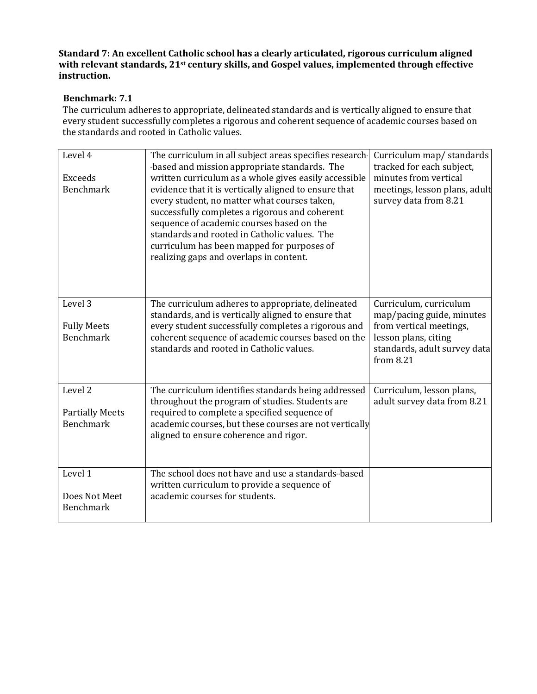**Standard 7: An excellent Catholic school has a clearly articulated, rigorous curriculum aligned with relevant standards, 21st century skills, and Gospel values, implemented through effective instruction.**

#### **Benchmark: 7.1**

The curriculum adheres to appropriate, delineated standards and is vertically aligned to ensure that every student successfully completes a rigorous and coherent sequence of academic courses based on the standards and rooted in Catholic values.

| Level 4<br><b>Exceeds</b><br><b>Benchmark</b> | The curriculum in all subject areas specifies research-<br>-based and mission appropriate standards. The<br>written curriculum as a whole gives easily accessible<br>evidence that it is vertically aligned to ensure that<br>every student, no matter what courses taken,<br>successfully completes a rigorous and coherent<br>sequence of academic courses based on the<br>standards and rooted in Catholic values. The<br>curriculum has been mapped for purposes of<br>realizing gaps and overlaps in content. | Curriculum map/standards<br>tracked for each subject,<br>minutes from vertical<br>meetings, lesson plans, adult<br>survey data from 8.21 |
|-----------------------------------------------|--------------------------------------------------------------------------------------------------------------------------------------------------------------------------------------------------------------------------------------------------------------------------------------------------------------------------------------------------------------------------------------------------------------------------------------------------------------------------------------------------------------------|------------------------------------------------------------------------------------------------------------------------------------------|
| Level 3                                       | The curriculum adheres to appropriate, delineated                                                                                                                                                                                                                                                                                                                                                                                                                                                                  | Curriculum, curriculum                                                                                                                   |
|                                               | standards, and is vertically aligned to ensure that                                                                                                                                                                                                                                                                                                                                                                                                                                                                | map/pacing guide, minutes                                                                                                                |
| <b>Fully Meets</b>                            | every student successfully completes a rigorous and                                                                                                                                                                                                                                                                                                                                                                                                                                                                | from vertical meetings,                                                                                                                  |
| <b>Benchmark</b>                              | coherent sequence of academic courses based on the<br>standards and rooted in Catholic values.                                                                                                                                                                                                                                                                                                                                                                                                                     | lesson plans, citing<br>standards, adult survey data<br>from 8.21                                                                        |
| Level $\overline{2}$                          | The curriculum identifies standards being addressed                                                                                                                                                                                                                                                                                                                                                                                                                                                                | Curriculum, lesson plans,                                                                                                                |
|                                               | throughout the program of studies. Students are                                                                                                                                                                                                                                                                                                                                                                                                                                                                    | adult survey data from 8.21                                                                                                              |
| <b>Partially Meets</b>                        | required to complete a specified sequence of                                                                                                                                                                                                                                                                                                                                                                                                                                                                       |                                                                                                                                          |
| <b>Benchmark</b>                              | academic courses, but these courses are not vertically                                                                                                                                                                                                                                                                                                                                                                                                                                                             |                                                                                                                                          |
|                                               | aligned to ensure coherence and rigor.                                                                                                                                                                                                                                                                                                                                                                                                                                                                             |                                                                                                                                          |
|                                               |                                                                                                                                                                                                                                                                                                                                                                                                                                                                                                                    |                                                                                                                                          |
| Level 1                                       | The school does not have and use a standards-based                                                                                                                                                                                                                                                                                                                                                                                                                                                                 |                                                                                                                                          |
| Does Not Meet                                 | written curriculum to provide a sequence of<br>academic courses for students.                                                                                                                                                                                                                                                                                                                                                                                                                                      |                                                                                                                                          |
| <b>Benchmark</b>                              |                                                                                                                                                                                                                                                                                                                                                                                                                                                                                                                    |                                                                                                                                          |
|                                               |                                                                                                                                                                                                                                                                                                                                                                                                                                                                                                                    |                                                                                                                                          |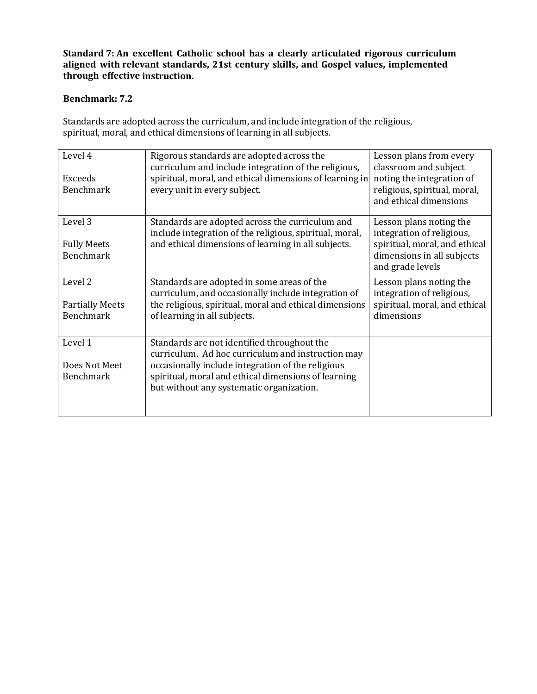## **Benchmark: 7.2**

Standards are adopted across the curriculum, and include integration of the religious, spiritual, moral, and ethical dimensions of learning in all subjects.

| Level 4<br>Exceeds<br><b>Benchmark</b>                           | Rigorous standards are adopted across the<br>curriculum and include integration of the religious,<br>spiritual, moral, and ethical dimensions of learning in<br>every unit in every subject.                                                             | Lesson plans from every<br>classroom and subject<br>noting the integration of<br>religious, spiritual, moral,<br>and ethical dimensions |
|------------------------------------------------------------------|----------------------------------------------------------------------------------------------------------------------------------------------------------------------------------------------------------------------------------------------------------|-----------------------------------------------------------------------------------------------------------------------------------------|
| Level 3<br><b>Fully Meets</b><br><b>Benchmark</b>                | Standards are adopted across the curriculum and<br>include integration of the religious, spiritual, moral,<br>and ethical dimensions of learning in all subjects.                                                                                        | Lesson plans noting the<br>integration of religious,<br>spiritual, moral, and ethical<br>dimensions in all subjects<br>and grade levels |
| Level <sub>2</sub><br><b>Partially Meets</b><br><b>Benchmark</b> | Standards are adopted in some areas of the<br>curriculum, and occasionally include integration of<br>the religious, spiritual, moral and ethical dimensions<br>of learning in all subjects.                                                              | Lesson plans noting the<br>integration of religious,<br>spiritual, moral, and ethical<br>dimensions                                     |
| Level 1<br>Does Not Meet<br><b>Benchmark</b>                     | Standards are not identified throughout the<br>curriculum. Ad hoc curriculum and instruction may<br>occasionally include integration of the religious<br>spiritual, moral and ethical dimensions of learning<br>but without any systematic organization. |                                                                                                                                         |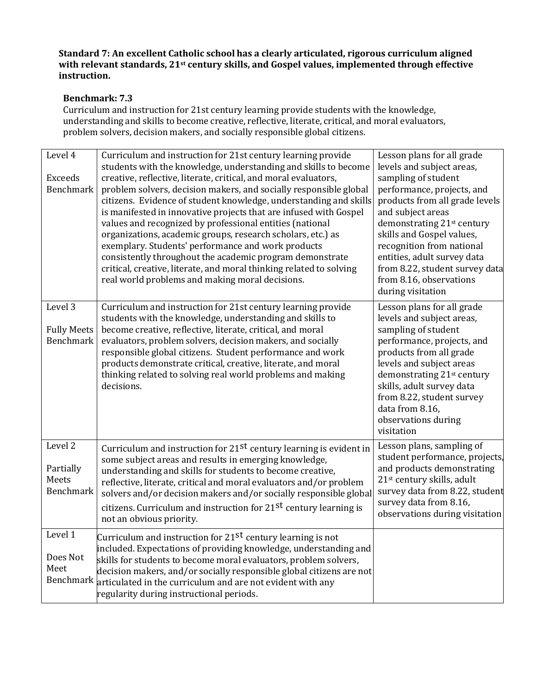# **Benchmark: 7.3**

Curriculum and instruction for 21st century learning provide students with the knowledge, understanding and skills to become creative, reflective, literate, critical, and moral evaluators, problem solvers, decision makers, and socially responsible global citizens.

| Level 4<br>Exceeds<br><b>Benchmark</b>            | Curriculum and instruction for 21st century learning provide<br>students with the knowledge, understanding and skills to become<br>creative, reflective, literate, critical, and moral evaluators,<br>problem solvers, decision makers, and socially responsible global<br>citizens. Evidence of student knowledge, understanding and skills<br>is manifested in innovative projects that are infused with Gospel<br>values and recognized by professional entities (national<br>organizations, academic groups, research scholars, etc.) as<br>exemplary. Students' performance and work products<br>consistently throughout the academic program demonstrate<br>critical, creative, literate, and moral thinking related to solving<br>real world problems and making moral decisions. | Lesson plans for all grade<br>levels and subject areas,<br>sampling of student<br>performance, projects, and<br>products from all grade levels<br>and subject areas<br>demonstrating 21 <sup>st</sup> century<br>skills and Gospel values,<br>recognition from national<br>entities, adult survey data<br>from 8.22, student survey data<br>from 8.16, observations<br>during visitation |
|---------------------------------------------------|------------------------------------------------------------------------------------------------------------------------------------------------------------------------------------------------------------------------------------------------------------------------------------------------------------------------------------------------------------------------------------------------------------------------------------------------------------------------------------------------------------------------------------------------------------------------------------------------------------------------------------------------------------------------------------------------------------------------------------------------------------------------------------------|------------------------------------------------------------------------------------------------------------------------------------------------------------------------------------------------------------------------------------------------------------------------------------------------------------------------------------------------------------------------------------------|
| Level 3<br><b>Fully Meets</b><br><b>Benchmark</b> | Curriculum and instruction for 21st century learning provide<br>students with the knowledge, understanding and skills to<br>become creative, reflective, literate, critical, and moral<br>evaluators, problem solvers, decision makers, and socially<br>responsible global citizens. Student performance and work<br>products demonstrate critical, creative, literate, and moral<br>thinking related to solving real world problems and making<br>decisions.                                                                                                                                                                                                                                                                                                                            | Lesson plans for all grade<br>levels and subject areas,<br>sampling of student<br>performance, projects, and<br>products from all grade<br>levels and subject areas<br>demonstrating 21st century<br>skills, adult survey data<br>from 8.22, student survey<br>data from 8.16,<br>observations during<br>visitation                                                                      |
| Level 2<br>Partially<br>Meets<br>Benchmark        | Curriculum and instruction for 21 <sup>st</sup> century learning is evident in<br>some subject areas and results in emerging knowledge,<br>understanding and skills for students to become creative,<br>reflective, literate, critical and moral evaluators and/or problem<br>solvers and/or decision makers and/or socially responsible global<br>citizens. Curriculum and instruction for 21 <sup>st</sup> century learning is<br>not an obvious priority.                                                                                                                                                                                                                                                                                                                             | Lesson plans, sampling of<br>student performance, projects,<br>and products demonstrating<br>21 <sup>st</sup> century skills, adult<br>survey data from 8.22, student<br>survey data from 8.16,<br>observations during visitation                                                                                                                                                        |
| Level 1<br>Does Not<br>Meet                       | Curriculum and instruction for 21st century learning is not<br>included. Expectations of providing knowledge, understanding and<br>skills for students to become moral evaluators, problem solvers,<br>decision makers, and/or socially responsible global citizens are not<br>Benchmark articulated in the curriculum and are not evident with any<br>regularity during instructional periods.                                                                                                                                                                                                                                                                                                                                                                                          |                                                                                                                                                                                                                                                                                                                                                                                          |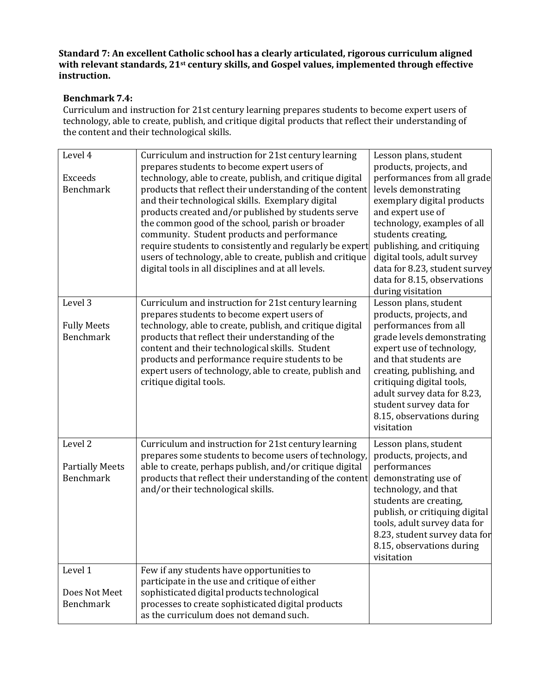# **Benchmark 7.4:**

Curriculum and instruction for 21st century learning prepares students to become expert users of technology, able to create, publish, and critique digital products that reflect their understanding of the content and their technological skills.

| Level 4<br><b>Exceeds</b><br><b>Benchmark</b>                    | Curriculum and instruction for 21st century learning<br>prepares students to become expert users of<br>technology, able to create, publish, and critique digital<br>products that reflect their understanding of the content<br>and their technological skills. Exemplary digital<br>products created and/or published by students serve<br>the common good of the school, parish or broader<br>community. Student products and performance<br>require students to consistently and regularly be expert<br>users of technology, able to create, publish and critique<br>digital tools in all disciplines and at all levels. | Lesson plans, student<br>products, projects, and<br>performances from all grade<br>levels demonstrating<br>exemplary digital products<br>and expert use of<br>technology, examples of all<br>students creating,<br>publishing, and critiquing<br>digital tools, adult survey<br>data for 8.23, student survey<br>data for 8.15, observations<br>during visitation |
|------------------------------------------------------------------|-----------------------------------------------------------------------------------------------------------------------------------------------------------------------------------------------------------------------------------------------------------------------------------------------------------------------------------------------------------------------------------------------------------------------------------------------------------------------------------------------------------------------------------------------------------------------------------------------------------------------------|-------------------------------------------------------------------------------------------------------------------------------------------------------------------------------------------------------------------------------------------------------------------------------------------------------------------------------------------------------------------|
| Level 3<br><b>Fully Meets</b><br><b>Benchmark</b>                | Curriculum and instruction for 21st century learning<br>prepares students to become expert users of<br>technology, able to create, publish, and critique digital<br>products that reflect their understanding of the<br>content and their technological skills. Student<br>products and performance require students to be<br>expert users of technology, able to create, publish and<br>critique digital tools.                                                                                                                                                                                                            | Lesson plans, student<br>products, projects, and<br>performances from all<br>grade levels demonstrating<br>expert use of technology,<br>and that students are<br>creating, publishing, and<br>critiquing digital tools,<br>adult survey data for 8.23,<br>student survey data for<br>8.15, observations during<br>visitation                                      |
| Level <sub>2</sub><br><b>Partially Meets</b><br><b>Benchmark</b> | Curriculum and instruction for 21st century learning<br>prepares some students to become users of technology,<br>able to create, perhaps publish, and/or critique digital<br>products that reflect their understanding of the content<br>and/or their technological skills.                                                                                                                                                                                                                                                                                                                                                 | Lesson plans, student<br>products, projects, and<br>performances<br>demonstrating use of<br>technology, and that<br>students are creating,<br>publish, or critiquing digital<br>tools, adult survey data for<br>8.23, student survey data for<br>8.15, observations during<br>visitation                                                                          |
| Level 1<br>Does Not Meet<br><b>Benchmark</b>                     | Few if any students have opportunities to<br>participate in the use and critique of either<br>sophisticated digital products technological<br>processes to create sophisticated digital products<br>as the curriculum does not demand such.                                                                                                                                                                                                                                                                                                                                                                                 |                                                                                                                                                                                                                                                                                                                                                                   |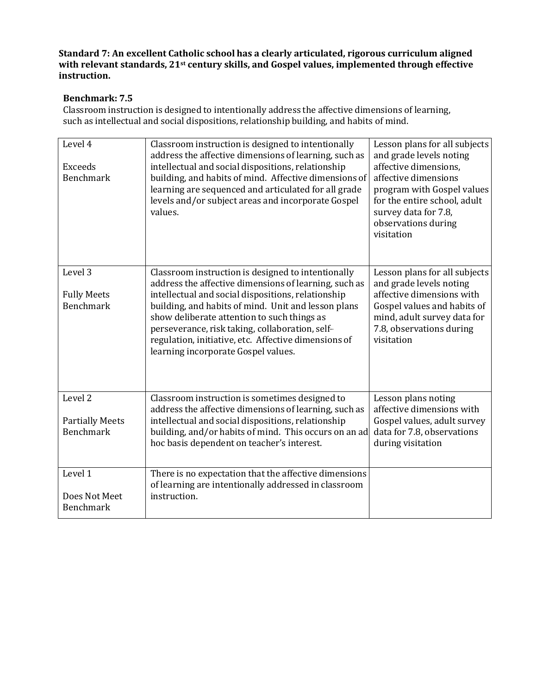# **Benchmark: 7.5**

Classroom instruction is designed to intentionally address the affective dimensions of learning, such as intellectual and social dispositions, relationship building, and habits of mind.

| Level 4                                | Classroom instruction is designed to intentionally<br>address the affective dimensions of learning, such as | Lesson plans for all subjects<br>and grade levels noting |
|----------------------------------------|-------------------------------------------------------------------------------------------------------------|----------------------------------------------------------|
| <b>Exceeds</b>                         | intellectual and social dispositions, relationship                                                          | affective dimensions,                                    |
| <b>Benchmark</b>                       | building, and habits of mind. Affective dimensions of                                                       | affective dimensions                                     |
|                                        | learning are sequenced and articulated for all grade                                                        | program with Gospel values                               |
|                                        | levels and/or subject areas and incorporate Gospel                                                          | for the entire school, adult                             |
|                                        | values.                                                                                                     | survey data for 7.8,                                     |
|                                        |                                                                                                             | observations during                                      |
|                                        |                                                                                                             | visitation                                               |
|                                        |                                                                                                             |                                                          |
|                                        |                                                                                                             |                                                          |
| Level <sub>3</sub>                     |                                                                                                             |                                                          |
|                                        | Classroom instruction is designed to intentionally<br>address the affective dimensions of learning, such as | Lesson plans for all subjects<br>and grade levels noting |
|                                        | intellectual and social dispositions, relationship                                                          | affective dimensions with                                |
| <b>Fully Meets</b><br><b>Benchmark</b> |                                                                                                             |                                                          |
|                                        | building, and habits of mind. Unit and lesson plans                                                         | Gospel values and habits of                              |
|                                        | show deliberate attention to such things as                                                                 | mind, adult survey data for                              |
|                                        | perseverance, risk taking, collaboration, self-                                                             | 7.8, observations during                                 |
|                                        | regulation, initiative, etc. Affective dimensions of                                                        | visitation                                               |
|                                        | learning incorporate Gospel values.                                                                         |                                                          |
|                                        |                                                                                                             |                                                          |
|                                        |                                                                                                             |                                                          |
| Level <sub>2</sub>                     |                                                                                                             |                                                          |
|                                        | Classroom instruction is sometimes designed to                                                              | Lesson plans noting<br>affective dimensions with         |
|                                        | address the affective dimensions of learning, such as                                                       |                                                          |
| <b>Partially Meets</b>                 | intellectual and social dispositions, relationship                                                          | Gospel values, adult survey                              |
| <b>Benchmark</b>                       | building, and/or habits of mind. This occurs on an ad                                                       | data for 7.8, observations                               |
|                                        | hoc basis dependent on teacher's interest.                                                                  | during visitation                                        |
|                                        |                                                                                                             |                                                          |
| Level 1                                | There is no expectation that the affective dimensions                                                       |                                                          |
|                                        | of learning are intentionally addressed in classroom                                                        |                                                          |
| Does Not Meet                          | instruction.                                                                                                |                                                          |
| <b>Benchmark</b>                       |                                                                                                             |                                                          |
|                                        |                                                                                                             |                                                          |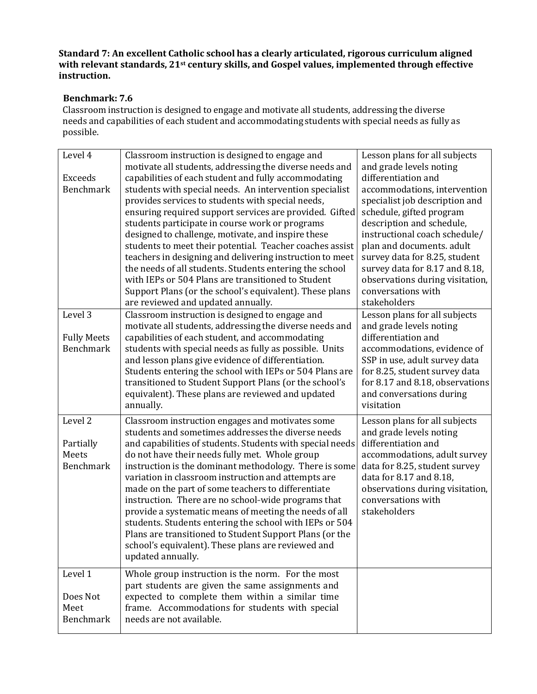# **Benchmark: 7.6**

Classroom instruction is designed to engage and motivate all students, addressing the diverse needs and capabilities of each student and accommodating students with special needs as fully as possible.

| Level 4<br>Exceeds<br><b>Benchmark</b><br>Level 3 | Classroom instruction is designed to engage and<br>motivate all students, addressing the diverse needs and<br>capabilities of each student and fully accommodating<br>students with special needs. An intervention specialist<br>provides services to students with special needs,<br>ensuring required support services are provided. Gifted<br>students participate in course work or programs<br>designed to challenge, motivate, and inspire these<br>students to meet their potential. Teacher coaches assist<br>teachers in designing and delivering instruction to meet<br>the needs of all students. Students entering the school<br>with IEPs or 504 Plans are transitioned to Student<br>Support Plans (or the school's equivalent). These plans<br>are reviewed and updated annually.<br>Classroom instruction is designed to engage and | Lesson plans for all subjects<br>and grade levels noting<br>differentiation and<br>accommodations, intervention<br>specialist job description and<br>schedule, gifted program<br>description and schedule,<br>instructional coach schedule/<br>plan and documents. adult<br>survey data for 8.25, student<br>survey data for 8.17 and 8.18,<br>observations during visitation,<br>conversations with<br>stakeholders<br>Lesson plans for all subjects |
|---------------------------------------------------|-----------------------------------------------------------------------------------------------------------------------------------------------------------------------------------------------------------------------------------------------------------------------------------------------------------------------------------------------------------------------------------------------------------------------------------------------------------------------------------------------------------------------------------------------------------------------------------------------------------------------------------------------------------------------------------------------------------------------------------------------------------------------------------------------------------------------------------------------------|-------------------------------------------------------------------------------------------------------------------------------------------------------------------------------------------------------------------------------------------------------------------------------------------------------------------------------------------------------------------------------------------------------------------------------------------------------|
| <b>Fully Meets</b>                                | motivate all students, addressing the diverse needs and<br>capabilities of each student, and accommodating                                                                                                                                                                                                                                                                                                                                                                                                                                                                                                                                                                                                                                                                                                                                          | and grade levels noting<br>differentiation and                                                                                                                                                                                                                                                                                                                                                                                                        |
| Benchmark                                         | students with special needs as fully as possible. Units<br>and lesson plans give evidence of differentiation.<br>Students entering the school with IEPs or 504 Plans are<br>transitioned to Student Support Plans (or the school's<br>equivalent). These plans are reviewed and updated<br>annually.                                                                                                                                                                                                                                                                                                                                                                                                                                                                                                                                                | accommodations, evidence of<br>SSP in use, adult survey data<br>for 8.25, student survey data<br>for 8.17 and 8.18, observations<br>and conversations during<br>visitation                                                                                                                                                                                                                                                                            |
| Level <sub>2</sub>                                | Classroom instruction engages and motivates some<br>students and sometimes addresses the diverse needs                                                                                                                                                                                                                                                                                                                                                                                                                                                                                                                                                                                                                                                                                                                                              | Lesson plans for all subjects<br>and grade levels noting                                                                                                                                                                                                                                                                                                                                                                                              |
| Partially<br>Meets                                | and capabilities of students. Students with special needs<br>do not have their needs fully met. Whole group                                                                                                                                                                                                                                                                                                                                                                                                                                                                                                                                                                                                                                                                                                                                         | differentiation and<br>accommodations, adult survey                                                                                                                                                                                                                                                                                                                                                                                                   |
| Benchmark<br>Level 1                              | instruction is the dominant methodology. There is some<br>variation in classroom instruction and attempts are<br>made on the part of some teachers to differentiate<br>instruction. There are no school-wide programs that<br>provide a systematic means of meeting the needs of all<br>students. Students entering the school with IEPs or 504<br>Plans are transitioned to Student Support Plans (or the<br>school's equivalent). These plans are reviewed and<br>updated annually.<br>Whole group instruction is the norm. For the most                                                                                                                                                                                                                                                                                                          | data for 8.25, student survey<br>data for 8.17 and 8.18,<br>observations during visitation,<br>conversations with<br>stakeholders                                                                                                                                                                                                                                                                                                                     |
| Does Not                                          | part students are given the same assignments and<br>expected to complete them within a similar time                                                                                                                                                                                                                                                                                                                                                                                                                                                                                                                                                                                                                                                                                                                                                 |                                                                                                                                                                                                                                                                                                                                                                                                                                                       |
| Meet<br>Benchmark                                 | frame. Accommodations for students with special<br>needs are not available.                                                                                                                                                                                                                                                                                                                                                                                                                                                                                                                                                                                                                                                                                                                                                                         |                                                                                                                                                                                                                                                                                                                                                                                                                                                       |
|                                                   |                                                                                                                                                                                                                                                                                                                                                                                                                                                                                                                                                                                                                                                                                                                                                                                                                                                     |                                                                                                                                                                                                                                                                                                                                                                                                                                                       |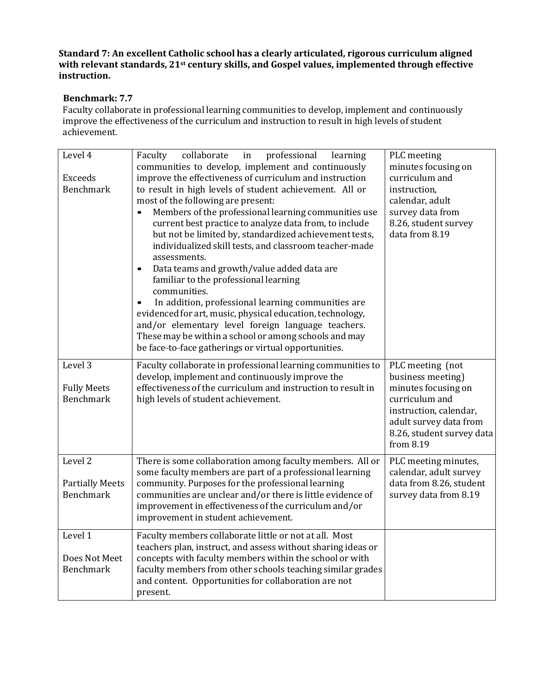# **Benchmark: 7.7**

Faculty collaborate in professional learning communities to develop, implement and continuously improve the effectiveness of the curriculum and instruction to result in high levels of student achievement.

| Level 4<br><b>Exceeds</b><br><b>Benchmark</b>                    | collaborate<br>professional<br>Faculty<br>in<br>learning<br>communities to develop, implement and continuously<br>improve the effectiveness of curriculum and instruction<br>to result in high levels of student achievement. All or<br>most of the following are present:<br>Members of the professional learning communities use<br>$\bullet$<br>current best practice to analyze data from, to include<br>but not be limited by, standardized achievement tests,<br>individualized skill tests, and classroom teacher-made<br>assessments.<br>Data teams and growth/value added data are<br>$\bullet$<br>familiar to the professional learning<br>communities.<br>In addition, professional learning communities are<br>evidenced for art, music, physical education, technology,<br>and/or elementary level foreign language teachers.<br>These may be within a school or among schools and may<br>be face-to-face gatherings or virtual opportunities. | PLC meeting<br>minutes focusing on<br>curriculum and<br>instruction,<br>calendar, adult<br>survey data from<br>8.26, student survey<br>data from 8.19                        |
|------------------------------------------------------------------|-------------------------------------------------------------------------------------------------------------------------------------------------------------------------------------------------------------------------------------------------------------------------------------------------------------------------------------------------------------------------------------------------------------------------------------------------------------------------------------------------------------------------------------------------------------------------------------------------------------------------------------------------------------------------------------------------------------------------------------------------------------------------------------------------------------------------------------------------------------------------------------------------------------------------------------------------------------|------------------------------------------------------------------------------------------------------------------------------------------------------------------------------|
| Level 3<br><b>Fully Meets</b><br><b>Benchmark</b>                | Faculty collaborate in professional learning communities to<br>develop, implement and continuously improve the<br>effectiveness of the curriculum and instruction to result in<br>high levels of student achievement.                                                                                                                                                                                                                                                                                                                                                                                                                                                                                                                                                                                                                                                                                                                                       | PLC meeting (not<br>business meeting)<br>minutes focusing on<br>curriculum and<br>instruction, calendar,<br>adult survey data from<br>8.26, student survey data<br>from 8.19 |
| Level <sub>2</sub><br><b>Partially Meets</b><br><b>Benchmark</b> | There is some collaboration among faculty members. All or<br>some faculty members are part of a professional learning<br>community. Purposes for the professional learning<br>communities are unclear and/or there is little evidence of<br>improvement in effectiveness of the curriculum and/or<br>improvement in student achievement.                                                                                                                                                                                                                                                                                                                                                                                                                                                                                                                                                                                                                    | PLC meeting minutes,<br>calendar, adult survey<br>data from 8.26, student<br>survey data from 8.19                                                                           |
| Level 1<br>Does Not Meet<br>Benchmark                            | Faculty members collaborate little or not at all. Most<br>teachers plan, instruct, and assess without sharing ideas or<br>concepts with faculty members within the school or with<br>faculty members from other schools teaching similar grades<br>and content. Opportunities for collaboration are not<br>present.                                                                                                                                                                                                                                                                                                                                                                                                                                                                                                                                                                                                                                         |                                                                                                                                                                              |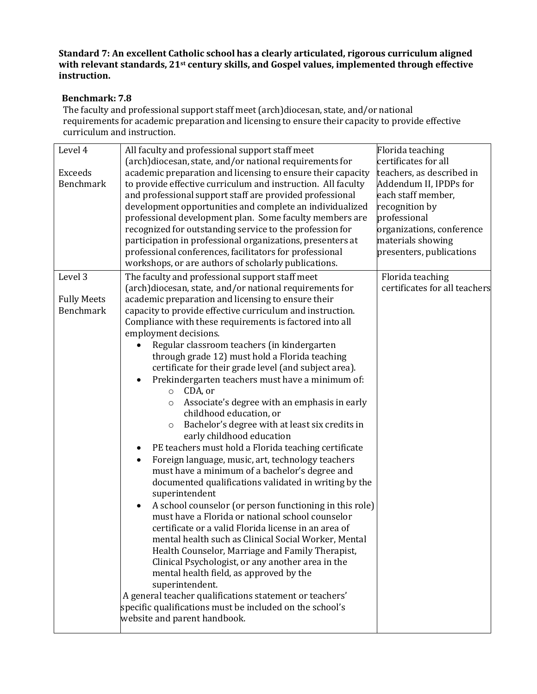# **Benchmark: 7.8**

The faculty and professional support staff meet (arch)diocesan, state, and/or national requirements for academic preparation and licensing to ensure their capacity to provide effective curriculum and instruction.

| Level 4<br><b>Exceeds</b><br><b>Benchmark</b> | All faculty and professional support staff meet<br>(arch)diocesan, state, and/or national requirements for<br>academic preparation and licensing to ensure their capacity<br>to provide effective curriculum and instruction. All faculty<br>and professional support staff are provided professional<br>development opportunities and complete an individualized<br>professional development plan. Some faculty members are<br>recognized for outstanding service to the profession for<br>participation in professional organizations, presenters at<br>professional conferences, facilitators for professional<br>workshops, or are authors of scholarly publications. | Florida teaching<br>certificates for all<br>teachers, as described in<br>Addendum II, IPDPs for<br>each staff member,<br>recognition by<br>professional<br>organizations, conference<br>materials showing<br>presenters, publications |
|-----------------------------------------------|---------------------------------------------------------------------------------------------------------------------------------------------------------------------------------------------------------------------------------------------------------------------------------------------------------------------------------------------------------------------------------------------------------------------------------------------------------------------------------------------------------------------------------------------------------------------------------------------------------------------------------------------------------------------------|---------------------------------------------------------------------------------------------------------------------------------------------------------------------------------------------------------------------------------------|
| Level 3                                       | The faculty and professional support staff meet<br>(arch)diocesan, state, and/or national requirements for                                                                                                                                                                                                                                                                                                                                                                                                                                                                                                                                                                | Florida teaching<br>certificates for all teachers                                                                                                                                                                                     |
|                                               | academic preparation and licensing to ensure their                                                                                                                                                                                                                                                                                                                                                                                                                                                                                                                                                                                                                        |                                                                                                                                                                                                                                       |
| <b>Fully Meets</b><br><b>Benchmark</b>        | capacity to provide effective curriculum and instruction.                                                                                                                                                                                                                                                                                                                                                                                                                                                                                                                                                                                                                 |                                                                                                                                                                                                                                       |
|                                               | Compliance with these requirements is factored into all                                                                                                                                                                                                                                                                                                                                                                                                                                                                                                                                                                                                                   |                                                                                                                                                                                                                                       |
|                                               | employment decisions.                                                                                                                                                                                                                                                                                                                                                                                                                                                                                                                                                                                                                                                     |                                                                                                                                                                                                                                       |
|                                               | Regular classroom teachers (in kindergarten                                                                                                                                                                                                                                                                                                                                                                                                                                                                                                                                                                                                                               |                                                                                                                                                                                                                                       |
|                                               | through grade 12) must hold a Florida teaching                                                                                                                                                                                                                                                                                                                                                                                                                                                                                                                                                                                                                            |                                                                                                                                                                                                                                       |
|                                               | certificate for their grade level (and subject area).                                                                                                                                                                                                                                                                                                                                                                                                                                                                                                                                                                                                                     |                                                                                                                                                                                                                                       |
|                                               | Prekindergarten teachers must have a minimum of:                                                                                                                                                                                                                                                                                                                                                                                                                                                                                                                                                                                                                          |                                                                                                                                                                                                                                       |
|                                               | CDA, or<br>$\circ$                                                                                                                                                                                                                                                                                                                                                                                                                                                                                                                                                                                                                                                        |                                                                                                                                                                                                                                       |
|                                               | Associate's degree with an emphasis in early<br>$\circ$                                                                                                                                                                                                                                                                                                                                                                                                                                                                                                                                                                                                                   |                                                                                                                                                                                                                                       |
|                                               | childhood education, or                                                                                                                                                                                                                                                                                                                                                                                                                                                                                                                                                                                                                                                   |                                                                                                                                                                                                                                       |
|                                               | Bachelor's degree with at least six credits in<br>$\circ$                                                                                                                                                                                                                                                                                                                                                                                                                                                                                                                                                                                                                 |                                                                                                                                                                                                                                       |
|                                               | early childhood education                                                                                                                                                                                                                                                                                                                                                                                                                                                                                                                                                                                                                                                 |                                                                                                                                                                                                                                       |
|                                               | PE teachers must hold a Florida teaching certificate                                                                                                                                                                                                                                                                                                                                                                                                                                                                                                                                                                                                                      |                                                                                                                                                                                                                                       |
|                                               | Foreign language, music, art, technology teachers<br>$\bullet$                                                                                                                                                                                                                                                                                                                                                                                                                                                                                                                                                                                                            |                                                                                                                                                                                                                                       |
|                                               | must have a minimum of a bachelor's degree and                                                                                                                                                                                                                                                                                                                                                                                                                                                                                                                                                                                                                            |                                                                                                                                                                                                                                       |
|                                               | documented qualifications validated in writing by the                                                                                                                                                                                                                                                                                                                                                                                                                                                                                                                                                                                                                     |                                                                                                                                                                                                                                       |
|                                               | superintendent                                                                                                                                                                                                                                                                                                                                                                                                                                                                                                                                                                                                                                                            |                                                                                                                                                                                                                                       |
|                                               | A school counselor (or person functioning in this role)<br>$\bullet$<br>must have a Florida or national school counselor                                                                                                                                                                                                                                                                                                                                                                                                                                                                                                                                                  |                                                                                                                                                                                                                                       |
|                                               | certificate or a valid Florida license in an area of                                                                                                                                                                                                                                                                                                                                                                                                                                                                                                                                                                                                                      |                                                                                                                                                                                                                                       |
|                                               | mental health such as Clinical Social Worker, Mental                                                                                                                                                                                                                                                                                                                                                                                                                                                                                                                                                                                                                      |                                                                                                                                                                                                                                       |
|                                               | Health Counselor, Marriage and Family Therapist,                                                                                                                                                                                                                                                                                                                                                                                                                                                                                                                                                                                                                          |                                                                                                                                                                                                                                       |
|                                               | Clinical Psychologist, or any another area in the                                                                                                                                                                                                                                                                                                                                                                                                                                                                                                                                                                                                                         |                                                                                                                                                                                                                                       |
|                                               | mental health field, as approved by the                                                                                                                                                                                                                                                                                                                                                                                                                                                                                                                                                                                                                                   |                                                                                                                                                                                                                                       |
|                                               | superintendent.                                                                                                                                                                                                                                                                                                                                                                                                                                                                                                                                                                                                                                                           |                                                                                                                                                                                                                                       |
|                                               | A general teacher qualifications statement or teachers'                                                                                                                                                                                                                                                                                                                                                                                                                                                                                                                                                                                                                   |                                                                                                                                                                                                                                       |
|                                               | specific qualifications must be included on the school's                                                                                                                                                                                                                                                                                                                                                                                                                                                                                                                                                                                                                  |                                                                                                                                                                                                                                       |
|                                               | website and parent handbook.                                                                                                                                                                                                                                                                                                                                                                                                                                                                                                                                                                                                                                              |                                                                                                                                                                                                                                       |
|                                               |                                                                                                                                                                                                                                                                                                                                                                                                                                                                                                                                                                                                                                                                           |                                                                                                                                                                                                                                       |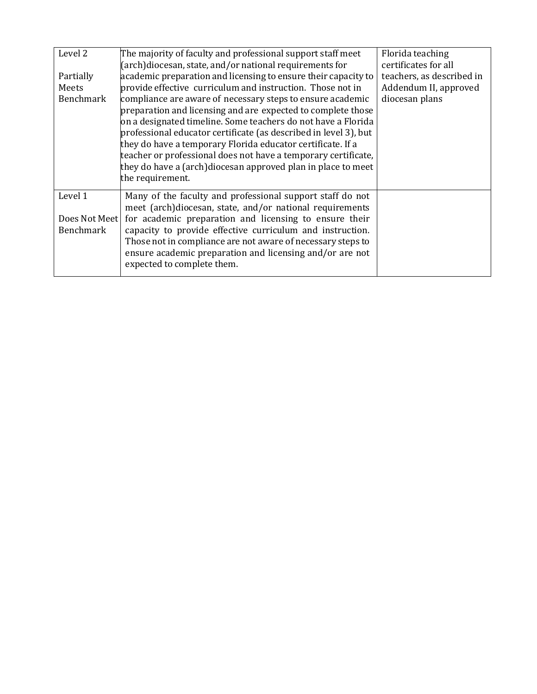| Level 2<br>Partially<br>Meets<br>Benchmark | The majority of faculty and professional support staff meet<br>(arch)diocesan, state, and/or national requirements for<br>academic preparation and licensing to ensure their capacity to<br>provide effective curriculum and instruction. Those not in<br>compliance are aware of necessary steps to ensure academic<br>preparation and licensing and are expected to complete those<br>on a designated timeline. Some teachers do not have a Florida<br>professional educator certificate (as described in level 3), but<br>they do have a temporary Florida educator certificate. If a<br>teacher or professional does not have a temporary certificate,<br>they do have a (arch) diocesan approved plan in place to meet<br>the requirement. | Florida teaching<br>certificates for all<br>teachers, as described in<br>Addendum II, approved<br>diocesan plans |
|--------------------------------------------|-------------------------------------------------------------------------------------------------------------------------------------------------------------------------------------------------------------------------------------------------------------------------------------------------------------------------------------------------------------------------------------------------------------------------------------------------------------------------------------------------------------------------------------------------------------------------------------------------------------------------------------------------------------------------------------------------------------------------------------------------|------------------------------------------------------------------------------------------------------------------|
| Level 1<br>Does Not Meet<br>Benchmark      | Many of the faculty and professional support staff do not<br>meet (arch)diocesan, state, and/or national requirements<br>for academic preparation and licensing to ensure their<br>capacity to provide effective curriculum and instruction.<br>Those not in compliance are not aware of necessary steps to<br>ensure academic preparation and licensing and/or are not<br>expected to complete them.                                                                                                                                                                                                                                                                                                                                           |                                                                                                                  |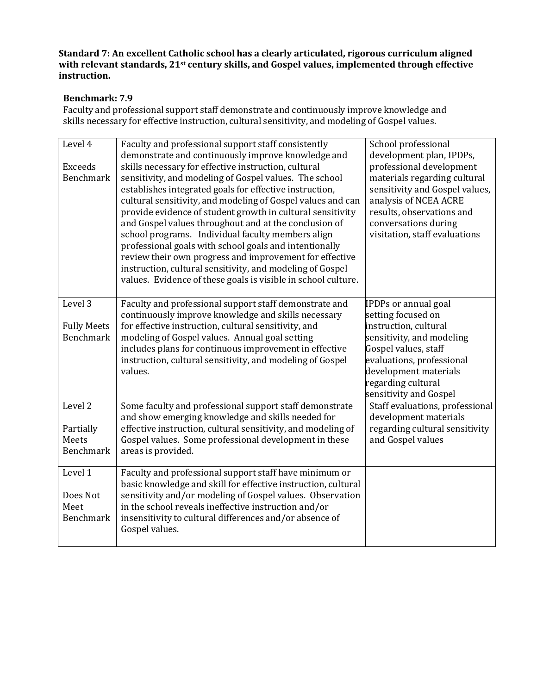# **Benchmark: 7.9**

Faculty and professional support staff demonstrate and continuously improve knowledge and skills necessary for effective instruction, cultural sensitivity, and modeling of Gospel values.

| Level 4            | Faculty and professional support staff consistently<br>demonstrate and continuously improve knowledge and | School professional<br>development plan, IPDPs, |
|--------------------|-----------------------------------------------------------------------------------------------------------|-------------------------------------------------|
| <b>Exceeds</b>     | skills necessary for effective instruction, cultural                                                      | professional development                        |
| <b>Benchmark</b>   | sensitivity, and modeling of Gospel values. The school                                                    | materials regarding cultural                    |
|                    | establishes integrated goals for effective instruction,                                                   | sensitivity and Gospel values,                  |
|                    | cultural sensitivity, and modeling of Gospel values and can                                               | analysis of NCEA ACRE                           |
|                    | provide evidence of student growth in cultural sensitivity                                                | results, observations and                       |
|                    | and Gospel values throughout and at the conclusion of                                                     | conversations during                            |
|                    | school programs. Individual faculty members align                                                         | visitation, staff evaluations                   |
|                    | professional goals with school goals and intentionally                                                    |                                                 |
|                    | review their own progress and improvement for effective                                                   |                                                 |
|                    | instruction, cultural sensitivity, and modeling of Gospel                                                 |                                                 |
|                    | values. Evidence of these goals is visible in school culture.                                             |                                                 |
|                    |                                                                                                           |                                                 |
| Level 3            | Faculty and professional support staff demonstrate and                                                    | IPDPs or annual goal                            |
|                    | continuously improve knowledge and skills necessary                                                       | setting focused on                              |
| <b>Fully Meets</b> | for effective instruction, cultural sensitivity, and                                                      | instruction, cultural                           |
| <b>Benchmark</b>   | modeling of Gospel values. Annual goal setting                                                            | sensitivity, and modeling                       |
|                    | includes plans for continuous improvement in effective                                                    | Gospel values, staff                            |
|                    | instruction, cultural sensitivity, and modeling of Gospel                                                 | evaluations, professional                       |
|                    | values.                                                                                                   | development materials                           |
|                    |                                                                                                           | regarding cultural                              |
|                    |                                                                                                           | sensitivity and Gospel                          |
| Level 2            | Some faculty and professional support staff demonstrate                                                   | Staff evaluations, professional                 |
|                    | and show emerging knowledge and skills needed for                                                         | development materials                           |
| Partially          | effective instruction, cultural sensitivity, and modeling of                                              | regarding cultural sensitivity                  |
| Meets              | Gospel values. Some professional development in these                                                     | and Gospel values                               |
| <b>Benchmark</b>   | areas is provided.                                                                                        |                                                 |
| Level 1            | Faculty and professional support staff have minimum or                                                    |                                                 |
|                    | basic knowledge and skill for effective instruction, cultural                                             |                                                 |
| Does Not           | sensitivity and/or modeling of Gospel values. Observation                                                 |                                                 |
| Meet               | in the school reveals ineffective instruction and/or                                                      |                                                 |
| Benchmark          | insensitivity to cultural differences and/or absence of                                                   |                                                 |
|                    | Gospel values.                                                                                            |                                                 |
|                    |                                                                                                           |                                                 |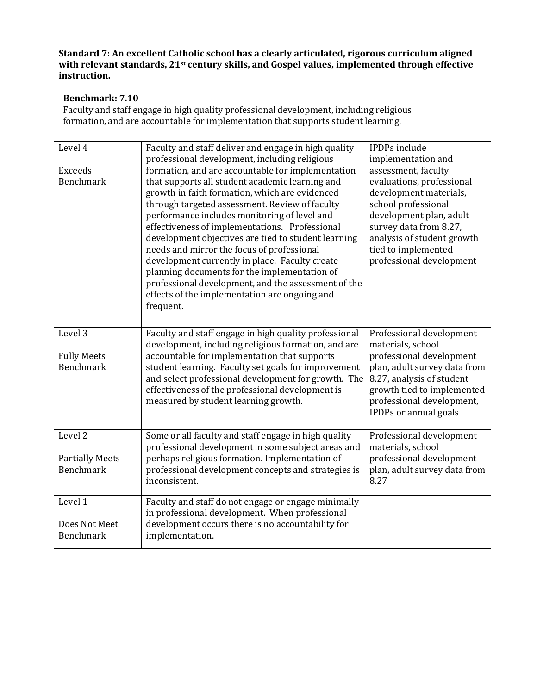# **Benchmark: 7.10**

Faculty and staff engage in high quality professional development, including religious formation, and are accountable for implementation that supports student learning.

| Level 4<br><b>Exceeds</b><br><b>Benchmark</b>                    | Faculty and staff deliver and engage in high quality<br>professional development, including religious<br>formation, and are accountable for implementation<br>that supports all student academic learning and<br>growth in faith formation, which are evidenced<br>through targeted assessment. Review of faculty<br>performance includes monitoring of level and<br>effectiveness of implementations. Professional<br>development objectives are tied to student learning<br>needs and mirror the focus of professional<br>development currently in place. Faculty create<br>planning documents for the implementation of<br>professional development, and the assessment of the<br>effects of the implementation are ongoing and<br>frequent. | <b>IPDPs</b> include<br>implementation and<br>assessment, faculty<br>evaluations, professional<br>development materials,<br>school professional<br>development plan, adult<br>survey data from 8.27,<br>analysis of student growth<br>tied to implemented<br>professional development |
|------------------------------------------------------------------|-------------------------------------------------------------------------------------------------------------------------------------------------------------------------------------------------------------------------------------------------------------------------------------------------------------------------------------------------------------------------------------------------------------------------------------------------------------------------------------------------------------------------------------------------------------------------------------------------------------------------------------------------------------------------------------------------------------------------------------------------|---------------------------------------------------------------------------------------------------------------------------------------------------------------------------------------------------------------------------------------------------------------------------------------|
| Level 3<br><b>Fully Meets</b><br><b>Benchmark</b>                | Faculty and staff engage in high quality professional<br>development, including religious formation, and are<br>accountable for implementation that supports<br>student learning. Faculty set goals for improvement<br>and select professional development for growth. The<br>effectiveness of the professional development is<br>measured by student learning growth.                                                                                                                                                                                                                                                                                                                                                                          | Professional development<br>materials, school<br>professional development<br>plan, adult survey data from<br>8.27, analysis of student<br>growth tied to implemented<br>professional development,<br>IPDPs or annual goals                                                            |
| Level <sub>2</sub><br><b>Partially Meets</b><br><b>Benchmark</b> | Some or all faculty and staff engage in high quality<br>professional development in some subject areas and<br>perhaps religious formation. Implementation of<br>professional development concepts and strategies is<br>inconsistent.                                                                                                                                                                                                                                                                                                                                                                                                                                                                                                            | Professional development<br>materials, school<br>professional development<br>plan, adult survey data from<br>8.27                                                                                                                                                                     |
| Level 1<br>Does Not Meet<br><b>Benchmark</b>                     | Faculty and staff do not engage or engage minimally<br>in professional development. When professional<br>development occurs there is no accountability for<br>implementation.                                                                                                                                                                                                                                                                                                                                                                                                                                                                                                                                                                   |                                                                                                                                                                                                                                                                                       |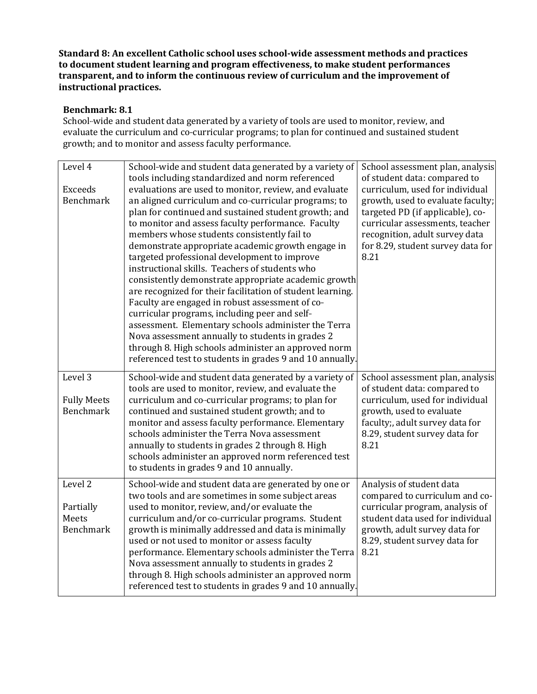### **Benchmark: 8.1**

School-wide and student data generated by a variety of tools are used to monitor, review, and evaluate the curriculum and co-curricular programs; to plan for continued and sustained student growth; and to monitor and assess faculty performance.

| Level 4                                           | School-wide and student data generated by a variety of                                                                                                                                                                                                                                                                                                                                                                                                                                                                                                                                                                                                                                                                                                                                                                                                                                                                                        | School assessment plan, analysis                                                                                                                                                                                                                           |
|---------------------------------------------------|-----------------------------------------------------------------------------------------------------------------------------------------------------------------------------------------------------------------------------------------------------------------------------------------------------------------------------------------------------------------------------------------------------------------------------------------------------------------------------------------------------------------------------------------------------------------------------------------------------------------------------------------------------------------------------------------------------------------------------------------------------------------------------------------------------------------------------------------------------------------------------------------------------------------------------------------------|------------------------------------------------------------------------------------------------------------------------------------------------------------------------------------------------------------------------------------------------------------|
| <b>Exceeds</b><br><b>Benchmark</b>                | tools including standardized and norm referenced<br>evaluations are used to monitor, review, and evaluate<br>an aligned curriculum and co-curricular programs; to<br>plan for continued and sustained student growth; and<br>to monitor and assess faculty performance. Faculty<br>members whose students consistently fail to<br>demonstrate appropriate academic growth engage in<br>targeted professional development to improve<br>instructional skills. Teachers of students who<br>consistently demonstrate appropriate academic growth<br>are recognized for their facilitation of student learning.<br>Faculty are engaged in robust assessment of co-<br>curricular programs, including peer and self-<br>assessment. Elementary schools administer the Terra<br>Nova assessment annually to students in grades 2<br>through 8. High schools administer an approved norm<br>referenced test to students in grades 9 and 10 annually. | of student data: compared to<br>curriculum, used for individual<br>growth, used to evaluate faculty;<br>targeted PD (if applicable), co-<br>curricular assessments, teacher<br>recognition, adult survey data<br>for 8.29, student survey data for<br>8.21 |
| Level 3<br><b>Fully Meets</b><br><b>Benchmark</b> | School-wide and student data generated by a variety of<br>tools are used to monitor, review, and evaluate the<br>curriculum and co-curricular programs; to plan for<br>continued and sustained student growth; and to<br>monitor and assess faculty performance. Elementary<br>schools administer the Terra Nova assessment<br>annually to students in grades 2 through 8. High<br>schools administer an approved norm referenced test<br>to students in grades 9 and 10 annually.                                                                                                                                                                                                                                                                                                                                                                                                                                                            | School assessment plan, analysis<br>of student data: compared to<br>curriculum, used for individual<br>growth, used to evaluate<br>faculty;, adult survey data for<br>8.29, student survey data for<br>8.21                                                |
| Level 2<br>Partially<br>Meets<br><b>Benchmark</b> | School-wide and student data are generated by one or<br>two tools and are sometimes in some subject areas<br>used to monitor, review, and/or evaluate the<br>curriculum and/or co-curricular programs. Student<br>growth is minimally addressed and data is minimally<br>used or not used to monitor or assess faculty<br>performance. Elementary schools administer the Terra<br>Nova assessment annually to students in grades 2<br>through 8. High schools administer an approved norm<br>referenced test to students in grades 9 and 10 annually.                                                                                                                                                                                                                                                                                                                                                                                         | Analysis of student data<br>compared to curriculum and co-<br>curricular program, analysis of<br>student data used for individual<br>growth, adult survey data for<br>8.29, student survey data for<br>8.21                                                |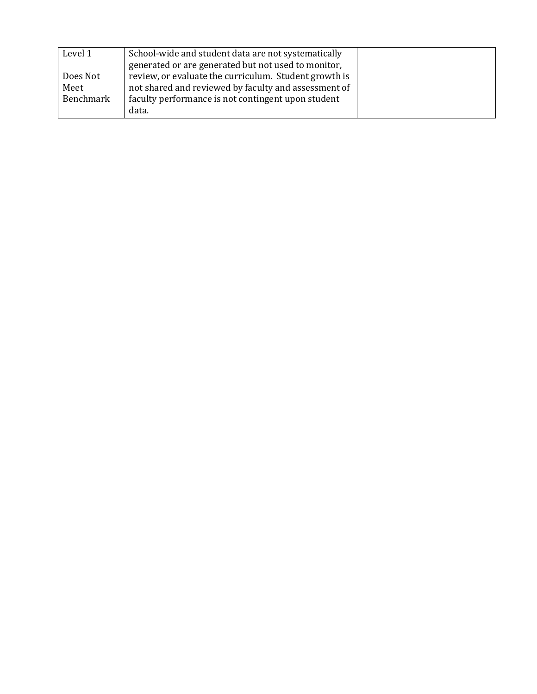| Level 1   | School-wide and student data are not systematically   |  |
|-----------|-------------------------------------------------------|--|
|           | generated or are generated but not used to monitor,   |  |
| Does Not  | review, or evaluate the curriculum. Student growth is |  |
| Meet      | not shared and reviewed by faculty and assessment of  |  |
| Benchmark | faculty performance is not contingent upon student    |  |
|           | data.                                                 |  |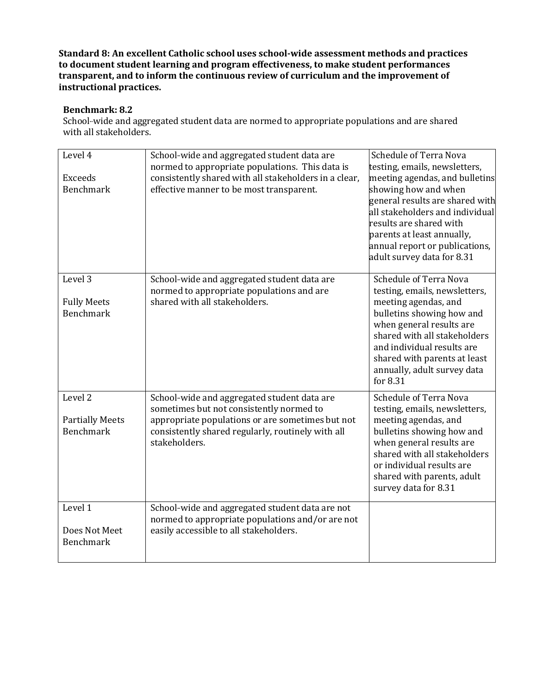## **Benchmark: 8.2**

School-wide and aggregated student data are normed to appropriate populations and are shared with all stakeholders.

| Level 4<br><b>Exceeds</b><br><b>Benchmark</b>                    | School-wide and aggregated student data are<br>normed to appropriate populations. This data is<br>consistently shared with all stakeholders in a clear,<br>effective manner to be most transparent.               | <b>Schedule of Terra Nova</b><br>testing, emails, newsletters,<br>meeting agendas, and bulletins<br>showing how and when<br>general results are shared with<br>all stakeholders and individual<br>results are shared with<br>parents at least annually,<br>annual report or publications,<br>adult survey data for 8.31 |
|------------------------------------------------------------------|-------------------------------------------------------------------------------------------------------------------------------------------------------------------------------------------------------------------|-------------------------------------------------------------------------------------------------------------------------------------------------------------------------------------------------------------------------------------------------------------------------------------------------------------------------|
| Level <sub>3</sub><br><b>Fully Meets</b><br><b>Benchmark</b>     | School-wide and aggregated student data are<br>normed to appropriate populations and are<br>shared with all stakeholders.                                                                                         | Schedule of Terra Nova<br>testing, emails, newsletters,<br>meeting agendas, and<br>bulletins showing how and<br>when general results are<br>shared with all stakeholders<br>and individual results are<br>shared with parents at least<br>annually, adult survey data<br>for 8.31                                       |
| Level <sub>2</sub><br><b>Partially Meets</b><br><b>Benchmark</b> | School-wide and aggregated student data are<br>sometimes but not consistently normed to<br>appropriate populations or are sometimes but not<br>consistently shared regularly, routinely with all<br>stakeholders. | <b>Schedule of Terra Nova</b><br>testing, emails, newsletters,<br>meeting agendas, and<br>bulletins showing how and<br>when general results are<br>shared with all stakeholders<br>or individual results are<br>shared with parents, adult<br>survey data for 8.31                                                      |
| Level 1<br>Does Not Meet<br><b>Benchmark</b>                     | School-wide and aggregated student data are not<br>normed to appropriate populations and/or are not<br>easily accessible to all stakeholders.                                                                     |                                                                                                                                                                                                                                                                                                                         |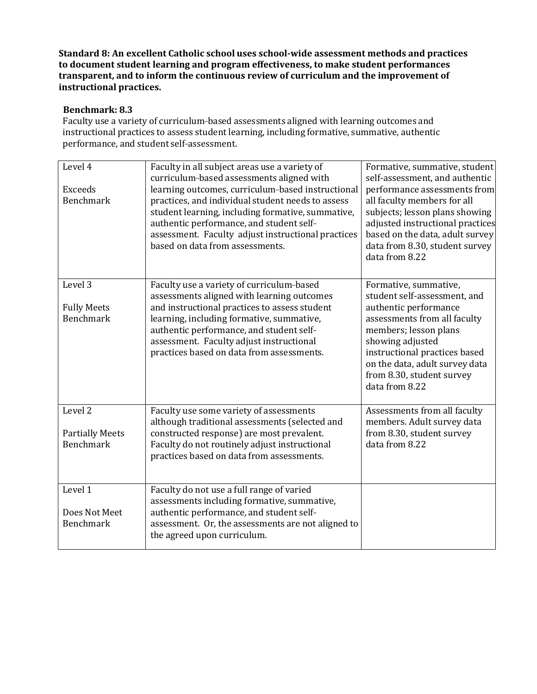## **Benchmark: 8.3**

Faculty use a variety of curriculum-based assessments aligned with learning outcomes and instructional practices to assess student learning, including formative, summative, authentic performance, and student self-assessment.

| Level 4<br>Exceeds<br><b>Benchmark</b>                           | Faculty in all subject areas use a variety of<br>curriculum-based assessments aligned with<br>learning outcomes, curriculum-based instructional<br>practices, and individual student needs to assess<br>student learning, including formative, summative,<br>authentic performance, and student self-<br>assessment. Faculty adjust instructional practices<br>based on data from assessments. | Formative, summative, student<br>self-assessment, and authentic<br>performance assessments from<br>all faculty members for all<br>subjects; lesson plans showing<br>adjusted instructional practices<br>based on the data, adult survey<br>data from 8.30, student survey<br>data from 8.22 |
|------------------------------------------------------------------|------------------------------------------------------------------------------------------------------------------------------------------------------------------------------------------------------------------------------------------------------------------------------------------------------------------------------------------------------------------------------------------------|---------------------------------------------------------------------------------------------------------------------------------------------------------------------------------------------------------------------------------------------------------------------------------------------|
| Level 3<br><b>Fully Meets</b><br><b>Benchmark</b>                | Faculty use a variety of curriculum-based<br>assessments aligned with learning outcomes<br>and instructional practices to assess student<br>learning, including formative, summative,<br>authentic performance, and student self-<br>assessment. Faculty adjust instructional<br>practices based on data from assessments.                                                                     | Formative, summative,<br>student self-assessment, and<br>authentic performance<br>assessments from all faculty<br>members; lesson plans<br>showing adjusted<br>instructional practices based<br>on the data, adult survey data<br>from 8.30, student survey<br>data from 8.22               |
| Level <sub>2</sub><br><b>Partially Meets</b><br><b>Benchmark</b> | Faculty use some variety of assessments<br>although traditional assessments (selected and<br>constructed response) are most prevalent.<br>Faculty do not routinely adjust instructional<br>practices based on data from assessments.                                                                                                                                                           | Assessments from all faculty<br>members. Adult survey data<br>from 8.30, student survey<br>data from 8.22                                                                                                                                                                                   |
| Level 1<br>Does Not Meet<br><b>Benchmark</b>                     | Faculty do not use a full range of varied<br>assessments including formative, summative,<br>authentic performance, and student self-<br>assessment. Or, the assessments are not aligned to<br>the agreed upon curriculum.                                                                                                                                                                      |                                                                                                                                                                                                                                                                                             |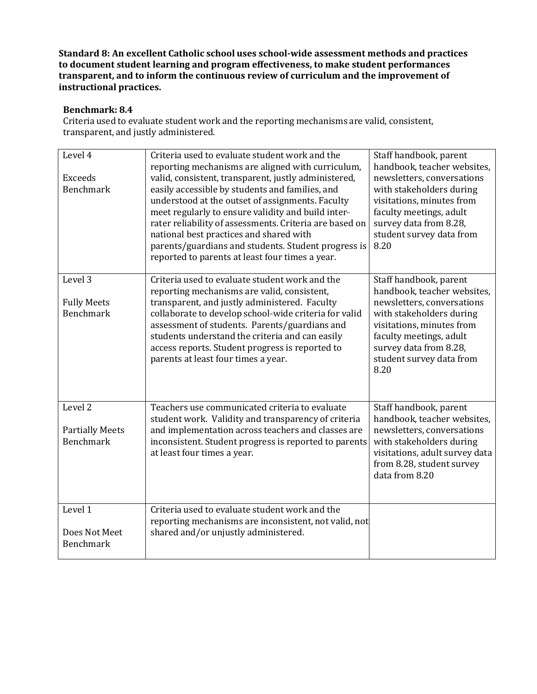## **Benchmark: 8.4**

Criteria used to evaluate student work and the reporting mechanisms are valid, consistent, transparent, and justly administered.

| Level 4<br><b>Exceeds</b><br><b>Benchmark</b>         | Criteria used to evaluate student work and the<br>reporting mechanisms are aligned with curriculum,<br>valid, consistent, transparent, justly administered,<br>easily accessible by students and families, and<br>understood at the outset of assignments. Faculty<br>meet regularly to ensure validity and build inter-<br>rater reliability of assessments. Criteria are based on<br>national best practices and shared with<br>parents/guardians and students. Student progress is<br>reported to parents at least four times a year. | Staff handbook, parent<br>handbook, teacher websites,<br>newsletters, conversations<br>with stakeholders during<br>visitations, minutes from<br>faculty meetings, adult<br>survey data from 8.28,<br>student survey data from<br>8.20 |
|-------------------------------------------------------|------------------------------------------------------------------------------------------------------------------------------------------------------------------------------------------------------------------------------------------------------------------------------------------------------------------------------------------------------------------------------------------------------------------------------------------------------------------------------------------------------------------------------------------|---------------------------------------------------------------------------------------------------------------------------------------------------------------------------------------------------------------------------------------|
| Level 3<br><b>Fully Meets</b><br><b>Benchmark</b>     | Criteria used to evaluate student work and the<br>reporting mechanisms are valid, consistent,<br>transparent, and justly administered. Faculty<br>collaborate to develop school-wide criteria for valid<br>assessment of students. Parents/guardians and<br>students understand the criteria and can easily<br>access reports. Student progress is reported to<br>parents at least four times a year.                                                                                                                                    | Staff handbook, parent<br>handbook, teacher websites,<br>newsletters, conversations<br>with stakeholders during<br>visitations, minutes from<br>faculty meetings, adult<br>survey data from 8.28,<br>student survey data from<br>8.20 |
| Level 2<br><b>Partially Meets</b><br><b>Benchmark</b> | Teachers use communicated criteria to evaluate<br>student work. Validity and transparency of criteria<br>and implementation across teachers and classes are<br>inconsistent. Student progress is reported to parents<br>at least four times a year.                                                                                                                                                                                                                                                                                      | Staff handbook, parent<br>handbook, teacher websites,<br>newsletters, conversations<br>with stakeholders during<br>visitations, adult survey data<br>from 8.28, student survey<br>data from 8.20                                      |
| Level 1<br>Does Not Meet<br><b>Benchmark</b>          | Criteria used to evaluate student work and the<br>reporting mechanisms are inconsistent, not valid, not<br>shared and/or unjustly administered.                                                                                                                                                                                                                                                                                                                                                                                          |                                                                                                                                                                                                                                       |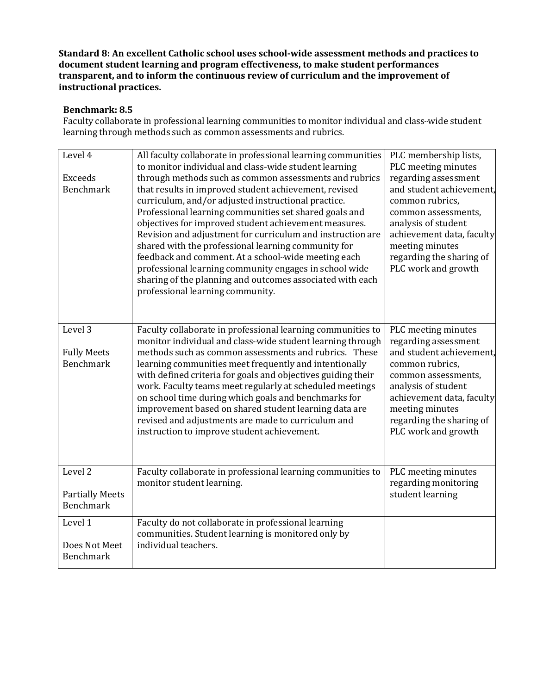## **Benchmark: 8.5**

Faculty collaborate in professional learning communities to monitor individual and class-wide student learning through methods such as common assessments and rubrics.

| Level 4<br><b>Exceeds</b><br><b>Benchmark</b>                | All faculty collaborate in professional learning communities<br>to monitor individual and class-wide student learning<br>through methods such as common assessments and rubrics<br>that results in improved student achievement, revised<br>curriculum, and/or adjusted instructional practice.<br>Professional learning communities set shared goals and<br>objectives for improved student achievement measures.<br>Revision and adjustment for curriculum and instruction are<br>shared with the professional learning community for<br>feedback and comment. At a school-wide meeting each<br>professional learning community engages in school wide<br>sharing of the planning and outcomes associated with each<br>professional learning community. | PLC membership lists,<br>PLC meeting minutes<br>regarding assessment<br>and student achievement,<br>common rubrics,<br>common assessments,<br>analysis of student<br>achievement data, faculty<br>meeting minutes<br>regarding the sharing of<br>PLC work and growth |
|--------------------------------------------------------------|-----------------------------------------------------------------------------------------------------------------------------------------------------------------------------------------------------------------------------------------------------------------------------------------------------------------------------------------------------------------------------------------------------------------------------------------------------------------------------------------------------------------------------------------------------------------------------------------------------------------------------------------------------------------------------------------------------------------------------------------------------------|----------------------------------------------------------------------------------------------------------------------------------------------------------------------------------------------------------------------------------------------------------------------|
| Level <sub>3</sub><br><b>Fully Meets</b><br><b>Benchmark</b> | Faculty collaborate in professional learning communities to<br>monitor individual and class-wide student learning through<br>methods such as common assessments and rubrics. These<br>learning communities meet frequently and intentionally<br>with defined criteria for goals and objectives guiding their<br>work. Faculty teams meet regularly at scheduled meetings<br>on school time during which goals and benchmarks for<br>improvement based on shared student learning data are<br>revised and adjustments are made to curriculum and<br>instruction to improve student achievement.                                                                                                                                                            | PLC meeting minutes<br>regarding assessment<br>and student achievement,<br>common rubrics,<br>common assessments,<br>analysis of student<br>achievement data, faculty<br>meeting minutes<br>regarding the sharing of<br>PLC work and growth                          |
| Level <sub>2</sub>                                           | Faculty collaborate in professional learning communities to<br>monitor student learning.                                                                                                                                                                                                                                                                                                                                                                                                                                                                                                                                                                                                                                                                  | PLC meeting minutes<br>regarding monitoring                                                                                                                                                                                                                          |
| <b>Partially Meets</b><br><b>Benchmark</b>                   |                                                                                                                                                                                                                                                                                                                                                                                                                                                                                                                                                                                                                                                                                                                                                           | student learning                                                                                                                                                                                                                                                     |
| Level 1                                                      | Faculty do not collaborate in professional learning<br>communities. Student learning is monitored only by                                                                                                                                                                                                                                                                                                                                                                                                                                                                                                                                                                                                                                                 |                                                                                                                                                                                                                                                                      |
| Does Not Meet<br><b>Benchmark</b>                            | individual teachers.                                                                                                                                                                                                                                                                                                                                                                                                                                                                                                                                                                                                                                                                                                                                      |                                                                                                                                                                                                                                                                      |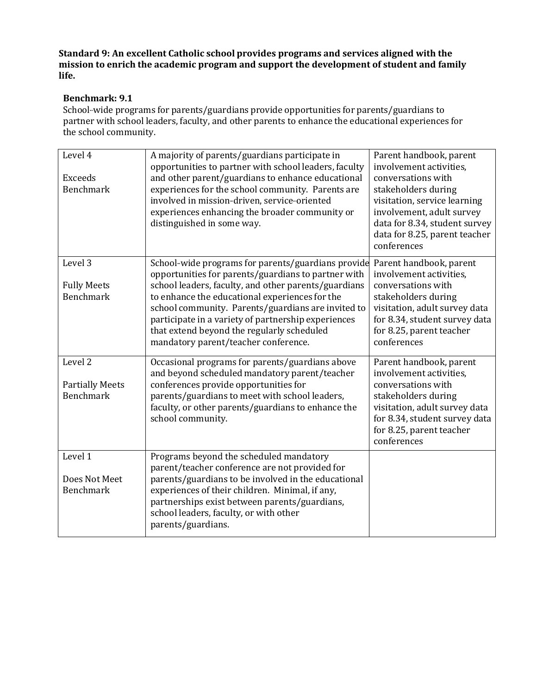**Standard 9: An excellent Catholic school provides programs and services aligned with the mission to enrich the academic program and support the development of student and family life.**

# **Benchmark: 9.1**

School-wide programs for parents/guardians provide opportunities for parents/guardians to partner with school leaders, faculty, and other parents to enhance the educational experiences for the school community.

| Level 4<br>Exceeds<br><b>Benchmark</b>                           | A majority of parents/guardians participate in<br>opportunities to partner with school leaders, faculty<br>and other parent/guardians to enhance educational<br>experiences for the school community. Parents are<br>involved in mission-driven, service-oriented<br>experiences enhancing the broader community or<br>distinguished in some way.                                                                      | Parent handbook, parent<br>involvement activities,<br>conversations with<br>stakeholders during<br>visitation, service learning<br>involvement, adult survey<br>data for 8.34, student survey<br>data for 8.25, parent teacher<br>conferences |
|------------------------------------------------------------------|------------------------------------------------------------------------------------------------------------------------------------------------------------------------------------------------------------------------------------------------------------------------------------------------------------------------------------------------------------------------------------------------------------------------|-----------------------------------------------------------------------------------------------------------------------------------------------------------------------------------------------------------------------------------------------|
| Level 3<br><b>Fully Meets</b><br><b>Benchmark</b>                | School-wide programs for parents/guardians provide<br>opportunities for parents/guardians to partner with<br>school leaders, faculty, and other parents/guardians<br>to enhance the educational experiences for the<br>school community. Parents/guardians are invited to<br>participate in a variety of partnership experiences<br>that extend beyond the regularly scheduled<br>mandatory parent/teacher conference. | Parent handbook, parent<br>involvement activities,<br>conversations with<br>stakeholders during<br>visitation, adult survey data<br>for 8.34, student survey data<br>for 8.25, parent teacher<br>conferences                                  |
| Level <sub>2</sub><br><b>Partially Meets</b><br><b>Benchmark</b> | Occasional programs for parents/guardians above<br>and beyond scheduled mandatory parent/teacher<br>conferences provide opportunities for<br>parents/guardians to meet with school leaders,<br>faculty, or other parents/guardians to enhance the<br>school community.                                                                                                                                                 | Parent handbook, parent<br>involvement activities,<br>conversations with<br>stakeholders during<br>visitation, adult survey data<br>for 8.34, student survey data<br>for 8.25, parent teacher<br>conferences                                  |
| Level 1<br>Does Not Meet<br><b>Benchmark</b>                     | Programs beyond the scheduled mandatory<br>parent/teacher conference are not provided for<br>parents/guardians to be involved in the educational<br>experiences of their children. Minimal, if any,<br>partnerships exist between parents/guardians,<br>school leaders, faculty, or with other<br>parents/guardians.                                                                                                   |                                                                                                                                                                                                                                               |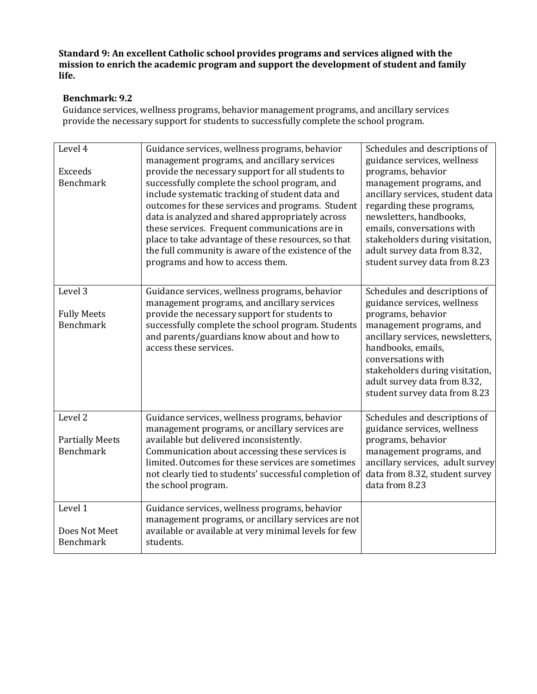**Standard 9: An excellent Catholic school provides programs and services aligned with the mission to enrich the academic program and support the development of student and family life.**

# **Benchmark: 9.2**

Guidance services, wellness programs, behavior management programs, and ancillary services provide the necessary support for students to successfully complete the school program.

| Level 4<br><b>Exceeds</b>                                 | Guidance services, wellness programs, behavior<br>management programs, and ancillary services<br>provide the necessary support for all students to                                                                                                                                                                                                                                                            | Schedules and descriptions of<br>guidance services, wellness<br>programs, behavior                                                                                                                                                                                                                 |
|-----------------------------------------------------------|---------------------------------------------------------------------------------------------------------------------------------------------------------------------------------------------------------------------------------------------------------------------------------------------------------------------------------------------------------------------------------------------------------------|----------------------------------------------------------------------------------------------------------------------------------------------------------------------------------------------------------------------------------------------------------------------------------------------------|
| <b>Benchmark</b>                                          | successfully complete the school program, and<br>include systematic tracking of student data and<br>outcomes for these services and programs. Student<br>data is analyzed and shared appropriately across<br>these services. Frequent communications are in<br>place to take advantage of these resources, so that<br>the full community is aware of the existence of the<br>programs and how to access them. | management programs, and<br>ancillary services, student data<br>regarding these programs,<br>newsletters, handbooks,<br>emails, conversations with<br>stakeholders during visitation,<br>adult survey data from 8.32,<br>student survey data from 8.23                                             |
| Level 3<br><b>Fully Meets</b><br><b>Benchmark</b>         | Guidance services, wellness programs, behavior<br>management programs, and ancillary services<br>provide the necessary support for students to<br>successfully complete the school program. Students<br>and parents/guardians know about and how to<br>access these services.                                                                                                                                 | Schedules and descriptions of<br>guidance services, wellness<br>programs, behavior<br>management programs, and<br>ancillary services, newsletters,<br>handbooks, emails,<br>conversations with<br>stakeholders during visitation,<br>adult survey data from 8.32,<br>student survey data from 8.23 |
| Level <sub>2</sub><br><b>Partially Meets</b><br>Benchmark | Guidance services, wellness programs, behavior<br>management programs, or ancillary services are<br>available but delivered inconsistently.<br>Communication about accessing these services is<br>limited. Outcomes for these services are sometimes<br>not clearly tied to students' successful completion of<br>the school program.                                                                         | Schedules and descriptions of<br>guidance services, wellness<br>programs, behavior<br>management programs, and<br>ancillary services, adult survey<br>data from 8.32, student survey<br>data from 8.23                                                                                             |
| Level 1<br>Does Not Meet<br><b>Benchmark</b>              | Guidance services, wellness programs, behavior<br>management programs, or ancillary services are not<br>available or available at very minimal levels for few<br>students.                                                                                                                                                                                                                                    |                                                                                                                                                                                                                                                                                                    |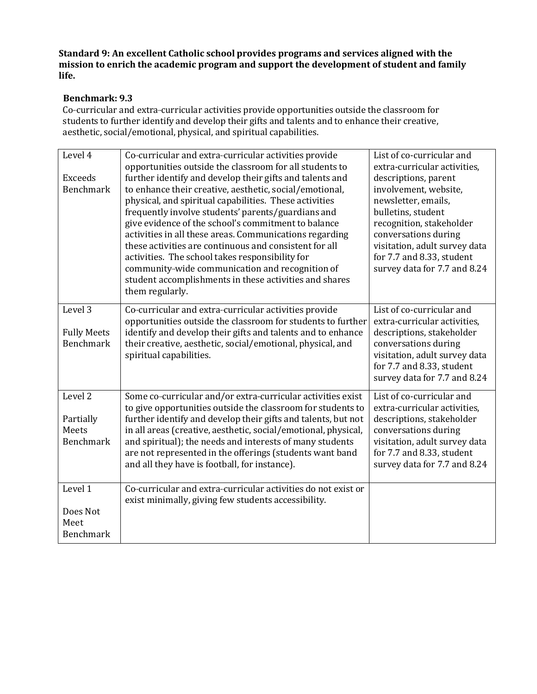**Standard 9: An excellent Catholic school provides programs and services aligned with the mission to enrich the academic program and support the development of student and family life.**

## **Benchmark: 9.3**

Co-curricular and extra-curricular activities provide opportunities outside the classroom for students to further identify and develop their gifts and talents and to enhance their creative, aesthetic, social/emotional, physical, and spiritual capabilities.

| Level 4<br><b>Exceeds</b><br><b>Benchmark</b>     | Co-curricular and extra-curricular activities provide<br>opportunities outside the classroom for all students to<br>further identify and develop their gifts and talents and<br>to enhance their creative, aesthetic, social/emotional,<br>physical, and spiritual capabilities. These activities<br>frequently involve students' parents/guardians and<br>give evidence of the school's commitment to balance<br>activities in all these areas. Communications regarding<br>these activities are continuous and consistent for all<br>activities. The school takes responsibility for<br>community-wide communication and recognition of<br>student accomplishments in these activities and shares<br>them regularly. | List of co-curricular and<br>extra-curricular activities,<br>descriptions, parent<br>involvement, website,<br>newsletter, emails,<br>bulletins, student<br>recognition, stakeholder<br>conversations during<br>visitation, adult survey data<br>for 7.7 and 8.33, student<br>survey data for 7.7 and 8.24 |
|---------------------------------------------------|------------------------------------------------------------------------------------------------------------------------------------------------------------------------------------------------------------------------------------------------------------------------------------------------------------------------------------------------------------------------------------------------------------------------------------------------------------------------------------------------------------------------------------------------------------------------------------------------------------------------------------------------------------------------------------------------------------------------|-----------------------------------------------------------------------------------------------------------------------------------------------------------------------------------------------------------------------------------------------------------------------------------------------------------|
| Level 3<br><b>Fully Meets</b><br><b>Benchmark</b> | Co-curricular and extra-curricular activities provide<br>opportunities outside the classroom for students to further<br>identify and develop their gifts and talents and to enhance<br>their creative, aesthetic, social/emotional, physical, and<br>spiritual capabilities.                                                                                                                                                                                                                                                                                                                                                                                                                                           | List of co-curricular and<br>extra-curricular activities,<br>descriptions, stakeholder<br>conversations during<br>visitation, adult survey data<br>for 7.7 and 8.33, student<br>survey data for 7.7 and 8.24                                                                                              |
| Level 2<br>Partially<br>Meets<br><b>Benchmark</b> | Some co-curricular and/or extra-curricular activities exist<br>to give opportunities outside the classroom for students to<br>further identify and develop their gifts and talents, but not<br>in all areas (creative, aesthetic, social/emotional, physical,<br>and spiritual); the needs and interests of many students<br>are not represented in the offerings (students want band<br>and all they have is football, for instance).                                                                                                                                                                                                                                                                                 | List of co-curricular and<br>extra-curricular activities,<br>descriptions, stakeholder<br>conversations during<br>visitation, adult survey data<br>for 7.7 and 8.33, student<br>survey data for 7.7 and 8.24                                                                                              |
| Level 1<br>Does Not<br>Meet<br><b>Benchmark</b>   | Co-curricular and extra-curricular activities do not exist or<br>exist minimally, giving few students accessibility.                                                                                                                                                                                                                                                                                                                                                                                                                                                                                                                                                                                                   |                                                                                                                                                                                                                                                                                                           |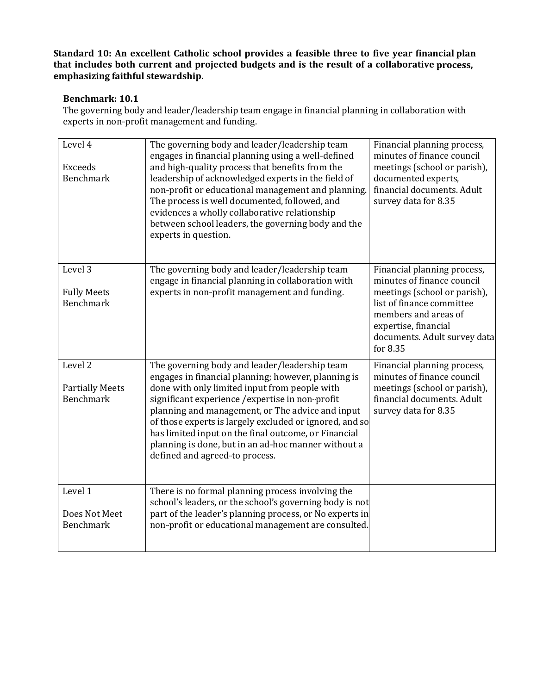## **Benchmark: 10.1**

The governing body and leader/leadership team engage in financial planning in collaboration with experts in non-profit management and funding.

| Level 4<br><b>Exceeds</b><br><b>Benchmark</b>         | The governing body and leader/leadership team<br>engages in financial planning using a well-defined<br>and high-quality process that benefits from the<br>leadership of acknowledged experts in the field of<br>non-profit or educational management and planning.<br>The process is well documented, followed, and<br>evidences a wholly collaborative relationship<br>between school leaders, the governing body and the<br>experts in question.                        | Financial planning process,<br>minutes of finance council<br>meetings (school or parish),<br>documented experts,<br>financial documents. Adult<br>survey data for 8.35                                             |
|-------------------------------------------------------|---------------------------------------------------------------------------------------------------------------------------------------------------------------------------------------------------------------------------------------------------------------------------------------------------------------------------------------------------------------------------------------------------------------------------------------------------------------------------|--------------------------------------------------------------------------------------------------------------------------------------------------------------------------------------------------------------------|
| Level 3<br><b>Fully Meets</b><br><b>Benchmark</b>     | The governing body and leader/leadership team<br>engage in financial planning in collaboration with<br>experts in non-profit management and funding.                                                                                                                                                                                                                                                                                                                      | Financial planning process,<br>minutes of finance council<br>meetings (school or parish),<br>list of finance committee<br>members and areas of<br>expertise, financial<br>documents. Adult survey data<br>for 8.35 |
| Level 2<br><b>Partially Meets</b><br><b>Benchmark</b> | The governing body and leader/leadership team<br>engages in financial planning; however, planning is<br>done with only limited input from people with<br>significant experience / expertise in non-profit<br>planning and management, or The advice and input<br>of those experts is largely excluded or ignored, and so<br>has limited input on the final outcome, or Financial<br>planning is done, but in an ad-hoc manner without a<br>defined and agreed-to process. | Financial planning process,<br>minutes of finance council<br>meetings (school or parish),<br>financial documents. Adult<br>survey data for 8.35                                                                    |
| Level 1<br>Does Not Meet<br><b>Benchmark</b>          | There is no formal planning process involving the<br>school's leaders, or the school's governing body is not<br>part of the leader's planning process, or No experts in<br>non-profit or educational management are consulted.                                                                                                                                                                                                                                            |                                                                                                                                                                                                                    |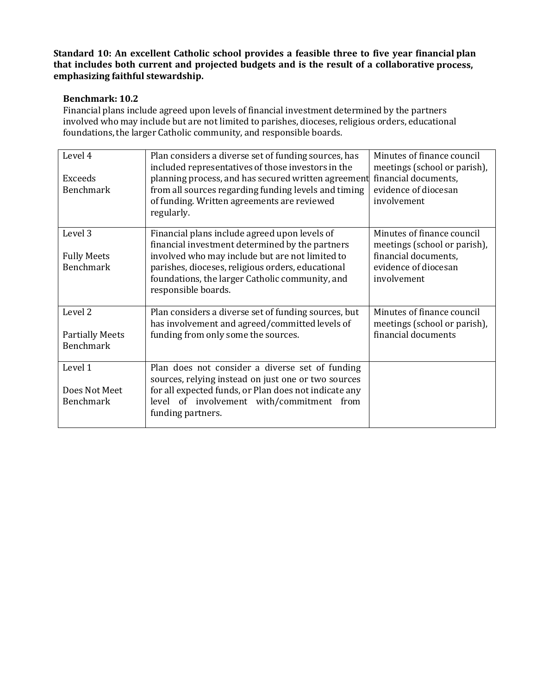# **Benchmark: 10.2**

Financial plans include agreed upon levels of financial investment determined by the partners involved who may include but are not limited to parishes, dioceses, religious orders, educational foundations, the larger Catholic community, and responsible boards.

| Level 4<br><b>Exceeds</b><br><b>Benchmark</b>                    | Plan considers a diverse set of funding sources, has<br>included representatives of those investors in the<br>planning process, and has secured written agreement<br>from all sources regarding funding levels and timing<br>of funding. Written agreements are reviewed<br>regularly. | Minutes of finance council<br>meetings (school or parish),<br>financial documents,<br>evidence of diocesan<br>involvement |
|------------------------------------------------------------------|----------------------------------------------------------------------------------------------------------------------------------------------------------------------------------------------------------------------------------------------------------------------------------------|---------------------------------------------------------------------------------------------------------------------------|
| Level 3<br><b>Fully Meets</b><br><b>Benchmark</b>                | Financial plans include agreed upon levels of<br>financial investment determined by the partners<br>involved who may include but are not limited to<br>parishes, dioceses, religious orders, educational<br>foundations, the larger Catholic community, and<br>responsible boards.     | Minutes of finance council<br>meetings (school or parish),<br>financial documents,<br>evidence of diocesan<br>involvement |
| Level <sub>2</sub><br><b>Partially Meets</b><br><b>Benchmark</b> | Plan considers a diverse set of funding sources, but<br>has involvement and agreed/committed levels of<br>funding from only some the sources.                                                                                                                                          | Minutes of finance council<br>meetings (school or parish),<br>financial documents                                         |
| Level 1<br>Does Not Meet<br><b>Benchmark</b>                     | Plan does not consider a diverse set of funding<br>sources, relying instead on just one or two sources<br>for all expected funds, or Plan does not indicate any<br>level of involvement with/commitment from<br>funding partners.                                                      |                                                                                                                           |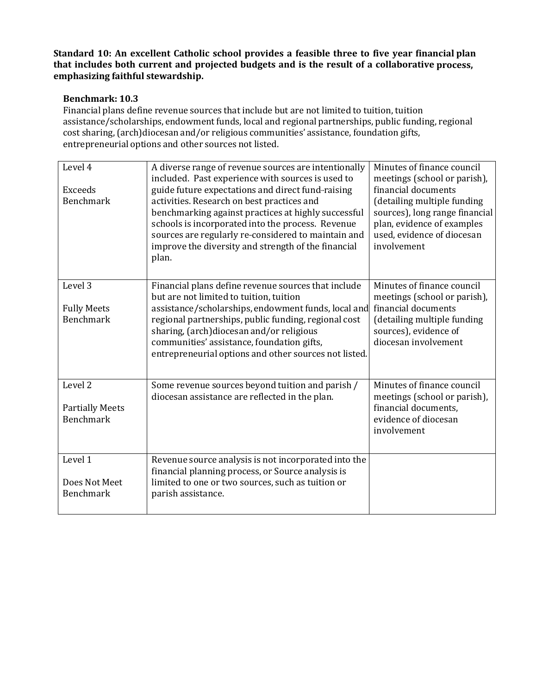# **Benchmark: 10.3**

Financial plans define revenue sources that include but are not limited to tuition, tuition assistance/scholarships, endowment funds, local and regional partnerships, public funding, regional cost sharing, (arch)diocesan and/or religious communities' assistance, foundation gifts, entrepreneurial options and other sources not listed.

| Level 4<br><b>Exceeds</b><br><b>Benchmark</b>                    | A diverse range of revenue sources are intentionally<br>included. Past experience with sources is used to<br>guide future expectations and direct fund-raising<br>activities. Research on best practices and<br>benchmarking against practices at highly successful<br>schools is incorporated into the process. Revenue<br>sources are regularly re-considered to maintain and<br>improve the diversity and strength of the financial<br>plan. | Minutes of finance council<br>meetings (school or parish),<br>financial documents<br>(detailing multiple funding<br>sources), long range financial<br>plan, evidence of examples<br>used, evidence of diocesan<br>involvement |
|------------------------------------------------------------------|-------------------------------------------------------------------------------------------------------------------------------------------------------------------------------------------------------------------------------------------------------------------------------------------------------------------------------------------------------------------------------------------------------------------------------------------------|-------------------------------------------------------------------------------------------------------------------------------------------------------------------------------------------------------------------------------|
| Level <sub>3</sub><br><b>Fully Meets</b><br><b>Benchmark</b>     | Financial plans define revenue sources that include<br>but are not limited to tuition, tuition<br>assistance/scholarships, endowment funds, local and<br>regional partnerships, public funding, regional cost<br>sharing, (arch)diocesan and/or religious<br>communities' assistance, foundation gifts,<br>entrepreneurial options and other sources not listed.                                                                                | Minutes of finance council<br>meetings (school or parish),<br>financial documents<br>(detailing multiple funding<br>sources), evidence of<br>diocesan involvement                                                             |
| Level <sub>2</sub><br><b>Partially Meets</b><br><b>Benchmark</b> | Some revenue sources beyond tuition and parish /<br>diocesan assistance are reflected in the plan.                                                                                                                                                                                                                                                                                                                                              | Minutes of finance council<br>meetings (school or parish),<br>financial documents,<br>evidence of diocesan<br>involvement                                                                                                     |
| Level 1<br>Does Not Meet<br><b>Benchmark</b>                     | Revenue source analysis is not incorporated into the<br>financial planning process, or Source analysis is<br>limited to one or two sources, such as tuition or<br>parish assistance.                                                                                                                                                                                                                                                            |                                                                                                                                                                                                                               |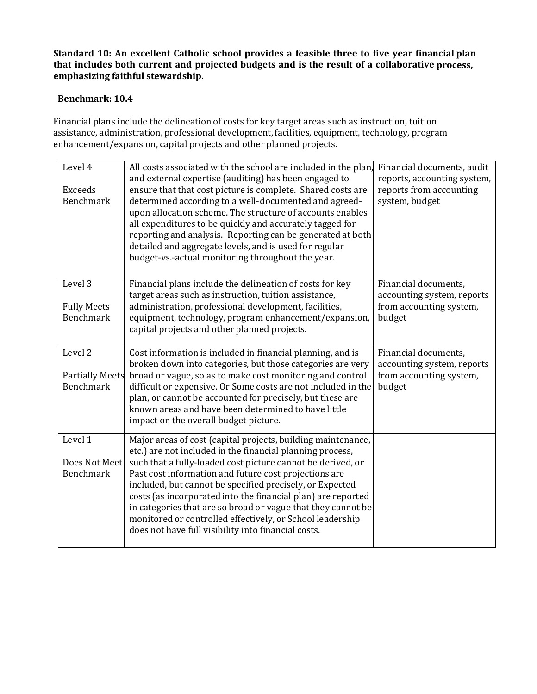# **Benchmark: 10.4**

Financial plans include the delineation of costs for key target areas such as instruction, tuition assistance, administration, professional development, facilities, equipment, technology, program enhancement/expansion, capital projects and other planned projects.

| Level 4<br>Exceeds<br><b>Benchmark</b> | All costs associated with the school are included in the plan,<br>and external expertise (auditing) has been engaged to<br>ensure that that cost picture is complete. Shared costs are<br>determined according to a well-documented and agreed-<br>upon allocation scheme. The structure of accounts enables<br>all expenditures to be quickly and accurately tagged for<br>reporting and analysis. Reporting can be generated at both<br>detailed and aggregate levels, and is used for regular<br>budget-vs.-actual monitoring throughout the year. | Financial documents, audit<br>reports, accounting system,<br>reports from accounting<br>system, budget |
|----------------------------------------|-------------------------------------------------------------------------------------------------------------------------------------------------------------------------------------------------------------------------------------------------------------------------------------------------------------------------------------------------------------------------------------------------------------------------------------------------------------------------------------------------------------------------------------------------------|--------------------------------------------------------------------------------------------------------|
| Level 3                                | Financial plans include the delineation of costs for key<br>target areas such as instruction, tuition assistance,                                                                                                                                                                                                                                                                                                                                                                                                                                     | Financial documents,<br>accounting system, reports                                                     |
| <b>Fully Meets</b><br><b>Benchmark</b> | administration, professional development, facilities,<br>equipment, technology, program enhancement/expansion,<br>capital projects and other planned projects.                                                                                                                                                                                                                                                                                                                                                                                        | from accounting system,<br>budget                                                                      |
| Level 2                                | Cost information is included in financial planning, and is<br>broken down into categories, but those categories are very                                                                                                                                                                                                                                                                                                                                                                                                                              | Financial documents,<br>accounting system, reports                                                     |
| <b>Partially Meets</b>                 | broad or vague, so as to make cost monitoring and control                                                                                                                                                                                                                                                                                                                                                                                                                                                                                             | from accounting system,                                                                                |
| <b>Benchmark</b>                       | difficult or expensive. Or Some costs are not included in the<br>plan, or cannot be accounted for precisely, but these are<br>known areas and have been determined to have little<br>impact on the overall budget picture.                                                                                                                                                                                                                                                                                                                            | budget                                                                                                 |
| Level 1                                | Major areas of cost (capital projects, building maintenance,<br>etc.) are not included in the financial planning process,                                                                                                                                                                                                                                                                                                                                                                                                                             |                                                                                                        |
| Does Not Meet                          | such that a fully-loaded cost picture cannot be derived, or                                                                                                                                                                                                                                                                                                                                                                                                                                                                                           |                                                                                                        |
| Benchmark                              | Past cost information and future cost projections are<br>included, but cannot be specified precisely, or Expected<br>costs (as incorporated into the financial plan) are reported<br>in categories that are so broad or vague that they cannot be<br>monitored or controlled effectively, or School leadership<br>does not have full visibility into financial costs.                                                                                                                                                                                 |                                                                                                        |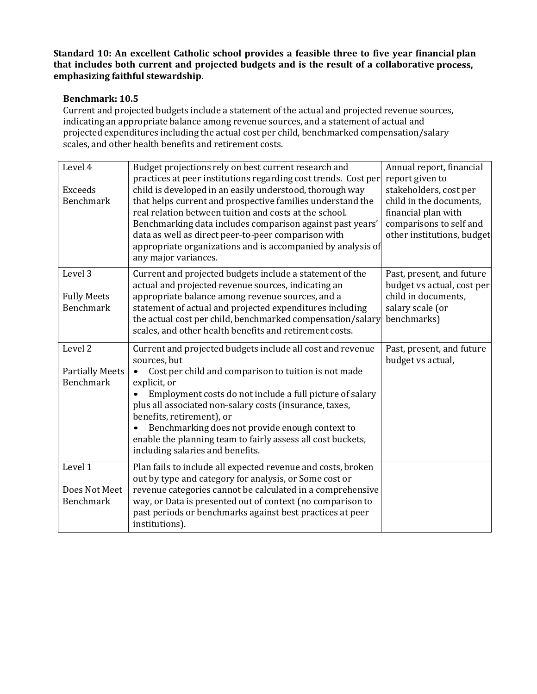# **Benchmark: 10.5**

Current and projected budgets include a statement of the actual and projected revenue sources, indicating an appropriate balance among revenue sources, and a statement of actual and projected expenditures including the actual cost per child, benchmarked compensation/salary scales, and other health benefits and retirement costs.

| Level 4                                                          | Budget projections rely on best current research and<br>practices at peer institutions regarding cost trends. Cost per                                                                                                                                                                                                                                                                                                                                       | Annual report, financial<br>report given to                                                                                       |
|------------------------------------------------------------------|--------------------------------------------------------------------------------------------------------------------------------------------------------------------------------------------------------------------------------------------------------------------------------------------------------------------------------------------------------------------------------------------------------------------------------------------------------------|-----------------------------------------------------------------------------------------------------------------------------------|
| <b>Exceeds</b><br><b>Benchmark</b>                               | child is developed in an easily understood, thorough way<br>that helps current and prospective families understand the<br>real relation between tuition and costs at the school.<br>Benchmarking data includes comparison against past years'<br>data as well as direct peer-to-peer comparison with<br>appropriate organizations and is accompanied by analysis of<br>any major variances.                                                                  | stakeholders, cost per<br>child in the documents,<br>financial plan with<br>comparisons to self and<br>other institutions, budget |
| Level 3<br><b>Fully Meets</b><br><b>Benchmark</b>                | Current and projected budgets include a statement of the<br>actual and projected revenue sources, indicating an<br>appropriate balance among revenue sources, and a<br>statement of actual and projected expenditures including<br>the actual cost per child, benchmarked compensation/salary<br>scales, and other health benefits and retirement costs.                                                                                                     | Past, present, and future<br>budget vs actual, cost per<br>child in documents,<br>salary scale (or<br>benchmarks)                 |
| Level <sub>2</sub><br><b>Partially Meets</b><br><b>Benchmark</b> | Current and projected budgets include all cost and revenue<br>sources, but<br>Cost per child and comparison to tuition is not made<br>explicit, or<br>Employment costs do not include a full picture of salary<br>plus all associated non-salary costs (insurance, taxes,<br>benefits, retirement), or<br>Benchmarking does not provide enough context to<br>enable the planning team to fairly assess all cost buckets,<br>including salaries and benefits. | Past, present, and future<br>budget vs actual,                                                                                    |
| Level 1<br>Does Not Meet<br><b>Benchmark</b>                     | Plan fails to include all expected revenue and costs, broken<br>out by type and category for analysis, or Some cost or<br>revenue categories cannot be calculated in a comprehensive<br>way, or Data is presented out of context (no comparison to<br>past periods or benchmarks against best practices at peer<br>institutions).                                                                                                                            |                                                                                                                                   |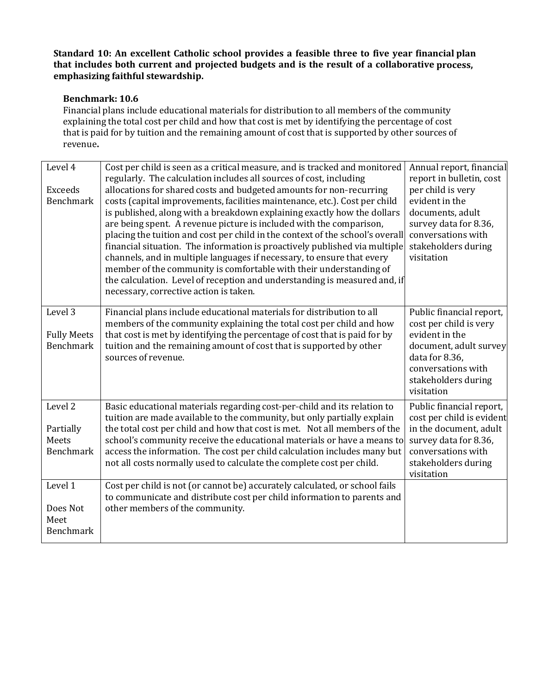# **Benchmark: 10.6**

Financial plans include educational materials for distribution to all members of the community explaining the total cost per child and how that cost is met by identifying the percentage of cost that is paid for by tuition and the remaining amount of cost that is supported by other sources of revenue**.**

| Level 4<br>Exceeds<br>Benchmark                       | Cost per child is seen as a critical measure, and is tracked and monitored<br>regularly. The calculation includes all sources of cost, including<br>allocations for shared costs and budgeted amounts for non-recurring<br>costs (capital improvements, facilities maintenance, etc.). Cost per child<br>is published, along with a breakdown explaining exactly how the dollars<br>are being spent. A revenue picture is included with the comparison,<br>placing the tuition and cost per child in the context of the school's overall<br>financial situation. The information is proactively published via multiple<br>channels, and in multiple languages if necessary, to ensure that every<br>member of the community is comfortable with their understanding of<br>the calculation. Level of reception and understanding is measured and, if<br>necessary, corrective action is taken. | Annual report, financial<br>report in bulletin, cost<br>per child is very<br>evident in the<br>documents, adult<br>survey data for 8.36,<br>conversations with<br>stakeholders during<br>visitation |
|-------------------------------------------------------|-----------------------------------------------------------------------------------------------------------------------------------------------------------------------------------------------------------------------------------------------------------------------------------------------------------------------------------------------------------------------------------------------------------------------------------------------------------------------------------------------------------------------------------------------------------------------------------------------------------------------------------------------------------------------------------------------------------------------------------------------------------------------------------------------------------------------------------------------------------------------------------------------|-----------------------------------------------------------------------------------------------------------------------------------------------------------------------------------------------------|
| Level 3<br><b>Fully Meets</b><br>Benchmark            | Financial plans include educational materials for distribution to all<br>members of the community explaining the total cost per child and how<br>that cost is met by identifying the percentage of cost that is paid for by<br>tuition and the remaining amount of cost that is supported by other<br>sources of revenue.                                                                                                                                                                                                                                                                                                                                                                                                                                                                                                                                                                     | Public financial report,<br>cost per child is very<br>evident in the<br>document, adult survey<br>data for 8.36,<br>conversations with<br>stakeholders during<br>visitation                         |
| Level <sub>2</sub><br>Partially<br>Meets<br>Benchmark | Basic educational materials regarding cost-per-child and its relation to<br>tuition are made available to the community, but only partially explain<br>the total cost per child and how that cost is met. Not all members of the<br>school's community receive the educational materials or have a means to<br>access the information. The cost per child calculation includes many but<br>not all costs normally used to calculate the complete cost per child.                                                                                                                                                                                                                                                                                                                                                                                                                              | Public financial report,<br>cost per child is evident<br>in the document, adult<br>survey data for 8.36,<br>conversations with<br>stakeholders during<br>visitation                                 |
| Level 1<br>Does Not<br>Meet<br><b>Benchmark</b>       | Cost per child is not (or cannot be) accurately calculated, or school fails<br>to communicate and distribute cost per child information to parents and<br>other members of the community.                                                                                                                                                                                                                                                                                                                                                                                                                                                                                                                                                                                                                                                                                                     |                                                                                                                                                                                                     |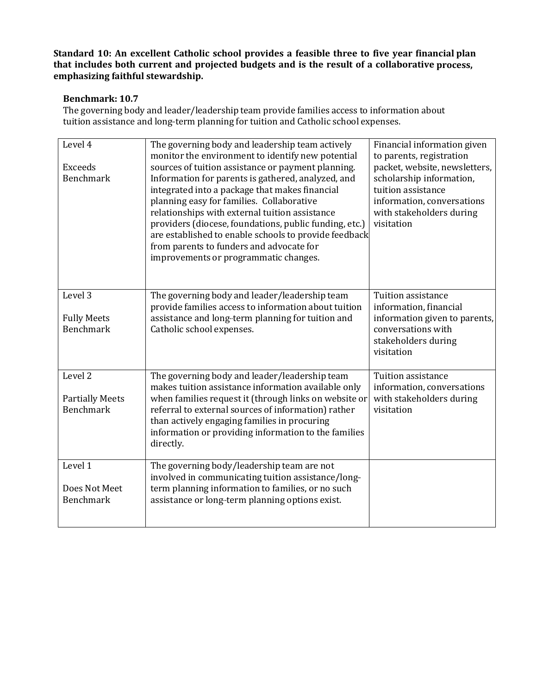## **Benchmark: 10.7**

The governing body and leader/leadership team provide families access to information about tuition assistance and long-term planning for tuition and Catholic school expenses.

| Level 4<br><b>Exceeds</b>                         | The governing body and leadership team actively<br>monitor the environment to identify new potential<br>sources of tuition assistance or payment planning.                                                                                                                                                                                                                                                  | Financial information given<br>to parents, registration<br>packet, website, newsletters,                               |
|---------------------------------------------------|-------------------------------------------------------------------------------------------------------------------------------------------------------------------------------------------------------------------------------------------------------------------------------------------------------------------------------------------------------------------------------------------------------------|------------------------------------------------------------------------------------------------------------------------|
| <b>Benchmark</b>                                  | Information for parents is gathered, analyzed, and<br>integrated into a package that makes financial<br>planning easy for families. Collaborative<br>relationships with external tuition assistance<br>providers (diocese, foundations, public funding, etc.)<br>are established to enable schools to provide feedback<br>from parents to funders and advocate for<br>improvements or programmatic changes. | scholarship information,<br>tuition assistance<br>information, conversations<br>with stakeholders during<br>visitation |
| Level 3<br><b>Fully Meets</b><br><b>Benchmark</b> | The governing body and leader/leadership team<br>provide families access to information about tuition<br>assistance and long-term planning for tuition and<br>Catholic school expenses.                                                                                                                                                                                                                     | Tuition assistance<br>information, financial<br>information given to parents,<br>conversations with                    |
|                                                   |                                                                                                                                                                                                                                                                                                                                                                                                             | stakeholders during<br>visitation                                                                                      |
| Level <sub>2</sub>                                | The governing body and leader/leadership team<br>makes tuition assistance information available only                                                                                                                                                                                                                                                                                                        | Tuition assistance<br>information, conversations                                                                       |
| <b>Partially Meets</b><br><b>Benchmark</b>        | when families request it (through links on website or<br>referral to external sources of information) rather<br>than actively engaging families in procuring<br>information or providing information to the families<br>directly.                                                                                                                                                                           | with stakeholders during<br>visitation                                                                                 |
| Level 1                                           | The governing body/leadership team are not<br>involved in communicating tuition assistance/long-                                                                                                                                                                                                                                                                                                            |                                                                                                                        |
| Does Not Meet<br><b>Benchmark</b>                 | term planning information to families, or no such<br>assistance or long-term planning options exist.                                                                                                                                                                                                                                                                                                        |                                                                                                                        |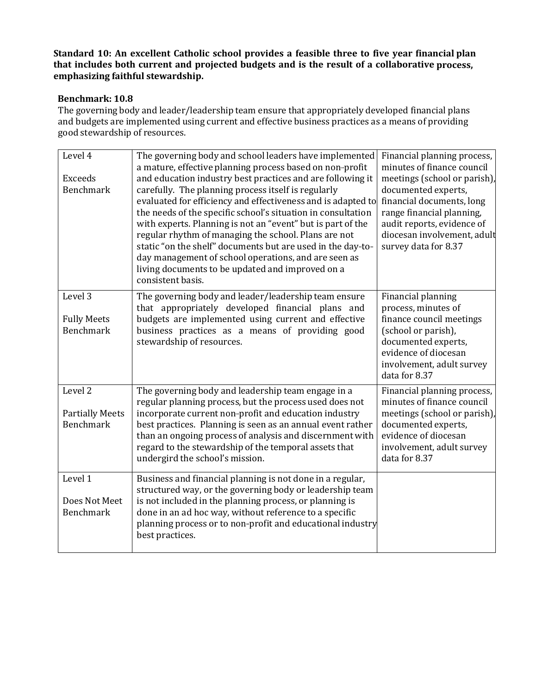# **Benchmark: 10.8**

The governing body and leader/leadership team ensure that appropriately developed financial plans and budgets are implemented using current and effective business practices as a means of providing good stewardship of resources.

| Level 4                                | The governing body and school leaders have implemented<br>a mature, effective planning process based on non-profit  | Financial planning process,<br>minutes of finance council |
|----------------------------------------|---------------------------------------------------------------------------------------------------------------------|-----------------------------------------------------------|
| <b>Exceeds</b>                         | and education industry best practices and are following it                                                          | meetings (school or parish),                              |
| <b>Benchmark</b>                       | carefully. The planning process itself is regularly                                                                 | documented experts,                                       |
|                                        | evaluated for efficiency and effectiveness and is adapted to                                                        | financial documents, long                                 |
|                                        | the needs of the specific school's situation in consultation                                                        | range financial planning,                                 |
|                                        | with experts. Planning is not an "event" but is part of the                                                         | audit reports, evidence of                                |
|                                        | regular rhythm of managing the school. Plans are not                                                                | diocesan involvement, adult                               |
|                                        | static "on the shelf" documents but are used in the day-to-                                                         | survey data for 8.37                                      |
|                                        | day management of school operations, and are seen as<br>living documents to be updated and improved on a            |                                                           |
|                                        | consistent basis.                                                                                                   |                                                           |
|                                        |                                                                                                                     |                                                           |
| Level 3                                | The governing body and leader/leadership team ensure                                                                | Financial planning                                        |
|                                        | that appropriately developed financial plans and                                                                    | process, minutes of                                       |
| <b>Fully Meets</b><br><b>Benchmark</b> | budgets are implemented using current and effective                                                                 | finance council meetings                                  |
|                                        | business practices as a means of providing good<br>stewardship of resources.                                        | (school or parish),<br>documented experts,                |
|                                        |                                                                                                                     | evidence of diocesan                                      |
|                                        |                                                                                                                     | involvement, adult survey                                 |
|                                        |                                                                                                                     | data for 8.37                                             |
| Level <sub>2</sub>                     | The governing body and leadership team engage in a                                                                  | Financial planning process,                               |
|                                        | regular planning process, but the process used does not                                                             | minutes of finance council                                |
| <b>Partially Meets</b>                 | incorporate current non-profit and education industry                                                               | meetings (school or parish)                               |
| <b>Benchmark</b>                       | best practices. Planning is seen as an annual event rather                                                          | documented experts,                                       |
|                                        | than an ongoing process of analysis and discernment with                                                            | evidence of diocesan                                      |
|                                        | regard to the stewardship of the temporal assets that                                                               | involvement, adult survey                                 |
|                                        | undergird the school's mission.                                                                                     | data for 8.37                                             |
|                                        |                                                                                                                     |                                                           |
| Level 1                                | Business and financial planning is not done in a regular,                                                           |                                                           |
| Does Not Meet                          | structured way, or the governing body or leadership team<br>is not included in the planning process, or planning is |                                                           |
| <b>Benchmark</b>                       | done in an ad hoc way, without reference to a specific                                                              |                                                           |
|                                        | planning process or to non-profit and educational industry                                                          |                                                           |
|                                        | best practices.                                                                                                     |                                                           |
|                                        |                                                                                                                     |                                                           |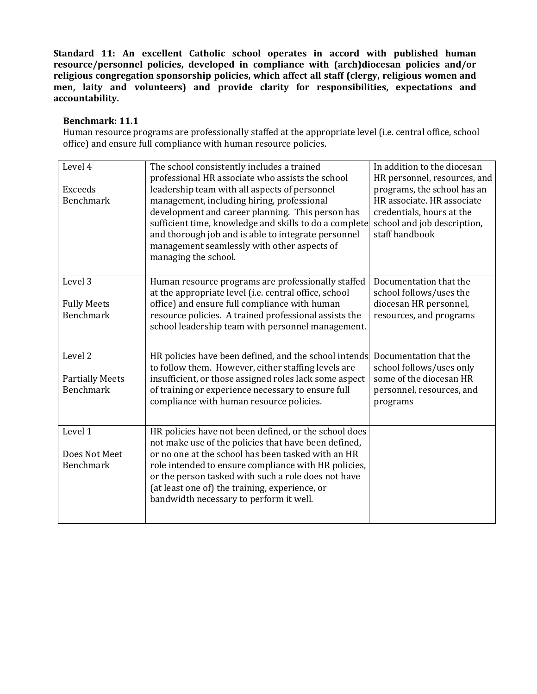#### **Benchmark: 11.1**

Human resource programs are professionally staffed at the appropriate level (i.e. central office, school office) and ensure full compliance with human resource policies.

| Level 4<br>Exceeds<br><b>Benchmark</b>                | The school consistently includes a trained<br>professional HR associate who assists the school<br>leadership team with all aspects of personnel<br>management, including hiring, professional<br>development and career planning. This person has<br>sufficient time, knowledge and skills to do a complete<br>and thorough job and is able to integrate personnel<br>management seamlessly with other aspects of<br>managing the school. | In addition to the diocesan<br>HR personnel, resources, and<br>programs, the school has an<br>HR associate. HR associate<br>credentials, hours at the<br>school and job description,<br>staff handbook |
|-------------------------------------------------------|-------------------------------------------------------------------------------------------------------------------------------------------------------------------------------------------------------------------------------------------------------------------------------------------------------------------------------------------------------------------------------------------------------------------------------------------|--------------------------------------------------------------------------------------------------------------------------------------------------------------------------------------------------------|
| Level 3<br><b>Fully Meets</b><br><b>Benchmark</b>     | Human resource programs are professionally staffed<br>at the appropriate level (i.e. central office, school<br>office) and ensure full compliance with human<br>resource policies. A trained professional assists the<br>school leadership team with personnel management.                                                                                                                                                                | Documentation that the<br>school follows/uses the<br>diocesan HR personnel,<br>resources, and programs                                                                                                 |
| Level 2<br><b>Partially Meets</b><br><b>Benchmark</b> | HR policies have been defined, and the school intends<br>to follow them. However, either staffing levels are<br>insufficient, or those assigned roles lack some aspect<br>of training or experience necessary to ensure full<br>compliance with human resource policies.                                                                                                                                                                  | Documentation that the<br>school follows/uses only<br>some of the diocesan HR<br>personnel, resources, and<br>programs                                                                                 |
| Level 1<br>Does Not Meet<br><b>Benchmark</b>          | HR policies have not been defined, or the school does<br>not make use of the policies that have been defined,<br>or no one at the school has been tasked with an HR<br>role intended to ensure compliance with HR policies,<br>or the person tasked with such a role does not have<br>(at least one of) the training, experience, or<br>bandwidth necessary to perform it well.                                                           |                                                                                                                                                                                                        |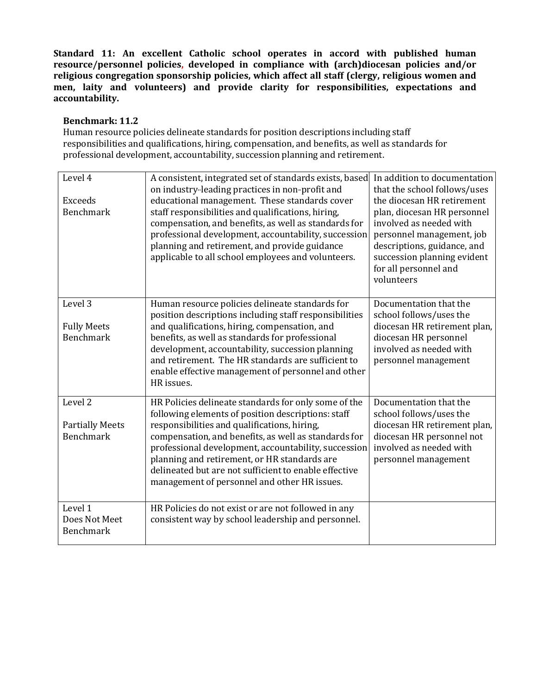#### **Benchmark: 11.2**

Human resource policies delineate standards for position descriptions including staff responsibilities and qualifications, hiring, compensation, and benefits, as well as standards for professional development, accountability, succession planning and retirement.

| Level 4<br><b>Exceeds</b><br><b>Benchmark</b>                    | A consistent, integrated set of standards exists, based<br>on industry-leading practices in non-profit and<br>educational management. These standards cover<br>staff responsibilities and qualifications, hiring,<br>compensation, and benefits, as well as standards for<br>professional development, accountability, succession<br>planning and retirement, and provide guidance<br>applicable to all school employees and volunteers. | In addition to documentation<br>that the school follows/uses<br>the diocesan HR retirement<br>plan, diocesan HR personnel<br>involved as needed with<br>personnel management, job<br>descriptions, guidance, and<br>succession planning evident<br>for all personnel and<br>volunteers |
|------------------------------------------------------------------|------------------------------------------------------------------------------------------------------------------------------------------------------------------------------------------------------------------------------------------------------------------------------------------------------------------------------------------------------------------------------------------------------------------------------------------|----------------------------------------------------------------------------------------------------------------------------------------------------------------------------------------------------------------------------------------------------------------------------------------|
| Level 3<br><b>Fully Meets</b><br><b>Benchmark</b>                | Human resource policies delineate standards for<br>position descriptions including staff responsibilities<br>and qualifications, hiring, compensation, and<br>benefits, as well as standards for professional<br>development, accountability, succession planning<br>and retirement. The HR standards are sufficient to<br>enable effective management of personnel and other<br>HR issues.                                              | Documentation that the<br>school follows/uses the<br>diocesan HR retirement plan,<br>diocesan HR personnel<br>involved as needed with<br>personnel management                                                                                                                          |
| Level <sub>2</sub><br><b>Partially Meets</b><br><b>Benchmark</b> | HR Policies delineate standards for only some of the<br>following elements of position descriptions: staff<br>responsibilities and qualifications, hiring,<br>compensation, and benefits, as well as standards for<br>professional development, accountability, succession<br>planning and retirement, or HR standards are<br>delineated but are not sufficient to enable effective<br>management of personnel and other HR issues.      | Documentation that the<br>school follows/uses the<br>diocesan HR retirement plan,<br>diocesan HR personnel not<br>involved as needed with<br>personnel management                                                                                                                      |
| Level 1<br>Does Not Meet<br><b>Benchmark</b>                     | HR Policies do not exist or are not followed in any<br>consistent way by school leadership and personnel.                                                                                                                                                                                                                                                                                                                                |                                                                                                                                                                                                                                                                                        |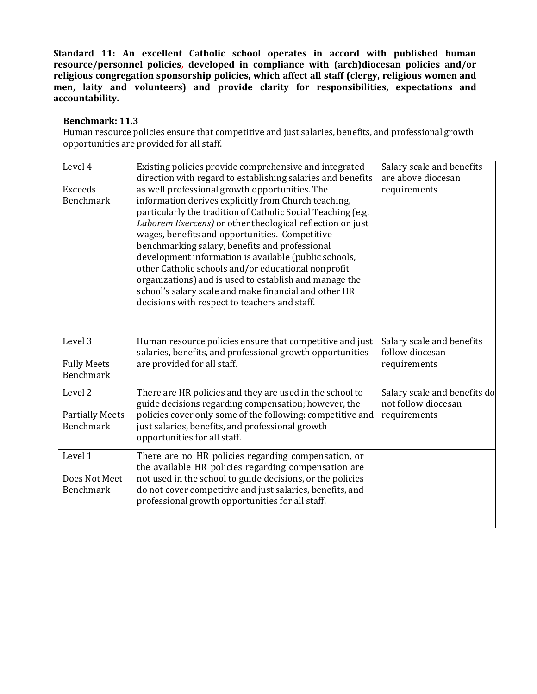#### **Benchmark: 11.3**

Human resource policies ensure that competitive and just salaries, benefits, and professional growth opportunities are provided for all staff.

| Level 4<br><b>Exceeds</b><br><b>Benchmark</b>                    | Existing policies provide comprehensive and integrated<br>direction with regard to establishing salaries and benefits<br>as well professional growth opportunities. The<br>information derives explicitly from Church teaching,<br>particularly the tradition of Catholic Social Teaching (e.g.<br>Laborem Exercens) or other theological reflection on just<br>wages, benefits and opportunities. Competitive<br>benchmarking salary, benefits and professional<br>development information is available (public schools,<br>other Catholic schools and/or educational nonprofit<br>organizations) and is used to establish and manage the<br>school's salary scale and make financial and other HR<br>decisions with respect to teachers and staff. | Salary scale and benefits<br>are above diocesan<br>requirements     |
|------------------------------------------------------------------|------------------------------------------------------------------------------------------------------------------------------------------------------------------------------------------------------------------------------------------------------------------------------------------------------------------------------------------------------------------------------------------------------------------------------------------------------------------------------------------------------------------------------------------------------------------------------------------------------------------------------------------------------------------------------------------------------------------------------------------------------|---------------------------------------------------------------------|
| Level 3<br><b>Fully Meets</b><br><b>Benchmark</b>                | Human resource policies ensure that competitive and just<br>salaries, benefits, and professional growth opportunities<br>are provided for all staff.                                                                                                                                                                                                                                                                                                                                                                                                                                                                                                                                                                                                 | Salary scale and benefits<br>follow diocesan<br>requirements        |
| Level <sub>2</sub><br><b>Partially Meets</b><br><b>Benchmark</b> | There are HR policies and they are used in the school to<br>guide decisions regarding compensation; however, the<br>policies cover only some of the following: competitive and<br>just salaries, benefits, and professional growth<br>opportunities for all staff.                                                                                                                                                                                                                                                                                                                                                                                                                                                                                   | Salary scale and benefits do<br>not follow diocesan<br>requirements |
| Level 1<br>Does Not Meet<br>Benchmark                            | There are no HR policies regarding compensation, or<br>the available HR policies regarding compensation are<br>not used in the school to guide decisions, or the policies<br>do not cover competitive and just salaries, benefits, and<br>professional growth opportunities for all staff.                                                                                                                                                                                                                                                                                                                                                                                                                                                           |                                                                     |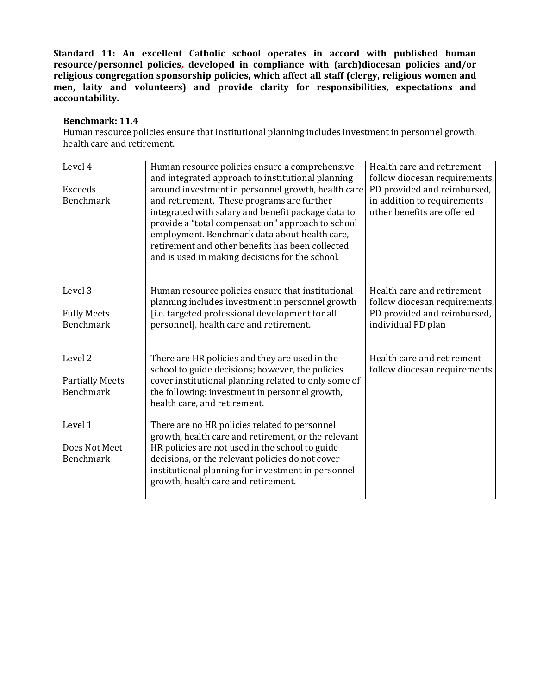#### **Benchmark: 11.4**

Human resource policies ensure that institutional planning includes investment in personnel growth, health care and retirement.

| Level 4<br><b>Exceeds</b><br>Benchmark     | Human resource policies ensure a comprehensive<br>and integrated approach to institutional planning<br>around investment in personnel growth, health care<br>and retirement. These programs are further<br>integrated with salary and benefit package data to<br>provide a "total compensation" approach to school<br>employment. Benchmark data about health care,<br>retirement and other benefits has been collected<br>and is used in making decisions for the school. | Health care and retirement<br>follow diocesan requirements,<br>PD provided and reimbursed,<br>in addition to requirements<br>other benefits are offered |
|--------------------------------------------|----------------------------------------------------------------------------------------------------------------------------------------------------------------------------------------------------------------------------------------------------------------------------------------------------------------------------------------------------------------------------------------------------------------------------------------------------------------------------|---------------------------------------------------------------------------------------------------------------------------------------------------------|
| Level 3<br><b>Fully Meets</b>              | Human resource policies ensure that institutional<br>planning includes investment in personnel growth<br>[i.e. targeted professional development for all                                                                                                                                                                                                                                                                                                                   | Health care and retirement<br>follow diocesan requirements,<br>PD provided and reimbursed,                                                              |
| <b>Benchmark</b>                           | personnel], health care and retirement.                                                                                                                                                                                                                                                                                                                                                                                                                                    | individual PD plan                                                                                                                                      |
| Level 2                                    | There are HR policies and they are used in the<br>school to guide decisions; however, the policies                                                                                                                                                                                                                                                                                                                                                                         | Health care and retirement<br>follow diocesan requirements                                                                                              |
| <b>Partially Meets</b><br><b>Benchmark</b> | cover institutional planning related to only some of<br>the following: investment in personnel growth,<br>health care, and retirement.                                                                                                                                                                                                                                                                                                                                     |                                                                                                                                                         |
| Level 1                                    | There are no HR policies related to personnel<br>growth, health care and retirement, or the relevant                                                                                                                                                                                                                                                                                                                                                                       |                                                                                                                                                         |
| Does Not Meet<br><b>Benchmark</b>          | HR policies are not used in the school to guide<br>decisions, or the relevant policies do not cover<br>institutional planning for investment in personnel<br>growth, health care and retirement.                                                                                                                                                                                                                                                                           |                                                                                                                                                         |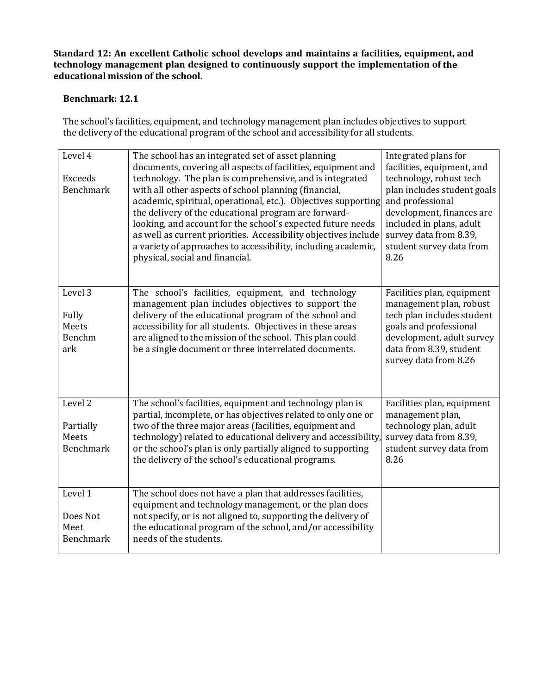**Standard 12: An excellent Catholic school develops and maintains a facilities, equipment, and technology management plan designed to continuously support the implementation of the educational mission of the school.**

## **Benchmark: 12.1**

The school's facilities, equipment, and technology management plan includes objectives to support the delivery of the educational program of the school and accessibility for all students.

| Level 4<br><b>Exceeds</b><br><b>Benchmark</b>     | The school has an integrated set of asset planning<br>documents, covering all aspects of facilities, equipment and<br>technology. The plan is comprehensive, and is integrated<br>with all other aspects of school planning (financial,<br>academic, spiritual, operational, etc.). Objectives supporting<br>the delivery of the educational program are forward-<br>looking, and account for the school's expected future needs<br>as well as current priorities. Accessibility objectives include<br>a variety of approaches to accessibility, including academic,<br>physical, social and financial. | Integrated plans for<br>facilities, equipment, and<br>technology, robust tech<br>plan includes student goals<br>and professional<br>development, finances are<br>included in plans, adult<br>survey data from 8.39,<br>student survey data from<br>8.26 |
|---------------------------------------------------|---------------------------------------------------------------------------------------------------------------------------------------------------------------------------------------------------------------------------------------------------------------------------------------------------------------------------------------------------------------------------------------------------------------------------------------------------------------------------------------------------------------------------------------------------------------------------------------------------------|---------------------------------------------------------------------------------------------------------------------------------------------------------------------------------------------------------------------------------------------------------|
| Level 3<br>Fully<br>Meets<br>Benchm<br>ark        | The school's facilities, equipment, and technology<br>management plan includes objectives to support the<br>delivery of the educational program of the school and<br>accessibility for all students. Objectives in these areas<br>are aligned to the mission of the school. This plan could<br>be a single document or three interrelated documents.                                                                                                                                                                                                                                                    | Facilities plan, equipment<br>management plan, robust<br>tech plan includes student<br>goals and professional<br>development, adult survey<br>data from 8.39, student<br>survey data from 8.26                                                          |
| Level 2<br>Partially<br>Meets<br><b>Benchmark</b> | The school's facilities, equipment and technology plan is<br>partial, incomplete, or has objectives related to only one or<br>two of the three major areas (facilities, equipment and<br>technology) related to educational delivery and accessibility.<br>or the school's plan is only partially aligned to supporting<br>the delivery of the school's educational programs.                                                                                                                                                                                                                           | Facilities plan, equipment<br>management plan,<br>technology plan, adult<br>survey data from 8.39,<br>student survey data from<br>8.26                                                                                                                  |
| Level 1<br>Does Not<br>Meet<br><b>Benchmark</b>   | The school does not have a plan that addresses facilities,<br>equipment and technology management, or the plan does<br>not specify, or is not aligned to, supporting the delivery of<br>the educational program of the school, and/or accessibility<br>needs of the students.                                                                                                                                                                                                                                                                                                                           |                                                                                                                                                                                                                                                         |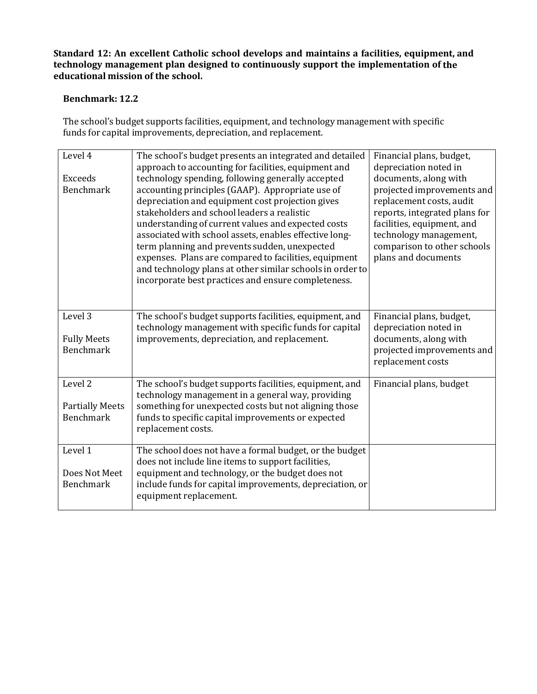**Standard 12: An excellent Catholic school develops and maintains a facilities, equipment, and technology management plan designed to continuously support the implementation of the educational mission of the school.**

## **Benchmark: 12.2**

The school's budget supports facilities, equipment, and technology management with specific funds for capital improvements, depreciation, and replacement.

| Level 4<br><b>Exceeds</b><br><b>Benchmark</b>                    | The school's budget presents an integrated and detailed<br>approach to accounting for facilities, equipment and<br>technology spending, following generally accepted<br>accounting principles (GAAP). Appropriate use of<br>depreciation and equipment cost projection gives<br>stakeholders and school leaders a realistic<br>understanding of current values and expected costs<br>associated with school assets, enables effective long-<br>term planning and prevents sudden, unexpected<br>expenses. Plans are compared to facilities, equipment<br>and technology plans at other similar schools in order to<br>incorporate best practices and ensure completeness. | Financial plans, budget,<br>depreciation noted in<br>documents, along with<br>projected improvements and<br>replacement costs, audit<br>reports, integrated plans for<br>facilities, equipment, and<br>technology management,<br>comparison to other schools<br>plans and documents |
|------------------------------------------------------------------|---------------------------------------------------------------------------------------------------------------------------------------------------------------------------------------------------------------------------------------------------------------------------------------------------------------------------------------------------------------------------------------------------------------------------------------------------------------------------------------------------------------------------------------------------------------------------------------------------------------------------------------------------------------------------|-------------------------------------------------------------------------------------------------------------------------------------------------------------------------------------------------------------------------------------------------------------------------------------|
| Level 3<br><b>Fully Meets</b><br><b>Benchmark</b>                | The school's budget supports facilities, equipment, and<br>technology management with specific funds for capital<br>improvements, depreciation, and replacement.                                                                                                                                                                                                                                                                                                                                                                                                                                                                                                          | Financial plans, budget,<br>depreciation noted in<br>documents, along with<br>projected improvements and<br>replacement costs                                                                                                                                                       |
| Level <sub>2</sub><br><b>Partially Meets</b><br><b>Benchmark</b> | The school's budget supports facilities, equipment, and<br>technology management in a general way, providing<br>something for unexpected costs but not aligning those<br>funds to specific capital improvements or expected<br>replacement costs.                                                                                                                                                                                                                                                                                                                                                                                                                         | Financial plans, budget                                                                                                                                                                                                                                                             |
| Level 1<br>Does Not Meet<br><b>Benchmark</b>                     | The school does not have a formal budget, or the budget<br>does not include line items to support facilities,<br>equipment and technology, or the budget does not<br>include funds for capital improvements, depreciation, or<br>equipment replacement.                                                                                                                                                                                                                                                                                                                                                                                                                   |                                                                                                                                                                                                                                                                                     |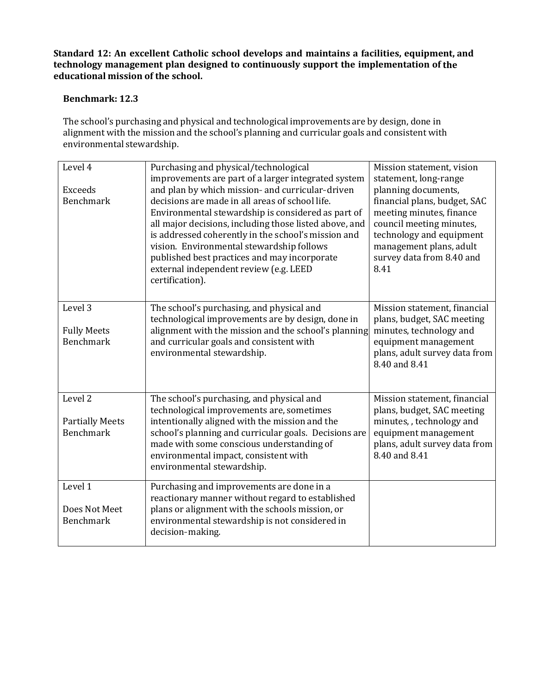**Standard 12: An excellent Catholic school develops and maintains a facilities, equipment, and technology management plan designed to continuously support the implementation of the educational mission of the school.**

## **Benchmark: 12.3**

The school's purchasing and physical and technological improvements are by design, done in alignment with the mission and the school's planning and curricular goals and consistent with environmental stewardship.

| Level 4                                                          | Purchasing and physical/technological<br>improvements are part of a larger integrated system                                                                                                                                                                                                                          | Mission statement, vision<br>statement, long-range                                                                                                                |
|------------------------------------------------------------------|-----------------------------------------------------------------------------------------------------------------------------------------------------------------------------------------------------------------------------------------------------------------------------------------------------------------------|-------------------------------------------------------------------------------------------------------------------------------------------------------------------|
| <b>Exceeds</b><br><b>Benchmark</b>                               | and plan by which mission-and curricular-driven<br>decisions are made in all areas of school life.<br>Environmental stewardship is considered as part of                                                                                                                                                              | planning documents,<br>financial plans, budget, SAC<br>meeting minutes, finance                                                                                   |
|                                                                  | all major decisions, including those listed above, and<br>is addressed coherently in the school's mission and<br>vision. Environmental stewardship follows<br>published best practices and may incorporate<br>external independent review (e.g. LEED<br>certification).                                               | council meeting minutes,<br>technology and equipment<br>management plans, adult<br>survey data from 8.40 and<br>8.41                                              |
|                                                                  |                                                                                                                                                                                                                                                                                                                       |                                                                                                                                                                   |
| Level 3                                                          | The school's purchasing, and physical and<br>technological improvements are by design, done in                                                                                                                                                                                                                        | Mission statement, financial<br>plans, budget, SAC meeting                                                                                                        |
| <b>Fully Meets</b><br><b>Benchmark</b>                           | alignment with the mission and the school's planning<br>and curricular goals and consistent with<br>environmental stewardship.                                                                                                                                                                                        | minutes, technology and<br>equipment management<br>plans, adult survey data from<br>8.40 and 8.41                                                                 |
| Level <sub>2</sub><br><b>Partially Meets</b><br><b>Benchmark</b> | The school's purchasing, and physical and<br>technological improvements are, sometimes<br>intentionally aligned with the mission and the<br>school's planning and curricular goals. Decisions are<br>made with some conscious understanding of<br>environmental impact, consistent with<br>environmental stewardship. | Mission statement, financial<br>plans, budget, SAC meeting<br>minutes, , technology and<br>equipment management<br>plans, adult survey data from<br>8.40 and 8.41 |
| Level 1<br>Does Not Meet<br>Benchmark                            | Purchasing and improvements are done in a<br>reactionary manner without regard to established<br>plans or alignment with the schools mission, or<br>environmental stewardship is not considered in<br>decision-making.                                                                                                |                                                                                                                                                                   |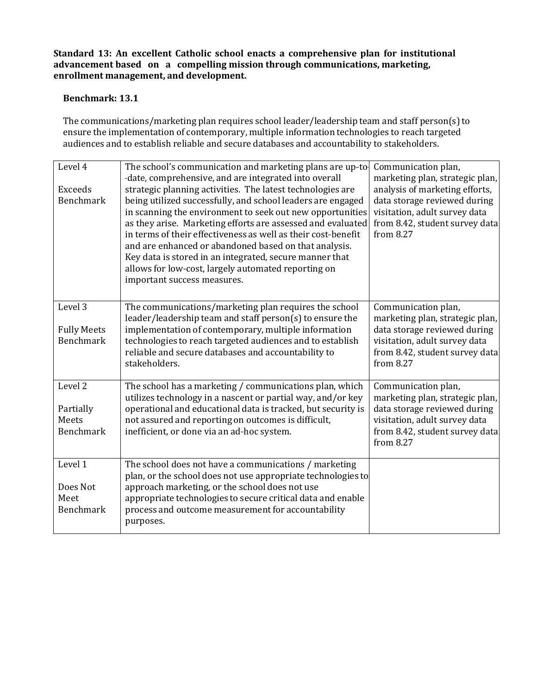**Standard 13: An excellent Catholic school enacts a comprehensive plan for institutional advancement based on a compelling mission through communications, marketing, enrollment management, and development.**

#### **Benchmark: 13.1**

The communications/marketing plan requires school leader/leadership team and staff person(s) to ensure the implementation of contemporary, multiple information technologies to reach targeted audiences and to establish reliable and secure databases and accountability to stakeholders.

| Level 4<br>Exceeds<br><b>Benchmark</b>                       | The school's communication and marketing plans are up-to-<br>-date, comprehensive, and are integrated into overall<br>strategic planning activities. The latest technologies are<br>being utilized successfully, and school leaders are engaged<br>in scanning the environment to seek out new opportunities<br>as they arise. Marketing efforts are assessed and evaluated<br>in terms of their effectiveness as well as their cost-benefit<br>and are enhanced or abandoned based on that analysis.<br>Key data is stored in an integrated, secure manner that<br>allows for low-cost, largely automated reporting on<br>important success measures. | Communication plan,<br>marketing plan, strategic plan,<br>analysis of marketing efforts,<br>data storage reviewed during<br>visitation, adult survey data<br>from 8.42, student survey data<br>from 8.27 |
|--------------------------------------------------------------|--------------------------------------------------------------------------------------------------------------------------------------------------------------------------------------------------------------------------------------------------------------------------------------------------------------------------------------------------------------------------------------------------------------------------------------------------------------------------------------------------------------------------------------------------------------------------------------------------------------------------------------------------------|----------------------------------------------------------------------------------------------------------------------------------------------------------------------------------------------------------|
| Level 3<br><b>Fully Meets</b><br><b>Benchmark</b>            | The communications/marketing plan requires the school<br>leader/leadership team and staff person(s) to ensure the<br>implementation of contemporary, multiple information<br>technologies to reach targeted audiences and to establish<br>reliable and secure databases and accountability to<br>stakeholders.                                                                                                                                                                                                                                                                                                                                         | Communication plan,<br>marketing plan, strategic plan,<br>data storage reviewed during<br>visitation, adult survey data<br>from 8.42, student survey data<br>from 8.27                                   |
| Level <sub>2</sub><br>Partially<br>Meets<br><b>Benchmark</b> | The school has a marketing / communications plan, which<br>utilizes technology in a nascent or partial way, and/or key<br>operational and educational data is tracked, but security is<br>not assured and reporting on outcomes is difficult,<br>inefficient, or done via an ad-hoc system.                                                                                                                                                                                                                                                                                                                                                            | Communication plan,<br>marketing plan, strategic plan,<br>data storage reviewed during<br>visitation, adult survey data<br>from 8.42, student survey data<br>from 8.27                                   |
| Level 1<br>Does Not<br>Meet<br>Benchmark                     | The school does not have a communications / marketing<br>plan, or the school does not use appropriate technologies to<br>approach marketing, or the school does not use<br>appropriate technologies to secure critical data and enable<br>process and outcome measurement for accountability<br>purposes.                                                                                                                                                                                                                                                                                                                                              |                                                                                                                                                                                                          |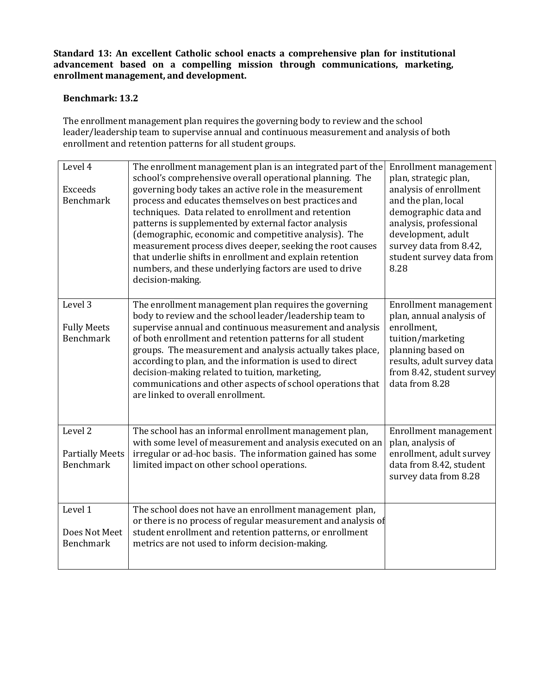**Standard 13: An excellent Catholic school enacts a comprehensive plan for institutional advancement based on a compelling mission through communications, marketing, enrollment management, and development.**

#### **Benchmark: 13.2**

The enrollment management plan requires the governing body to review and the school leader/leadership team to supervise annual and continuous measurement and analysis of both enrollment and retention patterns for all student groups.

| Level 4<br>Exceeds                                    | The enrollment management plan is an integrated part of the<br>school's comprehensive overall operational planning. The<br>governing body takes an active role in the measurement                                                                                                                                                                                                                                                                                                                                        | Enrollment management<br>plan, strategic plan,<br>analysis of enrollment                                                                                                                |
|-------------------------------------------------------|--------------------------------------------------------------------------------------------------------------------------------------------------------------------------------------------------------------------------------------------------------------------------------------------------------------------------------------------------------------------------------------------------------------------------------------------------------------------------------------------------------------------------|-----------------------------------------------------------------------------------------------------------------------------------------------------------------------------------------|
| <b>Benchmark</b>                                      | process and educates themselves on best practices and<br>techniques. Data related to enrollment and retention<br>patterns is supplemented by external factor analysis<br>(demographic, economic and competitive analysis). The<br>measurement process dives deeper, seeking the root causes<br>that underlie shifts in enrollment and explain retention<br>numbers, and these underlying factors are used to drive<br>decision-making.                                                                                   | and the plan, local<br>demographic data and<br>analysis, professional<br>development, adult<br>survey data from 8.42,<br>student survey data from<br>8.28                               |
| Level 3<br><b>Fully Meets</b><br>Benchmark            | The enrollment management plan requires the governing<br>body to review and the school leader/leadership team to<br>supervise annual and continuous measurement and analysis<br>of both enrollment and retention patterns for all student<br>groups. The measurement and analysis actually takes place,<br>according to plan, and the information is used to direct<br>decision-making related to tuition, marketing,<br>communications and other aspects of school operations that<br>are linked to overall enrollment. | Enrollment management<br>plan, annual analysis of<br>enrollment,<br>tuition/marketing<br>planning based on<br>results, adult survey data<br>from 8.42, student survey<br>data from 8.28 |
| Level 2<br><b>Partially Meets</b><br><b>Benchmark</b> | The school has an informal enrollment management plan,<br>with some level of measurement and analysis executed on an<br>irregular or ad-hoc basis. The information gained has some<br>limited impact on other school operations.                                                                                                                                                                                                                                                                                         | Enrollment management<br>plan, analysis of<br>enrollment, adult survey<br>data from 8.42, student<br>survey data from 8.28                                                              |
| Level 1<br>Does Not Meet<br><b>Benchmark</b>          | The school does not have an enrollment management plan,<br>or there is no process of regular measurement and analysis of<br>student enrollment and retention patterns, or enrollment<br>metrics are not used to inform decision-making.                                                                                                                                                                                                                                                                                  |                                                                                                                                                                                         |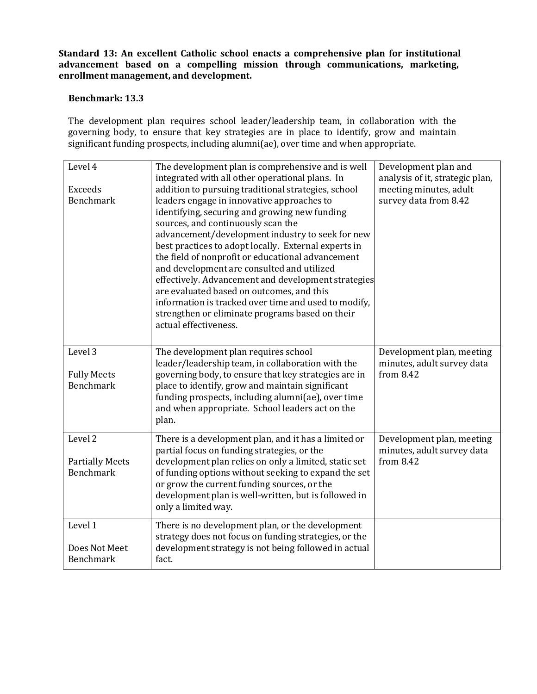**Standard 13: An excellent Catholic school enacts a comprehensive plan for institutional advancement based on a compelling mission through communications, marketing, enrollment management, and development.**

## **Benchmark: 13.3**

The development plan requires school leader/leadership team, in collaboration with the governing body, to ensure that key strategies are in place to identify, grow and maintain significant funding prospects, including alumni(ae), over time and when appropriate.

| Level 4<br><b>Exceeds</b><br><b>Benchmark</b>                    | The development plan is comprehensive and is well<br>integrated with all other operational plans. In<br>addition to pursuing traditional strategies, school<br>leaders engage in innovative approaches to<br>identifying, securing and growing new funding<br>sources, and continuously scan the<br>advancement/development industry to seek for new<br>best practices to adopt locally. External experts in<br>the field of nonprofit or educational advancement<br>and development are consulted and utilized<br>effectively. Advancement and development strategies<br>are evaluated based on outcomes, and this<br>information is tracked over time and used to modify,<br>strengthen or eliminate programs based on their<br>actual effectiveness. | Development plan and<br>analysis of it, strategic plan,<br>meeting minutes, adult<br>survey data from 8.42 |
|------------------------------------------------------------------|---------------------------------------------------------------------------------------------------------------------------------------------------------------------------------------------------------------------------------------------------------------------------------------------------------------------------------------------------------------------------------------------------------------------------------------------------------------------------------------------------------------------------------------------------------------------------------------------------------------------------------------------------------------------------------------------------------------------------------------------------------|------------------------------------------------------------------------------------------------------------|
| Level 3<br><b>Fully Meets</b><br><b>Benchmark</b>                | The development plan requires school<br>leader/leadership team, in collaboration with the<br>governing body, to ensure that key strategies are in<br>place to identify, grow and maintain significant<br>funding prospects, including alumni(ae), over time<br>and when appropriate. School leaders act on the<br>plan.                                                                                                                                                                                                                                                                                                                                                                                                                                 | Development plan, meeting<br>minutes, adult survey data<br>from $8.42$                                     |
| Level <sub>2</sub><br><b>Partially Meets</b><br><b>Benchmark</b> | There is a development plan, and it has a limited or<br>partial focus on funding strategies, or the<br>development plan relies on only a limited, static set<br>of funding options without seeking to expand the set<br>or grow the current funding sources, or the<br>development plan is well-written, but is followed in<br>only a limited way.                                                                                                                                                                                                                                                                                                                                                                                                      | Development plan, meeting<br>minutes, adult survey data<br>from 8.42                                       |
| Level 1<br>Does Not Meet<br><b>Benchmark</b>                     | There is no development plan, or the development<br>strategy does not focus on funding strategies, or the<br>development strategy is not being followed in actual<br>fact.                                                                                                                                                                                                                                                                                                                                                                                                                                                                                                                                                                              |                                                                                                            |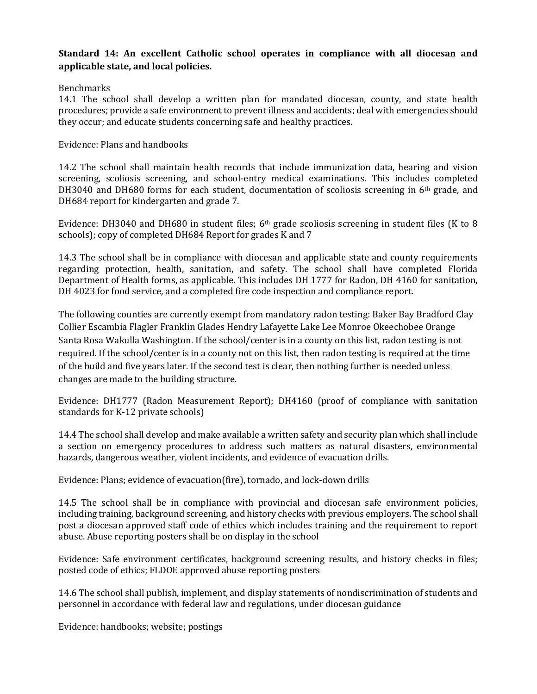## **Standard 14: An excellent Catholic school operates in compliance with all diocesan and applicable state, and local policies.**

## Benchmarks

14.1 The school shall develop a written plan for mandated diocesan, county, and state health procedures; provide a safe environment to prevent illness and accidents; deal with emergencies should they occur; and educate students concerning safe and healthy practices.

## Evidence: Plans and handbooks

14.2 The school shall maintain health records that include immunization data, hearing and vision screening, scoliosis screening, and school-entry medical examinations. This includes completed DH3040 and DH680 forms for each student, documentation of scoliosis screening in 6th grade, and DH684 report for kindergarten and grade 7.

Evidence: DH3040 and DH680 in student files;  $6<sup>th</sup>$  grade scoliosis screening in student files (K to 8 schools); copy of completed DH684 Report for grades K and 7

14.3 The school shall be in compliance with diocesan and applicable state and county requirements regarding protection, health, sanitation, and safety. The school shall have completed Florida Department of Health forms, as applicable. This includes DH 1777 for Radon, DH 4160 for sanitation, DH 4023 for food service, and a completed fire code inspection and compliance report.

The following counties are currently exempt from mandatory radon testing: Baker Bay Bradford Clay Collier Escambia Flagler Franklin Glades Hendry Lafayette Lake Lee Monroe Okeechobee Orange Santa Rosa Wakulla Washington. If the school/center is in a county on this list, radon testing is not required. If the school/center is in a county not on this list, then radon testing is required at the time of the build and five years later. If the second test is clear, then nothing further is needed unless changes are made to the building structure.

Evidence: DH1777 (Radon Measurement Report); DH4160 (proof of compliance with sanitation standards for K-12 private schools)

14.4 The school shall develop and make available a written safety and security plan which shall include a section on emergency procedures to address such matters as natural disasters, environmental hazards, dangerous weather, violent incidents, and evidence of evacuation drills.

Evidence: Plans; evidence of evacuation(fire), tornado, and lock-down drills

14.5 The school shall be in compliance with provincial and diocesan safe environment policies, including training, background screening, and history checks with previous employers. The school shall post a diocesan approved staff code of ethics which includes training and the requirement to report abuse. Abuse reporting posters shall be on display in the school

Evidence: Safe environment certificates, background screening results, and history checks in files; posted code of ethics; FLDOE approved abuse reporting posters

14.6 The school shall publish, implement, and display statements of nondiscrimination of students and personnel in accordance with federal law and regulations, under diocesan guidance

Evidence: handbooks; website; postings